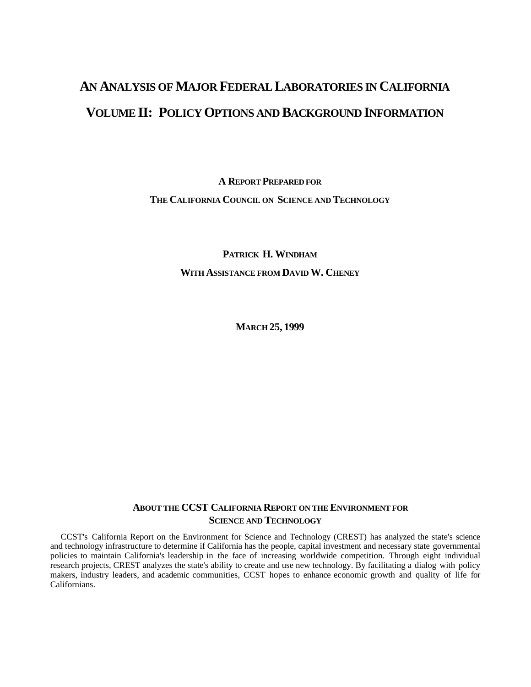# **AN ANALYSIS OF MAJOR FEDERAL LABORATORIES IN CALIFORNIA VOLUME II: POLICY OPTIONS AND BACKGROUND INFORMATION**

**A REPORT PREPARED FOR THE CALIFORNIA COUNCIL ON SCIENCE AND TECHNOLOGY**

> **PATRICK H. WINDHAM WITH ASSISTANCE FROM DAVID W. CHENEY**

> > **MARCH 25, 1999**

## **ABOUT THE CCST CALIFORNIA REPORT ON THE ENVIRONMENT FOR SCIENCE AND TECHNOLOGY**

CCST's California Report on the Environment for Science and Technology (CREST) has analyzed the state's science and technology infrastructure to determine if California has the people, capital investment and necessary state governmental policies to maintain California's leadership in the face of increasing worldwide competition. Through eight individual research projects, CREST analyzes the state's ability to create and use new technology. By facilitating a dialog with policy makers, industry leaders, and academic communities, CCST hopes to enhance economic growth and quality of life for Californians.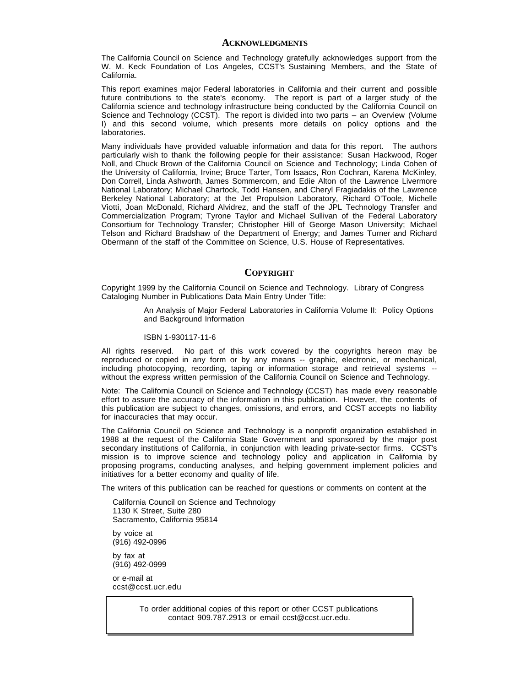#### **ACKNOWLEDGMENTS**

The California Council on Science and Technology gratefully acknowledges support from the W. M. Keck Foundation of Los Angeles, CCST's Sustaining Members, and the State of California.

This report examines major Federal laboratories in California and their current and possible future contributions to the state's economy. The report is part of a larger study of the California science and technology infrastructure being conducted by the California Council on Science and Technology (CCST). The report is divided into two parts – an Overview (Volume I) and this second volume, which presents more details on policy options and the laboratories.

Many individuals have provided valuable information and data for this report. The authors particularly wish to thank the following people for their assistance: Susan Hackwood, Roger Noll, and Chuck Brown of the California Council on Science and Technology; Linda Cohen of the University of California, Irvine; Bruce Tarter, Tom Isaacs, Ron Cochran, Karena McKinley, Don Correll, Linda Ashworth, James Sommercorn, and Edie Alton of the Lawrence Livermore National Laboratory; Michael Chartock, Todd Hansen, and Cheryl Fragiadakis of the Lawrence Berkeley National Laboratory; at the Jet Propulsion Laboratory, Richard O'Toole, Michelle Viotti, Joan McDonald, Richard Alvidrez, and the staff of the JPL Technology Transfer and Commercialization Program; Tyrone Taylor and Michael Sullivan of the Federal Laboratory Consortium for Technology Transfer; Christopher Hill of George Mason University; Michael Telson and Richard Bradshaw of the Department of Energy; and James Turner and Richard Obermann of the staff of the Committee on Science, U.S. House of Representatives.

#### **COPYRIGHT**

Copyright 1999 by the California Council on Science and Technology. Library of Congress Cataloging Number in Publications Data Main Entry Under Title:

> An Analysis of Major Federal Laboratories in California Volume II: Policy Options and Background Information

#### ISBN 1-930117-11-6

All rights reserved. No part of this work covered by the copyrights hereon may be reproduced or copied in any form or by any means -- graphic, electronic, or mechanical, including photocopying, recording, taping or information storage and retrieval systems - without the express written permission of the California Council on Science and Technology.

Note: The California Council on Science and Technology (CCST) has made every reasonable effort to assure the accuracy of the information in this publication. However, the contents of this publication are subject to changes, omissions, and errors, and CCST accepts no liability for inaccuracies that may occur.

The California Council on Science and Technology is a nonprofit organization established in 1988 at the request of the California State Government and sponsored by the major post secondary institutions of California, in conjunction with leading private-sector firms. CCST's mission is to improve science and technology policy and application in California by proposing programs, conducting analyses, and helping government implement policies and initiatives for a better economy and quality of life.

The writers of this publication can be reached for questions or comments on content at the

California Council on Science and Technology 1130 K Street, Suite 280 Sacramento, California 95814

by voice at (916) 492-0996

by fax at (916) 492-0999

or e-mail at ccst@ccst.ucr.edu

> To order additional copies of this report or other CCST publications contact 909.787.2913 or email ccst@ccst.ucr.edu.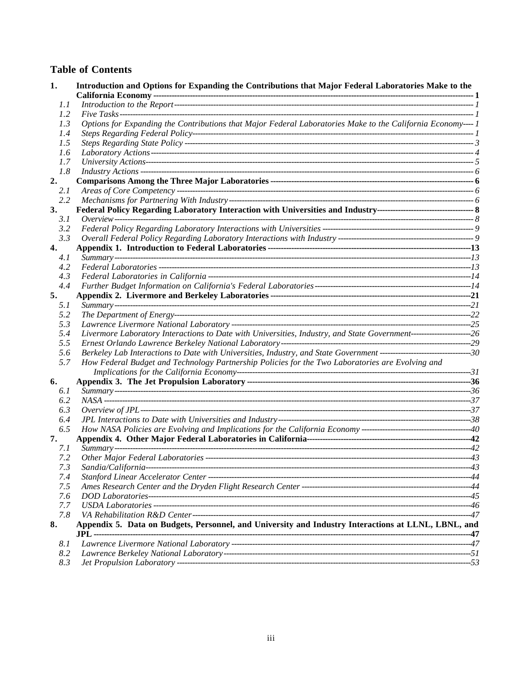## **Table of Contents**

| 1.   | Introduction and Options for Expanding the Contributions that Major Federal Laboratories Make to the                  |  |
|------|-----------------------------------------------------------------------------------------------------------------------|--|
| 1.1  |                                                                                                                       |  |
| 1.2  |                                                                                                                       |  |
| 1.3  | Options for Expanding the Contributions that Major Federal Laboratories Make to the California Economy---- 1          |  |
| 1.4  |                                                                                                                       |  |
| 1.5  |                                                                                                                       |  |
| 1.6  |                                                                                                                       |  |
| 1.7  |                                                                                                                       |  |
| 1.8  |                                                                                                                       |  |
| 2.   |                                                                                                                       |  |
| 2.1  |                                                                                                                       |  |
| 2.2  |                                                                                                                       |  |
| 3.   |                                                                                                                       |  |
| 3.1  |                                                                                                                       |  |
| 3.2  |                                                                                                                       |  |
| 3.3  |                                                                                                                       |  |
| 4.   |                                                                                                                       |  |
| 4.1  |                                                                                                                       |  |
| 4.2  |                                                                                                                       |  |
| 4.3  |                                                                                                                       |  |
| 4.4  |                                                                                                                       |  |
| 5.   |                                                                                                                       |  |
| 5.1  |                                                                                                                       |  |
| 5.2  |                                                                                                                       |  |
| 5.3  |                                                                                                                       |  |
| 5.4  | Livermore Laboratory Interactions to Date with Universities, Industry, and State Government------------------------26 |  |
| 5.5  |                                                                                                                       |  |
| 5.6  |                                                                                                                       |  |
| 5.7  | How Federal Budget and Technology Partnership Policies for the Two Laboratories are Evolving and                      |  |
|      |                                                                                                                       |  |
| 6.   |                                                                                                                       |  |
| 6.1  |                                                                                                                       |  |
| 6.2  |                                                                                                                       |  |
|      |                                                                                                                       |  |
| 6.3  |                                                                                                                       |  |
| 6.4  |                                                                                                                       |  |
| 6.5  |                                                                                                                       |  |
| 7.   |                                                                                                                       |  |
| 7.1  |                                                                                                                       |  |
| 7.2  |                                                                                                                       |  |
| 7.3  |                                                                                                                       |  |
| 7.4  |                                                                                                                       |  |
| 7.5  |                                                                                                                       |  |
| 7.6  |                                                                                                                       |  |
| 7.7  |                                                                                                                       |  |
| 7.8  |                                                                                                                       |  |
| 8.   | Appendix 5. Data on Budgets, Personnel, and University and Industry Interactions at LLNL, LBNL, and                   |  |
|      |                                                                                                                       |  |
| 8. 1 |                                                                                                                       |  |
| 8.2  |                                                                                                                       |  |
| 8.3  |                                                                                                                       |  |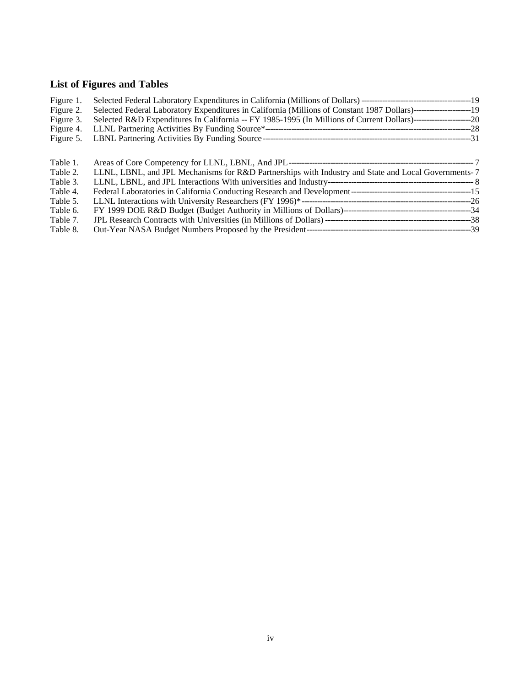# **List of Figures and Tables**

| Figure 1. |                                                                                                                     |  |
|-----------|---------------------------------------------------------------------------------------------------------------------|--|
| Figure 2. | Selected Federal Laboratory Expenditures in California (Millions of Constant 1987 Dollars)-----------------------19 |  |
| Figure 3. |                                                                                                                     |  |
| Figure 4. |                                                                                                                     |  |
| Figure 5. |                                                                                                                     |  |
| Table 1.  |                                                                                                                     |  |
| Table 2.  | LLNL, LBNL, and JPL Mechanisms for R&D Partnerships with Industry and State and Local Governments-7                 |  |
| Table 3.  |                                                                                                                     |  |
| Table 4.  |                                                                                                                     |  |
| Table 5.  |                                                                                                                     |  |
| Table 6.  |                                                                                                                     |  |
| Table 7.  |                                                                                                                     |  |
| Table 8.  |                                                                                                                     |  |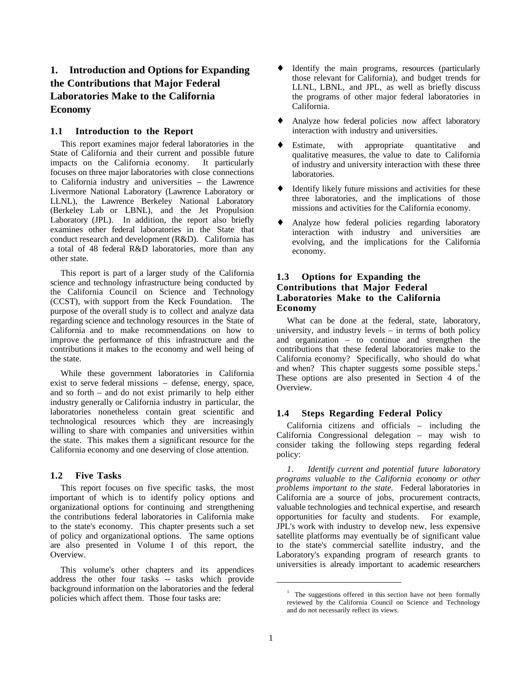## **1. Introduction and Options for Expanding the Contributions that Major Federal Laboratories Make to the California Economy**

#### **1.1 Introduction to the Report**

This report examines major federal laboratories in the State of California and their current and possible future impacts on the California economy. It particularly focuses on three major laboratories with close connections to California industry and universities – the Lawrence Livermore National Laboratory (Lawrence Laboratory or LLNL), the Lawrence Berkeley National Laboratory (Berkeley Lab or LBNL), and the Jet Propulsion Laboratory (JPL). In addition, the report also briefly examines other federal laboratories in the State that conduct research and development (R&D). California has a total of 48 federal R&D laboratories, more than any other state.

This report is part of a larger study of the California science and technology infrastructure being conducted by the California Council on Science and Technology (CCST), with support from the Keck Foundation. The purpose of the overall study is to collect and analyze data regarding science and technology resources in the State of California and to make recommendations on how to improve the performance of this infrastructure and the contributions it makes to the economy and well being of the state.

While these government laboratories in California exist to serve federal missions – defense, energy, space, and so forth – and do not exist primarily to help either industry generally or California industry in particular, the laboratories nonetheless contain great scientific and technological resources which they are increasingly willing to share with companies and universities within the state. This makes them a significant resource for the California economy and one deserving of close attention.

#### **1.2 Five Tasks**

This report focuses on five specific tasks, the most important of which is to identify policy options and organizational options for continuing and strengthening the contributions federal laboratories in California make to the state's economy. This chapter presents such a set of policy and organizational options. The same options are also presented in Volume I of this report, the Overview.

This volume's other chapters and its appendices address the other four tasks -- tasks which provide background information on the laboratories and the federal policies which affect them. Those four tasks are:

- ♦ Identify the main programs, resources (particularly those relevant for California), and budget trends for LLNL, LBNL, and JPL, as well as briefly discuss the programs of other major federal laboratories in California.
- Analyze how federal policies now affect laboratory interaction with industry and universities.
- Estimate, with appropriate quantitative and qualitative measures, the value to date to California of industry and university interaction with these three laboratories.
- ♦ Identify likely future missions and activities for these three laboratories, and the implications of those missions and activities for the California economy.
- ♦ Analyze how federal policies regarding laboratory interaction with industry and universities are evolving, and the implications for the California economy.

## **1.3 Options for Expanding the Contributions that Major Federal Laboratories Make to the California Economy**

What can be done at the federal, state, laboratory, university, and industry levels – in terms of both policy and organization – to continue and strengthen the contributions that these federal laboratories make to the California economy? Specifically, who should do what and when? This chapter suggests some possible steps.<sup>1</sup> These options are also presented in Section 4 of the Overview.

## **1.4 Steps Regarding Federal Policy**

California citizens and officials – including the California Congressional delegation – may wish to consider taking the following steps regarding federal policy:

*1. Identify current and potential future laboratory programs valuable to the California economy or other problems important to the state.* Federal laboratories in California are a source of jobs, procurement contracts, valuable technologies and technical expertise, and research opportunities for faculty and students. For example, JPL's work with industry to develop new, less expensive satellite platforms may eventually be of significant value to the state's commercial satellite industry, and the Laboratory's expanding program of research grants to universities is already important to academic researchers

<sup>&</sup>lt;sup>1</sup> The suggestions offered in this section have not been formally reviewed by the California Council on Science and Technology and do not necessarily reflect its views.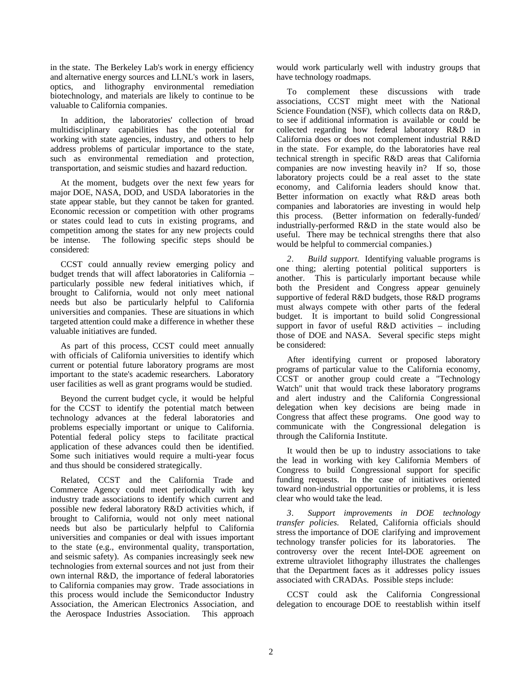in the state. The Berkeley Lab's work in energy efficiency and alternative energy sources and LLNL's work in lasers, optics, and lithography environmental remediation biotechnology, and materials are likely to continue to be valuable to California companies.

In addition, the laboratories' collection of broad multidisciplinary capabilities has the potential for working with state agencies, industry, and others to help address problems of particular importance to the state, such as environmental remediation and protection, transportation, and seismic studies and hazard reduction.

At the moment, budgets over the next few years for major DOE, NASA, DOD, and USDA laboratories in the state appear stable, but they cannot be taken for granted. Economic recession or competition with other programs or states could lead to cuts in existing programs, and competition among the states for any new projects could be intense. The following specific steps should be considered:

CCST could annually review emerging policy and budget trends that will affect laboratories in California – particularly possible new federal initiatives which, if brought to California, would not only meet national needs but also be particularly helpful to California universities and companies. These are situations in which targeted attention could make a difference in whether these valuable initiatives are funded.

As part of this process, CCST could meet annually with officials of California universities to identify which current or potential future laboratory programs are most important to the state's academic researchers. Laboratory user facilities as well as grant programs would be studied.

Beyond the current budget cycle, it would be helpful for the CCST to identify the potential match between technology advances at the federal laboratories and problems especially important or unique to California. Potential federal policy steps to facilitate practical application of these advances could then be identified. Some such initiatives would require a multi-year focus and thus should be considered strategically.

Related, CCST and the California Trade and Commerce Agency could meet periodically with key industry trade associations to identify which current and possible new federal laboratory R&D activities which, if brought to California, would not only meet national needs but also be particularly helpful to California universities and companies or deal with issues important to the state (e.g., environmental quality, transportation, and seismic safety). As companies increasingly seek new technologies from external sources and not just from their own internal R&D, the importance of federal laboratories to California companies may grow. Trade associations in this process would include the Semiconductor Industry Association, the American Electronics Association, and the Aerospace Industries Association. This approach

would work particularly well with industry groups that have technology roadmaps.

To complement these discussions with trade associations, CCST might meet with the National Science Foundation (NSF), which collects data on R&D, to see if additional information is available or could be collected regarding how federal laboratory R&D in California does or does not complement industrial R&D in the state. For example, do the laboratories have real technical strength in specific R&D areas that California companies are now investing heavily in? If so, those laboratory projects could be a real asset to the state economy, and California leaders should know that. Better information on exactly what R&D areas both companies and laboratories are investing in would help this process. (Better information on federally-funded/ industrially-performed R&D in the state would also be useful. There may be technical strengths there that also would be helpful to commercial companies.)

*2. Build support.* Identifying valuable programs is one thing; alerting potential political supporters is another. This is particularly important because while both the President and Congress appear genuinely supportive of federal R&D budgets, those R&D programs must always compete with other parts of the federal budget. It is important to build solid Congressional support in favor of useful R&D activities – including those of DOE and NASA. Several specific steps might be considered:

After identifying current or proposed laboratory programs of particular value to the California economy, CCST or another group could create a "Technology Watch" unit that would track these laboratory programs and alert industry and the California Congressional delegation when key decisions are being made in Congress that affect these programs. One good way to communicate with the Congressional delegation is through the California Institute.

It would then be up to industry associations to take the lead in working with key California Members of Congress to build Congressional support for specific funding requests. In the case of initiatives oriented toward non-industrial opportunities or problems, it is less clear who would take the lead.

*3. Support improvements in DOE technology transfer policies.* Related, California officials should stress the importance of DOE clarifying and improvement technology transfer policies for its laboratories. The controversy over the recent Intel-DOE agreement on extreme ultraviolet lithography illustrates the challenges that the Department faces as it addresses policy issues associated with CRADAs. Possible steps include:

CCST could ask the California Congressional delegation to encourage DOE to reestablish within itself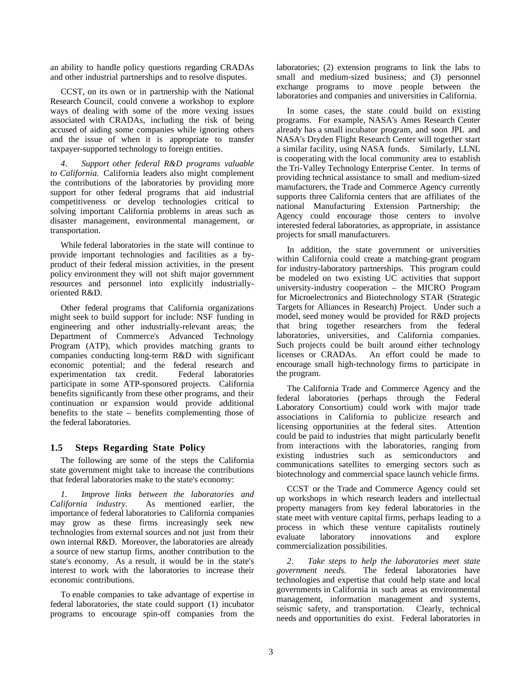an ability to handle policy questions regarding CRADAs and other industrial partnerships and to resolve disputes.

CCST, on its own or in partnership with the National Research Council, could convene a workshop to explore ways of dealing with some of the more vexing issues associated with CRADAs, including the risk of being accused of aiding some companies while ignoring others and the issue of when it is appropriate to transfer taxpayer-supported technology to foreign entities.

*4. Support other federal R&D programs valuable to California.*California leaders also might complement the contributions of the laboratories by providing more support for other federal programs that aid industrial competitiveness or develop technologies critical to solving important California problems in areas such as disaster management, environmental management, or transportation.

While federal laboratories in the state will continue to provide important technologies and facilities as a byproduct of their federal mission activities, in the present policy environment they will not shift major government resources and personnel into explicitly industriallyoriented R&D.

Other federal programs that California organizations might seek to build support for include: NSF funding in engineering and other industrially-relevant areas; the Department of Commerce's Advanced Technology Program (ATP), which provides matching grants to companies conducting long-term R&D with significant economic potential; and the federal research and experimentation tax credit. Federal laboratories participate in some ATP-sponsored projects. California benefits significantly from these other programs, and their continuation or expansion would provide additional benefits to the state – benefits complementing those of the federal laboratories.

#### **1.5 Steps Regarding State Policy**

The following are some of the steps the California state government might take to increase the contributions that federal laboratories make to the state's economy:

*1. Improve links between the laboratories and California industry.* As mentioned earlier, the importance of federal laboratories to California companies may grow as these firms increasingly seek new technologies from external sources and not just from their own internal R&D. Moreover, the laboratories are already a source of new startup firms, another contribution to the state's economy. As a result, it would be in the state's interest to work with the laboratories to increase their economic contributions.

To enable companies to take advantage of expertise in federal laboratories, the state could support (1) incubator programs to encourage spin-off companies from the laboratories; (2) extension programs to link the labs to small and medium-sized business; and (3) personnel exchange programs to move people between the laboratories and companies and universities in California.

In some cases, the state could build on existing programs. For example, NASA's Ames Research Center already has a small incubator program, and soon JPL and NASA's Dryden Flight Research Center will together start a similar facility, using NASA funds. Similarly, LLNL is cooperating with the local community area to establish the Tri-Valley Technology Enterprise Center. In terms of providing technical assistance to small and medium-sized manufacturers, the Trade and Commerce Agency currently supports three California centers that are affiliates of the national Manufacturing Extension Partnership; the Agency could encourage those centers to involve interested federal laboratories, as appropriate, in assistance projects for small manufacturers.

In addition, the state government or universities within California could create a matching-grant program for industry-laboratory partnerships. This program could be modeled on two existing UC activities that support university-industry cooperation – the MICRO Program for Microelectronics and Biotechnology STAR (Strategic Targets for Alliances in Research) Project. Under such a model, seed money would be provided for R&D projects that bring together researchers from the federal laboratories, universities, and California companies. Such projects could be built around either technology licenses or CRADAs. An effort could be made to encourage small high-technology firms to participate in the program.

The California Trade and Commerce Agency and the federal laboratories (perhaps through the Federal Laboratory Consortium) could work with major trade associations in California to publicize research and licensing opportunities at the federal sites. Attention could be paid to industries that might particularly benefit from interactions with the laboratories, ranging from existing industries such as semiconductors and communications satellites to emerging sectors such as biotechnology and commercial space launch vehicle firms.

CCST or the Trade and Commerce Agency could set up workshops in which research leaders and intellectual property managers from key federal laboratories in the state meet with venture capital firms, perhaps leading to a process in which these venture capitalists routinely evaluate laboratory innovations and explore commercialization possibilities.

*2. Take steps to help the laboratories meet state government needs.* The federal laboratories have technologies and expertise that could help state and local governments in California in such areas as environmental management, information management and systems, seismic safety, and transportation. Clearly, technical needs and opportunities do exist. Federal laboratories in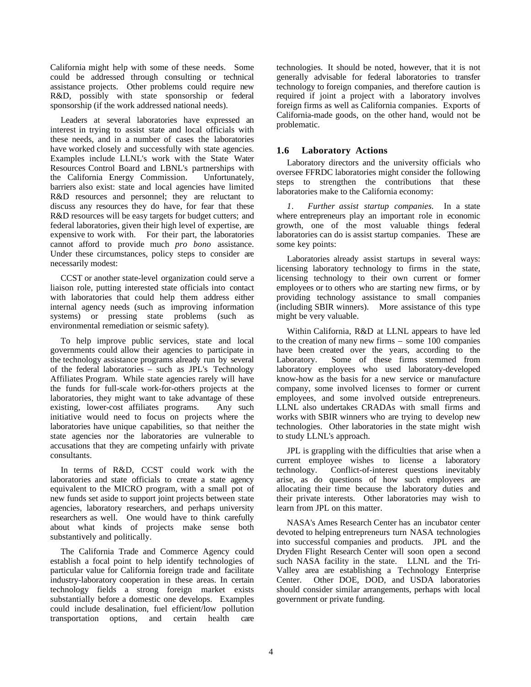California might help with some of these needs. Some could be addressed through consulting or technical assistance projects. Other problems could require new R&D, possibly with state sponsorship or federal sponsorship (if the work addressed national needs).

Leaders at several laboratories have expressed an interest in trying to assist state and local officials with these needs, and in a number of cases the laboratories have worked closely and successfully with state agencies. Examples include LLNL's work with the State Water Resources Control Board and LBNL's partnerships with the California Energy Commission. Unfortunately, barriers also exist: state and local agencies have limited R&D resources and personnel; they are reluctant to discuss any resources they do have, for fear that these R&D resources will be easy targets for budget cutters; and federal laboratories, given their high level of expertise, are expensive to work with. For their part, the laboratories cannot afford to provide much *pro bono* assistance. Under these circumstances, policy steps to consider are necessarily modest:

CCST or another state-level organization could serve a liaison role, putting interested state officials into contact with laboratories that could help them address either internal agency needs (such as improving information systems) or pressing state problems (such as environmental remediation or seismic safety).

To help improve public services, state and local governments could allow their agencies to participate in the technology assistance programs already run by several of the federal laboratories – such as JPL's Technology Affiliates Program. While state agencies rarely will have the funds for full-scale work-for-others projects at the laboratories, they might want to take advantage of these existing, lower-cost affiliates programs. Any such initiative would need to focus on projects where the laboratories have unique capabilities, so that neither the state agencies nor the laboratories are vulnerable to accusations that they are competing unfairly with private consultants.

In terms of R&D, CCST could work with the laboratories and state officials to create a state agency equivalent to the MICRO program, with a small pot of new funds set aside to support joint projects between state agencies, laboratory researchers, and perhaps university researchers as well. One would have to think carefully about what kinds of projects make sense both substantively and politically.

The California Trade and Commerce Agency could establish a focal point to help identify technologies of particular value for California foreign trade and facilitate industry-laboratory cooperation in these areas. In certain technology fields a strong foreign market exists substantially before a domestic one develops. Examples could include desalination, fuel efficient/low pollution transportation options, and certain health care

technologies. It should be noted, however, that it is not generally advisable for federal laboratories to transfer technology to foreign companies, and therefore caution is required if joint a project with a laboratory involves foreign firms as well as California companies. Exports of California-made goods, on the other hand, would not be problematic.

## **1.6 Laboratory Actions**

Laboratory directors and the university officials who oversee FFRDC laboratories might consider the following steps to strengthen the contributions that these laboratories make to the California economy:

*1. Further assist startup companies.* In a state where entrepreneurs play an important role in economic growth, one of the most valuable things federal laboratories can do is assist startup companies. These are some key points:

Laboratories already assist startups in several ways: licensing laboratory technology to firms in the state, licensing technology to their own current or former employees or to others who are starting new firms, or by providing technology assistance to small companies (including SBIR winners). More assistance of this type might be very valuable.

Within California, R&D at LLNL appears to have led to the creation of many new firms – some 100 companies have been created over the years, according to the Laboratory. Some of these firms stemmed from laboratory employees who used laboratory-developed know-how as the basis for a new service or manufacture company, some involved licenses to former or current employees, and some involved outside entrepreneurs. LLNL also undertakes CRADAs with small firms and works with SBIR winners who are trying to develop new technologies. Other laboratories in the state might wish to study LLNL's approach.

JPL is grappling with the difficulties that arise when a current employee wishes to license a laboratory technology. Conflict-of-interest questions inevitably arise, as do questions of how such employees are allocating their time because the laboratory duties and their private interests. Other laboratories may wish to learn from JPL on this matter.

NASA's Ames Research Center has an incubator center devoted to helping entrepreneurs turn NASA technologies into successful companies and products. JPL and the Dryden Flight Research Center will soon open a second such NASA facility in the state. LLNL and the Tri-Valley area are establishing a Technology Enterprise Center. Other DOE, DOD, and USDA laboratories should consider similar arrangements, perhaps with local government or private funding.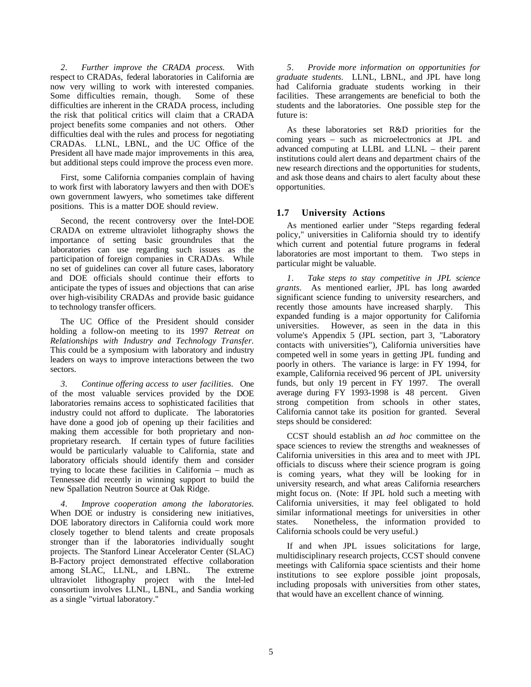*2. Further improve the CRADA process.* With respect to CRADAs, federal laboratories in California are now very willing to work with interested companies. Some difficulties remain, though. Some of these difficulties are inherent in the CRADA process, including the risk that political critics will claim that a CRADA project benefits some companies and not others. Other difficulties deal with the rules and process for negotiating CRADAs. LLNL, LBNL, and the UC Office of the President all have made major improvements in this area, but additional steps could improve the process even more.

First, some California companies complain of having to work first with laboratory lawyers and then with DOE's own government lawyers, who sometimes take different positions. This is a matter DOE should review.

Second, the recent controversy over the Intel-DOE CRADA on extreme ultraviolet lithography shows the importance of setting basic groundrules that the laboratories can use regarding such issues as the participation of foreign companies in CRADAs. While no set of guidelines can cover all future cases, laboratory and DOE officials should continue their efforts to anticipate the types of issues and objections that can arise over high-visibility CRADAs and provide basic guidance to technology transfer officers.

The UC Office of the President should consider holding a follow-on meeting to its 1997 *Retreat on Relationships with Industry and Technology Transfer.* This could be a symposium with laboratory and industry leaders on ways to improve interactions between the two sectors.

*3. Continue offering access to user facilities.* One of the most valuable services provided by the DOE laboratories remains access to sophisticated facilities that industry could not afford to duplicate. The laboratories have done a good job of opening up their facilities and making them accessible for both proprietary and nonproprietary research. If certain types of future facilities would be particularly valuable to California, state and laboratory officials should identify them and consider trying to locate these facilities in California – much as Tennessee did recently in winning support to build the new Spallation Neutron Source at Oak Ridge.

*4. Improve cooperation among the laboratories.* When DOE or industry is considering new initiatives, DOE laboratory directors in California could work more closely together to blend talents and create proposals stronger than if the laboratories individually sought projects. The Stanford Linear Accelerator Center (SLAC) B-Factory project demonstrated effective collaboration among SLAC, LLNL, and LBNL. The extreme ultraviolet lithography project with the Intel-led consortium involves LLNL, LBNL, and Sandia working as a single "virtual laboratory."

*5. Provide more information on opportunities for graduate students.* LLNL, LBNL, and JPL have long had California graduate students working in their facilities. These arrangements are beneficial to both the students and the laboratories. One possible step for the future is:

As these laboratories set R&D priorities for the coming years – such as microelectronics at JPL and advanced computing at LLBL and LLNL – their parent institutions could alert deans and department chairs of the new research directions and the opportunities for students, and ask those deans and chairs to alert faculty about these opportunities.

## **1.7 University Actions**

As mentioned earlier under "Steps regarding federal policy," universities in California should try to identify which current and potential future programs in federal laboratories are most important to them. Two steps in particular might be valuable.

*1. Take steps to stay competitive in JPL science grants.* As mentioned earlier, JPL has long awarded significant science funding to university researchers, and recently those amounts have increased sharply. This expanded funding is a major opportunity for California universities. However, as seen in the data in this volume's Appendix 5 (JPL section, part 3, "Laboratory contacts with universities"), California universities have competed well in some years in getting JPL funding and poorly in others. The variance is large: in FY 1994, for example, California received 96 percent of JPL university funds, but only 19 percent in FY 1997. The overall average during FY 1993-1998 is 48 percent. Given strong competition from schools in other states, California cannot take its position for granted. Several steps should be considered:

CCST should establish an *ad hoc* committee on the space sciences to review the strengths and weaknesses of California universities in this area and to meet with JPL officials to discuss where their science program is going is coming years, what they will be looking for in university research, and what areas California researchers might focus on. (Note: If JPL hold such a meeting with California universities, it may feel obligated to hold similar informational meetings for universities in other states. Nonetheless, the information provided to California schools could be very useful.)

If and when JPL issues solicitations for large, multidisciplinary research projects, CCST should convene meetings with California space scientists and their home institutions to see explore possible joint proposals, including proposals with universities from other states, that would have an excellent chance of winning.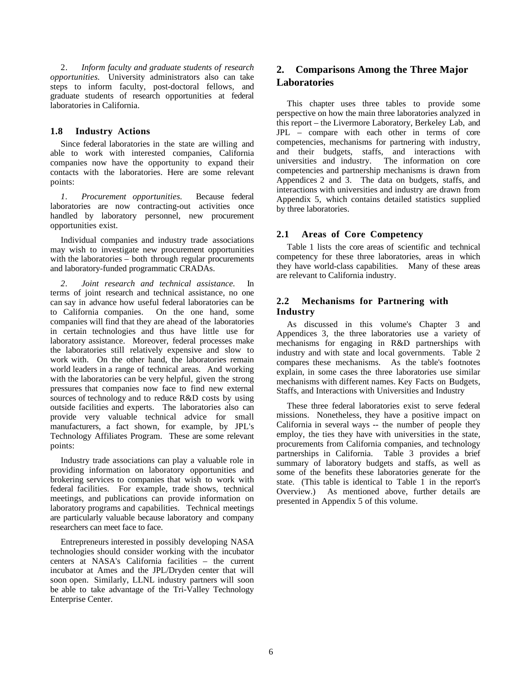2. *Inform faculty and graduate students of research opportunities.* University administrators also can take steps to inform faculty, post-doctoral fellows, and graduate students of research opportunities at federal laboratories in California.

## **1.8 Industry Actions**

Since federal laboratories in the state are willing and able to work with interested companies, California companies now have the opportunity to expand their contacts with the laboratories. Here are some relevant points:

*1. Procurement opportunities.* Because federal laboratories are now contracting-out activities once handled by laboratory personnel, new procurement opportunities exist.

Individual companies and industry trade associations may wish to investigate new procurement opportunities with the laboratories – both through regular procurements and laboratory-funded programmatic CRADAs.

*2. Joint research and technical assistance.* In terms of joint research and technical assistance, no one can say in advance how useful federal laboratories can be to California companies. On the one hand, some companies will find that they are ahead of the laboratories in certain technologies and thus have little use for laboratory assistance. Moreover, federal processes make the laboratories still relatively expensive and slow to work with. On the other hand, the laboratories remain world leaders in a range of technical areas. And working with the laboratories can be very helpful, given the strong pressures that companies now face to find new external sources of technology and to reduce R&D costs by using outside facilities and experts. The laboratories also can provide very valuable technical advice for small manufacturers, a fact shown, for example, by JPL's Technology Affiliates Program. These are some relevant points:

Industry trade associations can play a valuable role in providing information on laboratory opportunities and brokering services to companies that wish to work with federal facilities. For example, trade shows, technical meetings, and publications can provide information on laboratory programs and capabilities. Technical meetings are particularly valuable because laboratory and company researchers can meet face to face.

Entrepreneurs interested in possibly developing NASA technologies should consider working with the incubator centers at NASA's California facilities – the current incubator at Ames and the JPL/Dryden center that will soon open. Similarly, LLNL industry partners will soon be able to take advantage of the Tri-Valley Technology Enterprise Center.

## **2. Comparisons Among the Three Major Laboratories**

This chapter uses three tables to provide some perspective on how the main three laboratories analyzed in this report – the Livermore Laboratory, Berkeley Lab, and JPL – compare with each other in terms of core competencies, mechanisms for partnering with industry, and their budgets, staffs, and interactions with universities and industry. The information on core competencies and partnership mechanisms is drawn from Appendices 2 and 3. The data on budgets, staffs, and interactions with universities and industry are drawn from Appendix 5, which contains detailed statistics supplied by three laboratories.

## **2.1 Areas of Core Competency**

Table 1 lists the core areas of scientific and technical competency for these three laboratories, areas in which they have world-class capabilities. Many of these areas are relevant to California industry.

## **2.2 Mechanisms for Partnering with Industry**

As discussed in this volume's Chapter 3 and Appendices 3, the three laboratories use a variety of mechanisms for engaging in R&D partnerships with industry and with state and local governments. Table 2 compares these mechanisms. As the table's footnotes explain, in some cases the three laboratories use similar mechanisms with different names. Key Facts on Budgets, Staffs, and Interactions with Universities and Industry

These three federal laboratories exist to serve federal missions. Nonetheless, they have a positive impact on California in several ways -- the number of people they employ, the ties they have with universities in the state, procurements from California companies, and technology partnerships in California. Table 3 provides a brief summary of laboratory budgets and staffs, as well as some of the benefits these laboratories generate for the state. (This table is identical to Table  $\overline{1}$  in the report's Overview.) As mentioned above, further details are presented in Appendix 5 of this volume.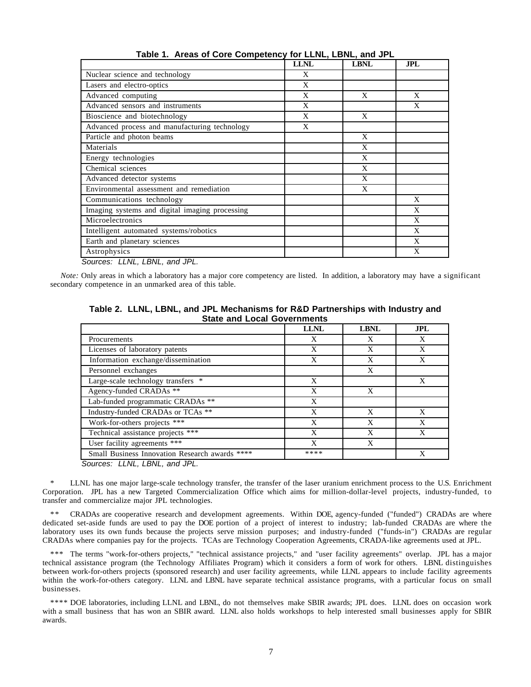|                                                | <b>LLNL</b> | <b>LBNL</b> | <b>JPL</b> |
|------------------------------------------------|-------------|-------------|------------|
| Nuclear science and technology                 | X           |             |            |
| Lasers and electro-optics                      | X           |             |            |
| Advanced computing                             | X           | X           | X          |
| Advanced sensors and instruments               | X           |             | X          |
| Bioscience and biotechnology                   | X           | X           |            |
| Advanced process and manufacturing technology  | X           |             |            |
| Particle and photon beams                      |             | X           |            |
| Materials                                      |             | X           |            |
| Energy technologies                            |             | X           |            |
| Chemical sciences                              |             | X           |            |
| Advanced detector systems                      |             | X           |            |
| Environmental assessment and remediation       |             | X           |            |
| Communications technology                      |             |             | X          |
| Imaging systems and digital imaging processing |             |             | X          |
| Microelectronics                               |             |             | X          |
| Intelligent automated systems/robotics         |             |             | X          |
| Earth and planetary sciences                   |             |             | X          |
| Astrophysics                                   |             |             | X          |

**Table 1. Areas of Core Competency for LLNL, LBNL, and JPL**

*Sources: LLNL, LBNL, and JPL.*

*Note:* Only areas in which a laboratory has a major core competency are listed. In addition, a laboratory may have a significant secondary competence in an unmarked area of this table.

**Table 2. LLNL, LBNL, and JPL Mechanisms for R&D Partnerships with Industry and State and Local Governments**

|                                                | <b>LLNL</b> | <b>LBNL</b> | <b>JPL</b> |
|------------------------------------------------|-------------|-------------|------------|
| Procurements                                   | X           | X           | X          |
| Licenses of laboratory patents                 | X           | X           | X          |
| Information exchange/dissemination             | X           | X           | X          |
| Personnel exchanges                            |             | X           |            |
| Large-scale technology transfers *             | X           |             | X          |
| Agency-funded CRADAs **                        | X           | X           |            |
| Lab-funded programmatic CRADAs **              | X           |             |            |
| Industry-funded CRADAs or TCAs **              | X           | X           | X          |
| Work-for-others projects ***                   | X           | X           | X          |
| Technical assistance projects ***              | X           | X           | X          |
| User facility agreements ***                   | X           | X           |            |
| Small Business Innovation Research awards **** | ****        |             | X          |
|                                                |             |             |            |

*Sources: LLNL, LBNL, and JPL.*

\* LLNL has one major large-scale technology transfer, the transfer of the laser uranium enrichment process to the U.S. Enrichment Corporation. JPL has a new Targeted Commercialization Office which aims for million-dollar-level projects, industry-funded, to transfer and commercialize major JPL technologies.

\*\* CRADAs are cooperative research and development agreements. Within DOE, agency-funded ("funded") CRADAs are where dedicated set-aside funds are used to pay the DOE portion of a project of interest to industry; lab-funded CRADAs are where the laboratory uses its own funds because the projects serve mission purposes; and industry-funded ("funds-in") CRADAs are regular CRADAs where companies pay for the projects. TCAs are Technology Cooperation Agreements, CRADA-like agreements used at JPL.

\*\*\* The terms "work-for-others projects," "technical assistance projects," and "user facility agreements" overlap. JPL has a major technical assistance program (the Technology Affiliates Program) which it considers a form of work for others. LBNL distinguishes between work-for-others projects (sponsored research) and user facility agreements, while LLNL appears to include facility agreements within the work-for-others category. LLNL and LBNL have separate technical assistance programs, with a particular focus on small businesses.

\*\*\*\* DOE laboratories, including LLNL and LBNL, do not themselves make SBIR awards; JPL does. LLNL does on occasion work with a small business that has won an SBIR award. LLNL also holds workshops to help interested small businesses apply for SBIR awards.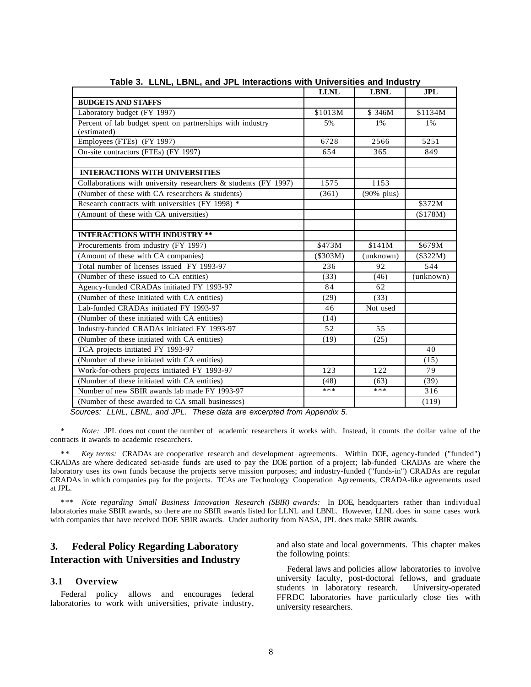|                                                                 | <b>LLNL</b> | <b>LBNL</b>     | <b>JPL</b> |
|-----------------------------------------------------------------|-------------|-----------------|------------|
| <b>BUDGETS AND STAFFS</b>                                       |             |                 |            |
| Laboratory budget (FY 1997)                                     | \$1013M     | \$346M          | \$1134M    |
| Percent of lab budget spent on partnerships with industry       | 5%          | $1\%$           | 1%         |
| (estimated)                                                     |             |                 |            |
| Employees (FTEs) (FY 1997)                                      | 6728        | 2566            | 5251       |
| On-site contractors (FTEs) (FY 1997)                            | 654         | 365             | 849        |
|                                                                 |             |                 |            |
| <b>INTERACTIONS WITH UNIVERSITIES</b>                           |             |                 |            |
| Collaborations with university researchers & students (FY 1997) | 1575        | 1153            |            |
| (Number of these with CA researchers & students)                | (361)       | $(90\%$ plus)   |            |
| Research contracts with universities (FY 1998) *                |             |                 | \$372M     |
| (Amount of these with CA universities)                          |             |                 | (\$178M)   |
|                                                                 |             |                 |            |
| <b>INTERACTIONS WITH INDUSTRY **</b>                            |             |                 |            |
| Procurements from industry (FY 1997)                            | \$473M      | \$141M          | \$679M     |
| (Amount of these with CA companies)                             | (\$303M)    | (unknown)       | (\$322M)   |
| Total number of licenses issued FY 1993-97                      | 236         | 92              | 544        |
| (Number of these issued to CA entities)                         | (33)        | (46)            | (unknown)  |
| Agency-funded CRADAs initiated FY 1993-97                       | 84          | 62              |            |
| (Number of these initiated with CA entities)                    | (29)        | (33)            |            |
| Lab-funded CRADAs initiated FY 1993-97                          | 46          | Not used        |            |
| (Number of these initiated with CA entities)                    | (14)        |                 |            |
| Industry-funded CRADAs initiated FY 1993-97                     | 52          | $\overline{55}$ |            |
| (Number of these initiated with CA entities)                    | (19)        | (25)            |            |
| TCA projects initiated FY 1993-97                               |             |                 | 40         |
| (Number of these initiated with CA entities)                    |             |                 | (15)       |
| Work-for-others projects initiated FY 1993-97                   | 123         | 122             | 79         |
| (Number of these initiated with CA entities)                    | (48)        | (63)            | (39)       |
| Number of new SBIR awards lab made FY 1993-97                   | ***         | ***             | 316        |
| (Number of these awarded to CA small businesses)                |             |                 | (119)      |

**Table 3. LLNL, LBNL, and JPL Interactions with Universities and Industry**

*Sources: LLNL, LBNL, and JPL. These data are excerpted from Appendix 5.*

*Note:* JPL does not count the number of academic researchers it works with. Instead, it counts the dollar value of the contracts it awards to academic researchers.

\*\* *Key terms:* CRADAs are cooperative research and development agreements. Within DOE, agency-funded ("funded") CRADAs are where dedicated set-aside funds are used to pay the DOE portion of a project; lab-funded CRADAs are where the laboratory uses its own funds because the projects serve mission purposes; and industry-funded ("funds-in") CRADAs are regular CRADAs in which companies pay for the projects. TCAs are Technology Cooperation Agreements, CRADA-like agreements used at JPL.

\*\*\* *Note regarding Small Business Innovation Research (SBIR) awards:* In DOE, headquarters rather than individual laboratories make SBIR awards, so there are no SBIR awards listed for LLNL and LBNL. However, LLNL does in some cases work with companies that have received DOE SBIR awards. Under authority from NASA, JPL does make SBIR awards.

## **3. Federal Policy Regarding Laboratory Interaction with Universities and Industry**

## **3.1 Overview**

Federal policy allows and encourages federal laboratories to work with universities, private industry, and also state and local governments. This chapter makes the following points:

Federal laws and policies allow laboratories to involve university faculty, post-doctoral fellows, and graduate students in laboratory research. University-operated FFRDC laboratories have particularly close ties with university researchers.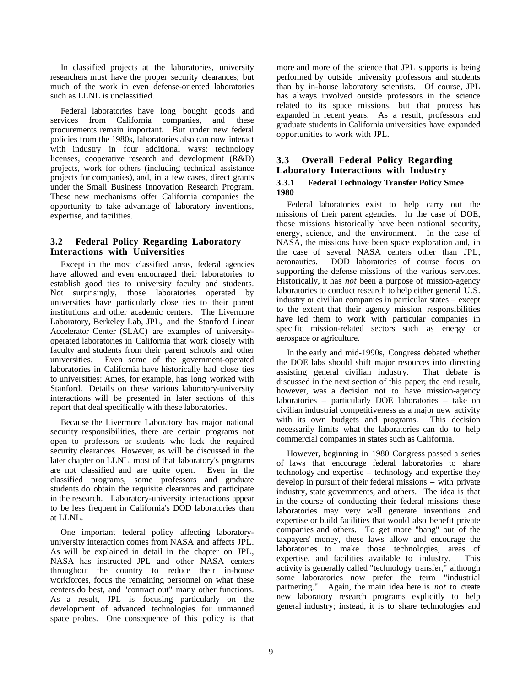In classified projects at the laboratories, university researchers must have the proper security clearances; but much of the work in even defense-oriented laboratories such as LLNL is unclassified.

Federal laboratories have long bought goods and services from California companies, and these procurements remain important. But under new federal policies from the 1980s, laboratories also can now interact with industry in four additional ways: technology licenses, cooperative research and development (R&D) projects, work for others (including technical assistance projects for companies), and, in a few cases, direct grants under the Small Business Innovation Research Program. These new mechanisms offer California companies the opportunity to take advantage of laboratory inventions, expertise, and facilities.

## **3.2 Federal Policy Regarding Laboratory Interactions with Universities**

Except in the most classified areas, federal agencies have allowed and even encouraged their laboratories to establish good ties to university faculty and students. Not surprisingly, those laboratories operated by universities have particularly close ties to their parent institutions and other academic centers. The Livermore Laboratory, Berkeley Lab, JPL, and the Stanford Linear Accelerator Center (SLAC) are examples of universityoperated laboratories in California that work closely with faculty and students from their parent schools and other universities. Even some of the government-operated laboratories in California have historically had close ties to universities: Ames, for example, has long worked with Stanford. Details on these various laboratory-university interactions will be presented in later sections of this report that deal specifically with these laboratories.

Because the Livermore Laboratory has major national security responsibilities, there are certain programs not open to professors or students who lack the required security clearances. However, as will be discussed in the later chapter on LLNL, most of that laboratory's programs are not classified and are quite open. Even in the classified programs, some professors and graduate students do obtain the requisite clearances and participate in the research. Laboratory-university interactions appear to be less frequent in California's DOD laboratories than at LLNL.

One important federal policy affecting laboratoryuniversity interaction comes from NASA and affects JPL. As will be explained in detail in the chapter on JPL, NASA has instructed JPL and other NASA centers throughout the country to reduce their in-house workforces, focus the remaining personnel on what these centers do best, and "contract out" many other functions. As a result, JPL is focusing particularly on the development of advanced technologies for unmanned space probes. One consequence of this policy is that more and more of the science that JPL supports is being performed by outside university professors and students than by in-house laboratory scientists. Of course, JPL has always involved outside professors in the science related to its space missions, but that process has expanded in recent years. As a result, professors and graduate students in California universities have expanded opportunities to work with JPL.

## **3.3 Overall Federal Policy Regarding Laboratory Interactions with Industry 3.3.1 Federal Technology Transfer Policy Since 1980**

Federal laboratories exist to help carry out the missions of their parent agencies. In the case of DOE, those missions historically have been national security, energy, science, and the environment. In the case of NASA, the missions have been space exploration and, in the case of several NASA centers other than JPL, aeronautics. DOD laboratories of course focus on supporting the defense missions of the various services. Historically, it has *not* been a purpose of mission-agency laboratories to conduct research to help either general U.S. industry or civilian companies in particular states – except to the extent that their agency mission responsibilities have led them to work with particular companies in specific mission-related sectors such as energy or aerospace or agriculture.

In the early and mid-1990s, Congress debated whether the DOE labs should shift major resources into directing assisting general civilian industry. That debate is discussed in the next section of this paper; the end result, however, was a decision not to have mission-agency laboratories – particularly DOE laboratories – take on civilian industrial competitiveness as a major new activity with its own budgets and programs. This decision necessarily limits what the laboratories can do to help commercial companies in states such as California.

However, beginning in 1980 Congress passed a series of laws that encourage federal laboratories to share technology and expertise – technology and expertise they develop in pursuit of their federal missions – with private industry, state governments, and others. The idea is that in the course of conducting their federal missions these laboratories may very well generate inventions and expertise or build facilities that would also benefit private companies and others. To get more "bang" out of the taxpayers' money, these laws allow and encourage the laboratories to make those technologies, areas of expertise, and facilities available to industry. This activity is generally called "technology transfer," although some laboratories now prefer the term "industrial partnering." Again, the main idea here is *not* to create new laboratory research programs explicitly to help general industry; instead, it is to share technologies and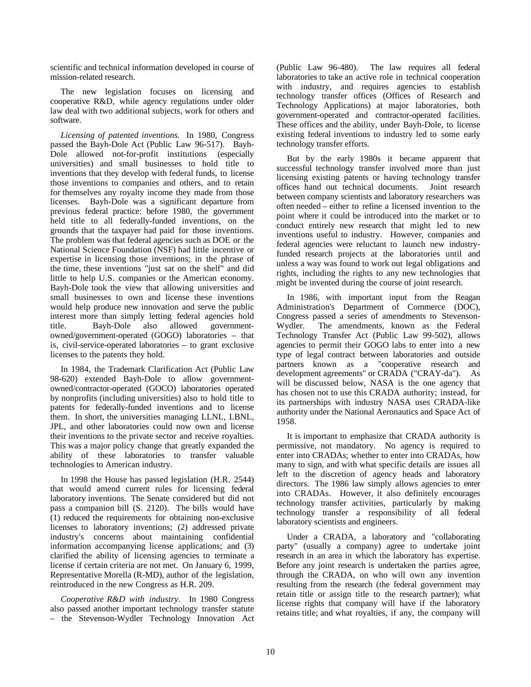scientific and technical information developed in course of mission-related research.

The new legislation focuses on licensing and cooperative R&D, while agency regulations under older law deal with two additional subjects, work for others and software.

*Licensing of patented inventions.* In 1980, Congress passed the Bayh-Dole Act (Public Law 96-517). Bayh-Dole allowed not-for-profit institutions (especially universities) and small businesses to hold title to inventions that they develop with federal funds, to license those inventions to companies and others, and to retain for themselves any royalty income they made from those licenses. Bayh-Dole was a significant departure from previous federal practice: before 1980, the government held title to all federally-funded inventions, on the grounds that the taxpayer had paid for those inventions. The problem was that federal agencies such as DOE or the National Science Foundation (NSF) had little incentive or expertise in licensing those inventions; in the phrase of the time, these inventions "just sat on the shelf" and did little to help U.S. companies or the American economy. Bayh-Dole took the view that allowing universities and small businesses to own and license these inventions would help produce new innovation and serve the public interest more than simply letting federal agencies hold title. Bayh-Dole also allowed governmentowned/government-operated (GOGO) laboratories – that is, civil-service-operated laboratories – to grant exclusive licenses to the patents they hold.

In 1984, the Trademark Clarification Act (Public Law 98-620) extended Bayh-Dole to allow governmentowned/contractor-operated (GOCO) laboratories operated by nonprofits (including universities) also to hold title to patents for federally-funded inventions and to license them. In short, the universities managing LLNL, LBNL, JPL, and other laboratories could now own and license their inventions to the private sector and receive royalties. This was a major policy change that greatly expanded the ability of these laboratories to transfer valuable technologies to American industry.

In 1998 the House has passed legislation (H.R. 2544) that would amend current rules for licensing federal laboratory inventions. The Senate considered but did not pass a companion bill (S. 2120). The bills would have (1) reduced the requirements for obtaining non-exclusive licenses to laboratory inventions; (2) addressed private industry's concerns about maintaining confidential information accompanying license applications; and (3) clarified the ability of licensing agencies to terminate a license if certain criteria are not met. On January 6, 1999, Representative Morella (R-MD), author of the legislation, reintroduced in the new Congress as H.R. 209.

*Cooperative R&D with industry.* In 1980 Congress also passed another important technology transfer statute – the Stevenson-Wydler Technology Innovation Act (Public Law 96-480). The law requires all federal laboratories to take an active role in technical cooperation with industry, and requires agencies to establish technology transfer offices (Offices of Research and Technology Applications) at major laboratories, both government-operated and contractor-operated facilities. These offices and the ability, under Bayh-Dole, to license existing federal inventions to industry led to some early technology transfer efforts.

But by the early 1980s it became apparent that successful technology transfer involved more than just licensing existing patents or having technology transfer offices hand out technical documents. Joint research between company scientists and laboratory researchers was often needed – either to refine a licensed invention to the point where it could be introduced into the market or to conduct entirely new research that might led to new inventions useful to industry. However, companies and federal agencies were reluctant to launch new industryfunded research projects at the laboratories until and unless a way was found to work out legal obligations and rights, including the rights to any new technologies that might be invented during the course of joint research.

In 1986, with important input from the Reagan Administration's Department of Commerce (DOC), Congress passed a series of amendments to Stevenson-Wydler. The amendments, known as the Federal Technology Transfer Act (Public Law 99-502), allows agencies to permit their GOGO labs to enter into a new type of legal contract between laboratories and outside partners known as a "cooperative research and development agreements" or CRADA ("CRAY-da"). As will be discussed below, NASA is the one agency that has chosen not to use this CRADA authority; instead, for its partnerships with industry NASA uses CRADA-like authority under the National Aeronautics and Space Act of 1958.

It is important to emphasize that CRADA authority is permissive, not mandatory. No agency is required to enter into CRADAs; whether to enter into CRADAs, how many to sign, and with what specific details are issues all left to the discretion of agency heads and laboratory directors. The 1986 law simply allows agencies to enter into CRADAs. However, it also definitely encourages technology transfer activities, particularly by making technology transfer a responsibility of all federal laboratory scientists and engineers.

Under a CRADA, a laboratory and "collaborating party" (usually a company) agree to undertake joint research in an area in which the laboratory has expertise. Before any joint research is undertaken the parties agree, through the CRADA, on who will own any invention resulting from the research (the federal government may retain title or assign title to the research partner); what license rights that company will have if the laboratory retains title; and what royalties, if any, the company will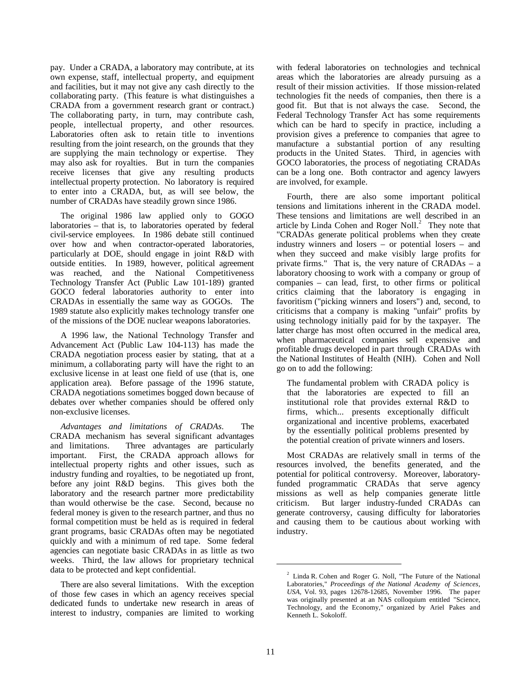pay. Under a CRADA, a laboratory may contribute, at its own expense, staff, intellectual property, and equipment and facilities, but it may not give any cash directly to the collaborating party. (This feature is what distinguishes a CRADA from a government research grant or contract.) The collaborating party, in turn, may contribute cash, people, intellectual property, and other resources. Laboratories often ask to retain title to inventions resulting from the joint research, on the grounds that they are supplying the main technology or expertise. They may also ask for royalties. But in turn the companies receive licenses that give any resulting products intellectual property protection. No laboratory is required to enter into a CRADA, but, as will see below, the number of CRADAs have steadily grown since 1986.

The original 1986 law applied only to GOGO laboratories – that is, to laboratories operated by federal civil-service employees. In 1986 debate still continued over how and when contractor-operated laboratories, particularly at DOE, should engage in joint R&D with outside entities. In 1989, however, political agreement was reached, and the National Competitiveness Technology Transfer Act (Public Law 101-189) granted GOCO federal laboratories authority to enter into CRADAs in essentially the same way as GOGOs. The 1989 statute also explicitly makes technology transfer one of the missions of the DOE nuclear weapons laboratories.

A 1996 law, the National Technology Transfer and Advancement Act (Public Law 104-113) has made the CRADA negotiation process easier by stating, that at a minimum, a collaborating party will have the right to an exclusive license in at least one field of use (that is, one application area). Before passage of the 1996 statute, CRADA negotiations sometimes bogged down because of debates over whether companies should be offered only non-exclusive licenses.

*Advantages and limitations of CRADAs.* The CRADA mechanism has several significant advantages and limitations. Three advantages are particularly important. First, the CRADA approach allows for intellectual property rights and other issues, such as industry funding and royalties, to be negotiated up front, before any joint R&D begins. This gives both the laboratory and the research partner more predictability than would otherwise be the case. Second, because no federal money is given to the research partner, and thus no formal competition must be held as is required in federal grant programs, basic CRADAs often may be negotiated quickly and with a minimum of red tape. Some federal agencies can negotiate basic CRADAs in as little as two weeks. Third, the law allows for proprietary technical data to be protected and kept confidential.

There are also several limitations. With the exception of those few cases in which an agency receives special dedicated funds to undertake new research in areas of interest to industry, companies are limited to working

with federal laboratories on technologies and technical areas which the laboratories are already pursuing as a result of their mission activities. If those mission-related technologies fit the needs of companies, then there is a good fit. But that is not always the case. Second, the Federal Technology Transfer Act has some requirements which can be hard to specify in practice, including a provision gives a preference to companies that agree to manufacture a substantial portion of any resulting products in the United States. Third, in agencies with GOCO laboratories, the process of negotiating CRADAs can be a long one. Both contractor and agency lawyers are involved, for example.

Fourth, there are also some important political tensions and limitations inherent in the CRADA model. These tensions and limitations are well described in an article by Linda Cohen and Roger Noll. $2$  They note that "CRADAs generate political problems when they create industry winners and losers – or potential losers – and when they succeed and make visibly large profits for private firms." That is, the very nature of CRADAs – a laboratory choosing to work with a company or group of companies – can lead, first, to other firms or political critics claiming that the laboratory is engaging in favoritism ("picking winners and losers") and, second, to criticisms that a company is making "unfair" profits by using technology initially paid for by the taxpayer. The latter charge has most often occurred in the medical area, when pharmaceutical companies sell expensive and profitable drugs developed in part through CRADAs with the National Institutes of Health (NIH). Cohen and Noll go on to add the following:

The fundamental problem with CRADA policy is that the laboratories are expected to fill an institutional role that provides external R&D to firms, which... presents exceptionally difficult organizational and incentive problems, exacerbated by the essentially political problems presented by the potential creation of private winners and losers.

Most CRADAs are relatively small in terms of the resources involved, the benefits generated, and the potential for political controversy. Moreover, laboratoryfunded programmatic CRADAs that serve agency missions as well as help companies generate little criticism. But larger industry-funded CRADAs can generate controversy, causing difficulty for laboratories and causing them to be cautious about working with industry.

 $2$  Linda R. Cohen and Roger G. Noll, "The Future of the National Laboratories," *Proceedings of the National Academy of Sciences, USA,* Vol. 93, pages 12678-12685, November 1996. The paper was originally presented at an NAS colloquium entitled "Science, Technology, and the Economy," organized by Ariel Pakes and Kenneth L. Sokoloff.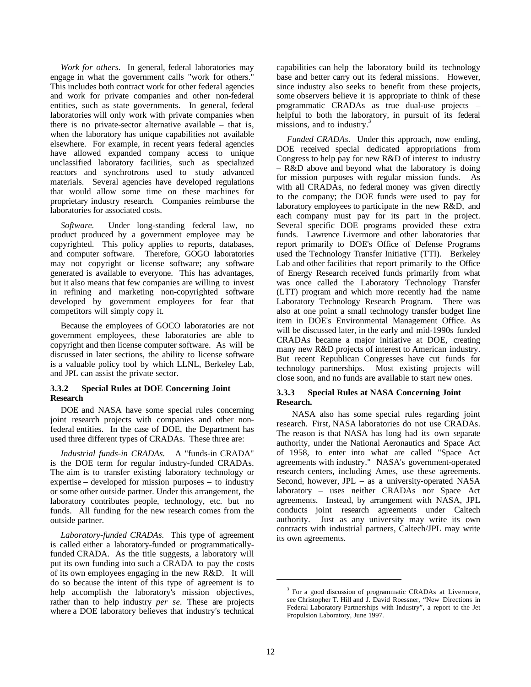*Work for others.* In general, federal laboratories may engage in what the government calls "work for others." This includes both contract work for other federal agencies and work for private companies and other non-federal entities, such as state governments. In general, federal laboratories will only work with private companies when there is no private-sector alternative available – that is, when the laboratory has unique capabilities not available elsewhere. For example, in recent years federal agencies have allowed expanded company access to unique unclassified laboratory facilities, such as specialized reactors and synchrotrons used to study advanced materials. Several agencies have developed regulations that would allow some time on these machines for proprietary industry research. Companies reimburse the laboratories for associated costs.

*Software.* Under long-standing federal law, no product produced by a government employee may be copyrighted. This policy applies to reports, databases, and computer software. Therefore, GOGO laboratories may not copyright or license software; any software generated is available to everyone. This has advantages, but it also means that few companies are willing to invest in refining and marketing non-copyrighted software developed by government employees for fear that competitors will simply copy it.

Because the employees of GOCO laboratories are not government employees, these laboratories are able to copyright and then license computer software. As will be discussed in later sections, the ability to license software is a valuable policy tool by which LLNL, Berkeley Lab, and JPL can assist the private sector.

#### **3.3.2 Special Rules at DOE Concerning Joint Research**

DOE and NASA have some special rules concerning joint research projects with companies and other nonfederal entities. In the case of DOE, the Department has used three different types of CRADAs. These three are:

*Industrial funds-in CRADAs.* A "funds-in CRADA" is the DOE term for regular industry-funded CRADAs. The aim is to transfer existing laboratory technology or expertise – developed for mission purposes – to industry or some other outside partner. Under this arrangement, the laboratory contributes people, technology, etc. but no funds. All funding for the new research comes from the outside partner.

*Laboratory-funded CRADAs.* This type of agreement is called either a laboratory-funded or programmaticallyfunded CRADA. As the title suggests, a laboratory will put its own funding into such a CRADA to pay the costs of its own employees engaging in the new R&D. It will do so because the intent of this type of agreement is to help accomplish the laboratory's mission objectives, rather than to help industry *per se.* These are projects where a DOE laboratory believes that industry's technical

capabilities can help the laboratory build its technology base and better carry out its federal missions. However, since industry also seeks to benefit from these projects, some observers believe it is appropriate to think of these programmatic CRADAs as true dual-use projects – helpful to both the laboratory, in pursuit of its federal missions, and to industry.<sup>3</sup>

*Funded CRADAs.* Under this approach, now ending, DOE received special dedicated appropriations from Congress to help pay for new R&D of interest to industry – R&D above and beyond what the laboratory is doing for mission purposes with regular mission funds. As with all CRADAs, no federal money was given directly to the company; the DOE funds were used to pay for laboratory employees to participate in the new R&D, and each company must pay for its part in the project. Several specific DOE programs provided these extra funds. Lawrence Livermore and other laboratories that report primarily to DOE's Office of Defense Programs used the Technology Transfer Initiative (TTI). Berkeley Lab and other facilities that report primarily to the Office of Energy Research received funds primarily from what was once called the Laboratory Technology Transfer (LTT) program and which more recently had the name Laboratory Technology Research Program. There was also at one point a small technology transfer budget line item in DOE's Environmental Management Office. As will be discussed later, in the early and mid-1990s funded CRADAs became a major initiative at DOE, creating many new R&D projects of interest to American industry. But recent Republican Congresses have cut funds for technology partnerships. Most existing projects will close soon, and no funds are available to start new ones.

#### **3.3.3 Special Rules at NASA Concerning Joint Research.**

 NASA also has some special rules regarding joint research. First, NASA laboratories do not use CRADAs. The reason is that NASA has long had its own separate authority, under the National Aeronautics and Space Act of 1958, to enter into what are called "Space Act agreements with industry." NASA's government-operated research centers, including Ames, use these agreements. Second, however, JPL – as a university-operated NASA laboratory – uses neither CRADAs nor Space Act agreements. Instead, by arrangement with NASA, JPL conducts joint research agreements under Caltech authority. Just as any university may write its own contracts with industrial partners, Caltech/JPL may write its own agreements.

<sup>&</sup>lt;sup>3</sup> For a good discussion of programmatic CRADAs at Livermore, see Christopher T. Hill and J. David Roessner, "New Directions in Federal Laboratory Partnerships with Industry", a report to the Jet Propulsion Laboratory, June 1997.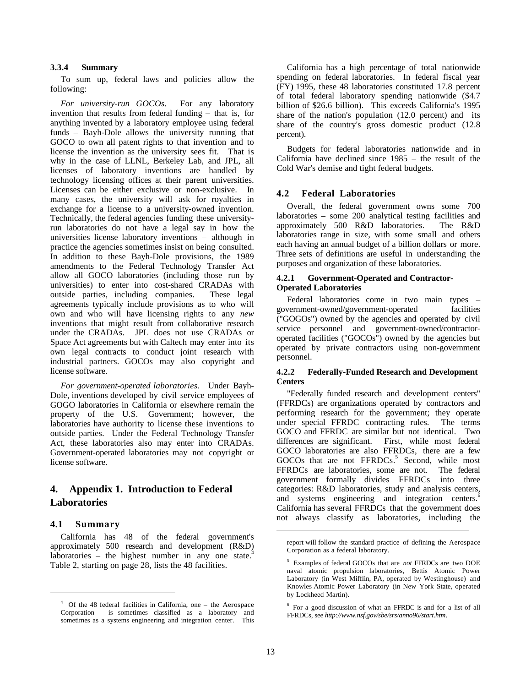#### **3.3.4 Summary**

To sum up, federal laws and policies allow the following:

*For university-run GOCOs.* For any laboratory invention that results from federal funding – that is, for anything invented by a laboratory employee using federal funds – Bayh-Dole allows the university running that GOCO to own all patent rights to that invention and to license the invention as the university sees fit. That is why in the case of LLNL, Berkeley Lab, and JPL, all licenses of laboratory inventions are handled by technology licensing offices at their parent universities. Licenses can be either exclusive or non-exclusive. In many cases, the university will ask for royalties in exchange for a license to a university-owned invention. Technically, the federal agencies funding these universityrun laboratories do not have a legal say in how the universities license laboratory inventions – although in practice the agencies sometimes insist on being consulted. In addition to these Bayh-Dole provisions, the 1989 amendments to the Federal Technology Transfer Act allow all GOCO laboratories (including those run by universities) to enter into cost-shared CRADAs with outside parties, including companies. These legal agreements typically include provisions as to who will own and who will have licensing rights to any *new* inventions that might result from collaborative research under the CRADAs. JPL does not use CRADAs or Space Act agreements but with Caltech may enter into its own legal contracts to conduct joint research with industrial partners. GOCOs may also copyright and license software.

*For government-operated laboratories.* Under Bayh-Dole, inventions developed by civil service employees of GOGO laboratories in California or elsewhere remain the property of the U.S. Government; however, the laboratories have authority to license these inventions to outside parties. Under the Federal Technology Transfer Act, these laboratories also may enter into CRADAs. Government-operated laboratories may not copyright or license software.

## **4. Appendix 1. Introduction to Federal Laboratories**

## **4.1 Summary**

 $\overline{a}$ 

California has 48 of the federal government's approximately 500 research and development (R&D) laboratories – the highest number in any one state.<sup>4</sup> Table 2, starting on page 28, lists the 48 facilities.

California has a high percentage of total nationwide spending on federal laboratories. In federal fiscal year (FY) 1995, these 48 laboratories constituted 17.8 percent of total federal laboratory spending nationwide (\$4.7 billion of \$26.6 billion). This exceeds California's 1995 share of the nation's population (12.0 percent) and its share of the country's gross domestic product (12.8 percent).

Budgets for federal laboratories nationwide and in California have declined since 1985 – the result of the Cold War's demise and tight federal budgets.

#### **4.2 Federal Laboratories**

Overall, the federal government owns some 700 laboratories – some 200 analytical testing facilities and approximately 500 R&D laboratories. The R&D laboratories range in size, with some small and others each having an annual budget of a billion dollars or more. Three sets of definitions are useful in understanding the purposes and organization of these laboratories.

#### **4.2.1 Government-Operated and Contractor-Operated Laboratories**

Federal laboratories come in two main types – government-owned/government-operated facilities ("GOGOs") owned by the agencies and operated by civil service personnel and government-owned/contractoroperated facilities ("GOCOs") owned by the agencies but operated by private contractors using non-government personnel.

#### **4.2.2 Federally-Funded Research and Development Centers**

"Federally funded research and development centers" (FFRDCs) are organizations operated by contractors and performing research for the government; they operate under special FFRDC contracting rules. The terms GOCO and FFRDC are similar but not identical. Two differences are significant. First, while most federal GOCO laboratories are also FFRDCs, there are a few GOCOs that are not FFRDCs.<sup>5</sup> Second, while most FFRDCs are laboratories, some are not. The federal government formally divides FFRDCs into three categories: R&D laboratories, study and analysis centers, and systems engineering and integration centers.<sup>6</sup> California has several FFRDCs that the government does not always classify as laboratories, including the

<sup>4</sup> Of the 48 federal facilities in California, one – the Aerospace Corporation – is sometimes classified as a laboratory and sometimes as a systems engineering and integration center. This

report will follow the standard practice of defining the Aerospace Corporation as a federal laboratory.

<sup>5</sup> Examples of federal GOCOs that are *not* FFRDCs are two DOE naval atomic propulsion laboratories, Bettis Atomic Power Laboratory (in West Mifflin, PA, operated by Westinghouse) and Knowles Atomic Power Laboratory (in New York State, operated by Lockheed Martin).

<sup>&</sup>lt;sup>6</sup> For a good discussion of what an FFRDC is and for a list of all FFRDCs, see *http://www.nsf.gov/sbe/srs/anno96/start.htm*.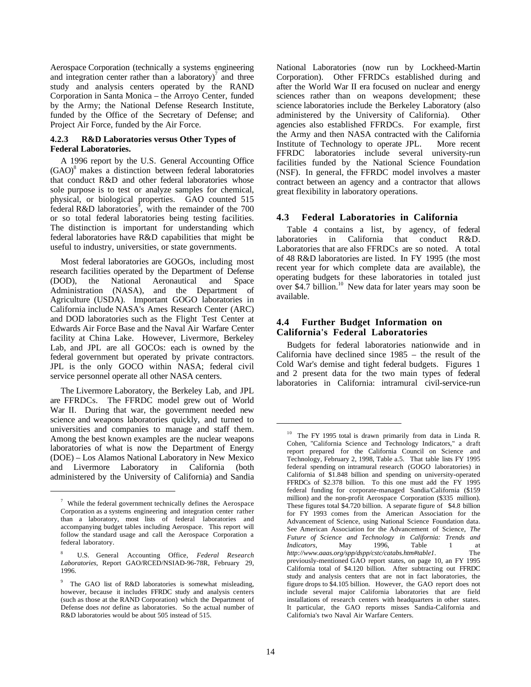Aerospace Corporation (technically a systems engineering and integration center rather than a laboratory)<sup>7</sup> and three study and analysis centers operated by the RAND Corporation in Santa Monica – the Arroyo Center, funded by the Army; the National Defense Research Institute, funded by the Office of the Secretary of Defense; and Project Air Force, funded by the Air Force.

#### **4.2.3 R&D Laboratories versus Other Types of Federal Laboratories.**

A 1996 report by the U.S. General Accounting Office (GAO)<sup>8</sup> makes a distinction between federal laboratories that conduct R&D and other federal laboratories whose sole purpose is to test or analyze samples for chemical, physical, or biological properties. GAO counted 515 federal R&D laboratories<sup>9</sup>, with the remainder of the 700 or so total federal laboratories being testing facilities. The distinction is important for understanding which federal laboratories have R&D capabilities that might be useful to industry, universities, or state governments.

Most federal laboratories are GOGOs, including most research facilities operated by the Department of Defense (DOD), the National Aeronautical and Space Administration (NASA), and the Department of Agriculture (USDA). Important GOGO laboratories in California include NASA's Ames Research Center (ARC) and DOD laboratories such as the Flight Test Center at Edwards Air Force Base and the Naval Air Warfare Center facility at China Lake. However, Livermore, Berkeley Lab, and JPL are all GOCOs: each is owned by the federal government but operated by private contractors. JPL is the only GOCO within NASA; federal civil service personnel operate all other NASA centers.

The Livermore Laboratory, the Berkeley Lab, and JPL are FFRDCs. The FFRDC model grew out of World War II. During that war, the government needed new science and weapons laboratories quickly, and turned to universities and companies to manage and staff them. Among the best known examples are the nuclear weapons laboratories of what is now the Department of Energy (DOE) – Los Alamos National Laboratory in New Mexico and Livermore Laboratory in California (both administered by the University of California) and Sandia

 $\overline{a}$ 

National Laboratories (now run by Lockheed-Martin Corporation). Other FFRDCs established during and after the World War II era focused on nuclear and energy sciences rather than on weapons development; these science laboratories include the Berkeley Laboratory (also administered by the University of California). Other agencies also established FFRDCs. For example, first the Army and then NASA contracted with the California Institute of Technology to operate JPL. More recent FFRDC laboratories include several university-run facilities funded by the National Science Foundation (NSF). In general, the FFRDC model involves a master contract between an agency and a contractor that allows great flexibility in laboratory operations.

## **4.3 Federal Laboratories in California**

Table 4 contains a list, by agency, of federal laboratories in California that conduct R&D. Laboratories that are also FFRDCs are so noted. A total of 48 R&D laboratories are listed. In FY 1995 (the most recent year for which complete data are available), the operating budgets for these laboratories in totaled just over \$4.7 billion.<sup>10</sup> New data for later years may soon be available.

## **4.4 Further Budget Information on California's Federal Laboratories**

Budgets for federal laboratories nationwide and in California have declined since 1985 – the result of the Cold War's demise and tight federal budgets. Figures 1 and 2 present data for the two main types of federal laboratories in California: intramural civil-service-run

 $\frac{7}{1}$  While the federal government technically defines the Aerospace Corporation as a systems engineering and integration center rather than a laboratory, most lists of federal laboratories and accompanying budget tables including Aerospace. This report will follow the standard usage and call the Aerospace Corporation a federal laboratory.

<sup>8</sup> U.S. General Accounting Office, *Federal Research Laboratories,* Report GAO/RCED/NSIAD-96-78R, February 29, 1996.

<sup>&</sup>lt;sup>9</sup> The GAO list of R&D laboratories is somewhat misleading, however, because it includes FFRDC study and analysis centers (such as those at the RAND Corporation) which the Department of Defense does *not* define as laboratories. So the actual number of R&D laboratories would be about 505 instead of 515.

<sup>&</sup>lt;sup>10</sup> The FY 1995 total is drawn primarily from data in Linda R. Cohen, "California Science and Technology Indicators," a draft report prepared for the California Council on Science and Technology, February 2, 1998, Table a.5. That table lists FY 1995 federal spending on intramural research (GOGO laboratories) in California of \$1.848 billion and spending on university-operated FFRDCs of \$2.378 billion. To this one must add the FY 1995 federal funding for corporate-managed Sandia/California (\$159 million) and the non-profit Aerospace Corporation (\$335 million). These figures total \$4.720 billion. A separate figure of \$4.8 billion for FY 1993 comes from the American Association for the Advancement of Science, using National Science Foundation data. See American Association for the Advancement of Science, *The Future of Science and Technology in California: Trends and Indicators,* May 1996, Table 1 at *http://www.aaas.org/spp/dspp/cstc/catabs.htm#table1*. The previously-mentioned GAO report states, on page 10, an FY 1995 California total of \$4.120 billion. After subtracting out FFRDC study and analysis centers that are not in fact laboratories, the figure drops to \$4.105 billion. However, the GAO report does not include several major California laboratories that are field installations of research centers with headquarters in other states. It particular, the GAO reports misses Sandia-California and California's two Naval Air Warfare Centers.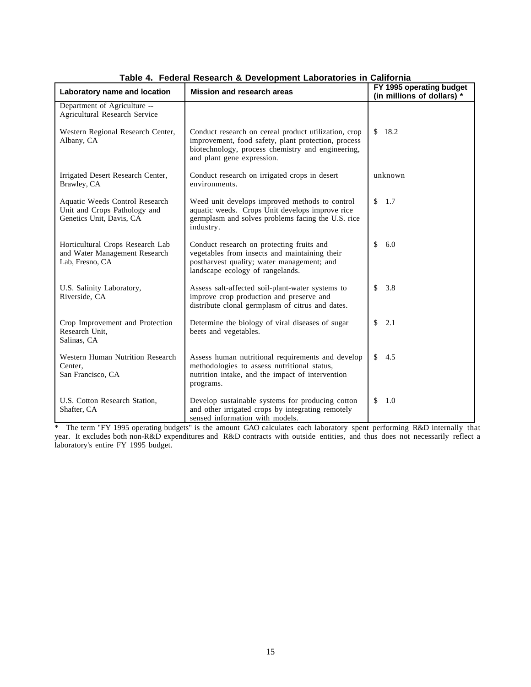| Laboratory name and location                                                               | <b>Mission and research areas</b>                                                                                                                                                              | FY 1995 operating budget<br>(in millions of dollars) * |
|--------------------------------------------------------------------------------------------|------------------------------------------------------------------------------------------------------------------------------------------------------------------------------------------------|--------------------------------------------------------|
| Department of Agriculture --<br><b>Agricultural Research Service</b>                       |                                                                                                                                                                                                |                                                        |
| Western Regional Research Center,<br>Albany, CA                                            | Conduct research on cereal product utilization, crop<br>improvement, food safety, plant protection, process<br>biotechnology, process chemistry and engineering,<br>and plant gene expression. | 18.2<br>$\mathbb{S}$                                   |
| Irrigated Desert Research Center,<br>Brawley, CA                                           | Conduct research on irrigated crops in desert<br>environments.                                                                                                                                 | unknown                                                |
| Aquatic Weeds Control Research<br>Unit and Crops Pathology and<br>Genetics Unit, Davis, CA | Weed unit develops improved methods to control<br>aquatic weeds. Crops Unit develops improve rice<br>germplasm and solves problems facing the U.S. rice<br>industry.                           | 1.7<br>\$                                              |
| Horticultural Crops Research Lab<br>and Water Management Research<br>Lab, Fresno, CA       | Conduct research on protecting fruits and<br>vegetables from insects and maintaining their<br>postharvest quality; water management; and<br>landscape ecology of rangelands.                   | \$<br>6.0                                              |
| U.S. Salinity Laboratory,<br>Riverside, CA                                                 | Assess salt-affected soil-plant-water systems to<br>improve crop production and preserve and<br>distribute clonal germplasm of citrus and dates.                                               | 3.8<br>\$                                              |
| Crop Improvement and Protection<br>Research Unit,<br>Salinas, CA                           | Determine the biology of viral diseases of sugar<br>beets and vegetables.                                                                                                                      | \$<br>2.1                                              |
| Western Human Nutrition Research<br>Center.<br>San Francisco, CA                           | Assess human nutritional requirements and develop<br>methodologies to assess nutritional status,<br>nutrition intake, and the impact of intervention<br>programs.                              | \$<br>4.5                                              |
| U.S. Cotton Research Station,<br>Shafter, CA                                               | Develop sustainable systems for producing cotton<br>and other irrigated crops by integrating remotely<br>sensed information with models.                                                       | \$<br>1.0                                              |

**Table 4. Federal Research & Development Laboratories in California**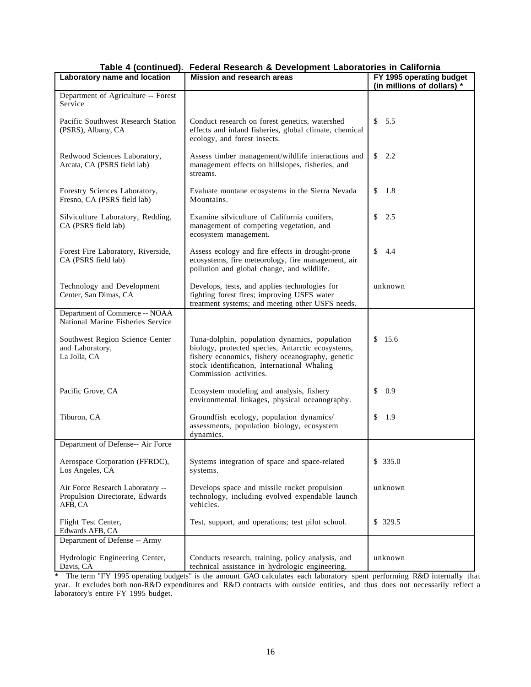| $i$ abio $\tau$ (commuted).<br>Laboratory name and location                    | <b>I Cacial Rescarging Development Laboratories in Oamorma</b><br><b>Mission and research areas</b>                                                                                                                             | FY 1995 operating budget   |
|--------------------------------------------------------------------------------|---------------------------------------------------------------------------------------------------------------------------------------------------------------------------------------------------------------------------------|----------------------------|
|                                                                                |                                                                                                                                                                                                                                 | (in millions of dollars) * |
| Department of Agriculture -- Forest<br>Service                                 |                                                                                                                                                                                                                                 |                            |
| Pacific Southwest Research Station<br>(PSRS), Albany, CA                       | Conduct research on forest genetics, watershed<br>effects and inland fisheries, global climate, chemical<br>ecology, and forest insects.                                                                                        | 5.5<br>\$                  |
| Redwood Sciences Laboratory,<br>Arcata, CA (PSRS field lab)                    | Assess timber management/wildlife interactions and<br>management effects on hillslopes, fisheries, and<br>streams.                                                                                                              | $\mathbb{S}$<br>2.2        |
| Forestry Sciences Laboratory,<br>Fresno, CA (PSRS field lab)                   | Evaluate montane ecosystems in the Sierra Nevada<br>Mountains.                                                                                                                                                                  | \$<br>1.8                  |
| Silviculture Laboratory, Redding,<br>CA (PSRS field lab)                       | Examine silviculture of California conifers,<br>management of competing vegetation, and<br>ecosystem management.                                                                                                                | \$<br>2.5                  |
| Forest Fire Laboratory, Riverside,<br>CA (PSRS field lab)                      | Assess ecology and fire effects in drought-prone<br>ecosystems, fire meteorology, fire management, air<br>pollution and global change, and wildlife.                                                                            | \$<br>4.4                  |
| Technology and Development<br>Center, San Dimas, CA                            | Develops, tests, and applies technologies for<br>fighting forest fires; improving USFS water<br>treatment systems; and meeting other USFS needs.                                                                                | unknown                    |
| Department of Commerce -- NOAA<br>National Marine Fisheries Service            |                                                                                                                                                                                                                                 |                            |
| Southwest Region Science Center<br>and Laboratory,<br>La Jolla, CA             | Tuna-dolphin, population dynamics, population<br>biology, protected species, Antarctic ecosystems,<br>fishery economics, fishery oceanography, genetic<br>stock identification, International Whaling<br>Commission activities. | \$15.6                     |
| Pacific Grove, CA                                                              | Ecosystem modeling and analysis, fishery<br>environmental linkages, physical oceanography.                                                                                                                                      | \$<br>0.9                  |
| Tiburon, CA                                                                    | Groundfish ecology, population dynamics/<br>assessments, population biology, ecosystem<br>dynamics.                                                                                                                             | \$<br>1.9                  |
| Department of Defense-- Air Force                                              |                                                                                                                                                                                                                                 |                            |
| Aerospace Corporation (FFRDC),<br>Los Angeles, CA                              | Systems integration of space and space-related<br>systems.                                                                                                                                                                      | \$335.0                    |
| Air Force Research Laboratory --<br>Propulsion Directorate, Edwards<br>AFB, CA | Develops space and missile rocket propulsion<br>technology, including evolved expendable launch<br>vehicles.                                                                                                                    | unknown                    |
| Flight Test Center,<br>Edwards AFB, CA                                         | Test, support, and operations; test pilot school.                                                                                                                                                                               | \$329.5                    |
| Department of Defense -- Army                                                  |                                                                                                                                                                                                                                 |                            |
| Hydrologic Engineering Center,<br>Davis, CA                                    | Conducts research, training, policy analysis, and<br>technical assistance in hydrologic engineering.                                                                                                                            | unknown                    |

## **Table 4 (continued). Federal Research & Development Laboratories in California**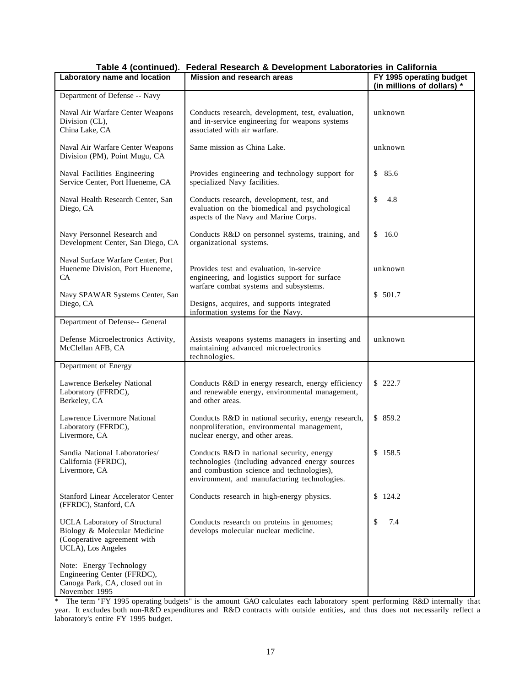| $1000 - 7$ (commuted).<br>Laboratory name and location                                                                    | <b>I Cacial Rescarging Development Laboratories in Oamorma</b><br><b>Mission and research areas</b>                                                                                       | FY 1995 operating budget<br>(in millions of dollars) * |
|---------------------------------------------------------------------------------------------------------------------------|-------------------------------------------------------------------------------------------------------------------------------------------------------------------------------------------|--------------------------------------------------------|
| Department of Defense -- Navy                                                                                             |                                                                                                                                                                                           |                                                        |
| Naval Air Warfare Center Weapons<br>Division (CL),<br>China Lake, CA                                                      | Conducts research, development, test, evaluation,<br>and in-service engineering for weapons systems<br>associated with air warfare.                                                       | unknown                                                |
| Naval Air Warfare Center Weapons<br>Division (PM), Point Mugu, CA                                                         | Same mission as China Lake.                                                                                                                                                               | unknown                                                |
| Naval Facilities Engineering<br>Service Center, Port Hueneme, CA                                                          | Provides engineering and technology support for<br>specialized Navy facilities.                                                                                                           | \$85.6                                                 |
| Naval Health Research Center, San<br>Diego, CA                                                                            | Conducts research, development, test, and<br>evaluation on the biomedical and psychological<br>aspects of the Navy and Marine Corps.                                                      | \$<br>4.8                                              |
| Navy Personnel Research and<br>Development Center, San Diego, CA                                                          | Conducts R&D on personnel systems, training, and<br>organizational systems.                                                                                                               | 16.0<br>\$                                             |
| Naval Surface Warfare Center, Port<br>Hueneme Division, Port Hueneme,<br>CA                                               | Provides test and evaluation, in-service<br>engineering, and logistics support for surface<br>warfare combat systems and subsystems.                                                      | unknown                                                |
| Navy SPAWAR Systems Center, San<br>Diego, CA                                                                              | Designs, acquires, and supports integrated<br>information systems for the Navy.                                                                                                           | \$501.7                                                |
| Department of Defense-- General                                                                                           |                                                                                                                                                                                           |                                                        |
| Defense Microelectronics Activity,<br>McClellan AFB, CA                                                                   | Assists weapons systems managers in inserting and<br>maintaining advanced microelectronics<br>technologies.                                                                               | unknown                                                |
| Department of Energy                                                                                                      |                                                                                                                                                                                           |                                                        |
| Lawrence Berkeley National<br>Laboratory (FFRDC),<br>Berkeley, CA                                                         | Conducts R&D in energy research, energy efficiency<br>and renewable energy, environmental management,<br>and other areas.                                                                 | \$222.7                                                |
| Lawrence Livermore National<br>Laboratory (FFRDC),<br>Livermore, CA                                                       | Conducts R&D in national security, energy research,<br>nonproliferation, environmental management,<br>nuclear energy, and other areas.                                                    | \$859.2                                                |
| Sandia National Laboratories/<br>California (FFRDC),<br>Livermore, CA                                                     | Conducts R&D in national security, energy<br>technologies (including advanced energy sources<br>and combustion science and technologies),<br>environment, and manufacturing technologies. | \$158.5                                                |
| <b>Stanford Linear Accelerator Center</b><br>(FFRDC), Stanford, CA                                                        | Conducts research in high-energy physics.                                                                                                                                                 | \$124.2                                                |
| <b>UCLA Laboratory of Structural</b><br>Biology & Molecular Medicine<br>(Cooperative agreement with<br>UCLA), Los Angeles | Conducts research on proteins in genomes;<br>develops molecular nuclear medicine.                                                                                                         | \$<br>7.4                                              |
| Note: Energy Technology<br>Engineering Center (FFRDC),<br>Canoga Park, CA, closed out in<br>November 1995                 |                                                                                                                                                                                           |                                                        |

## **Table 4 (continued). Federal Research & Development Laboratories in California**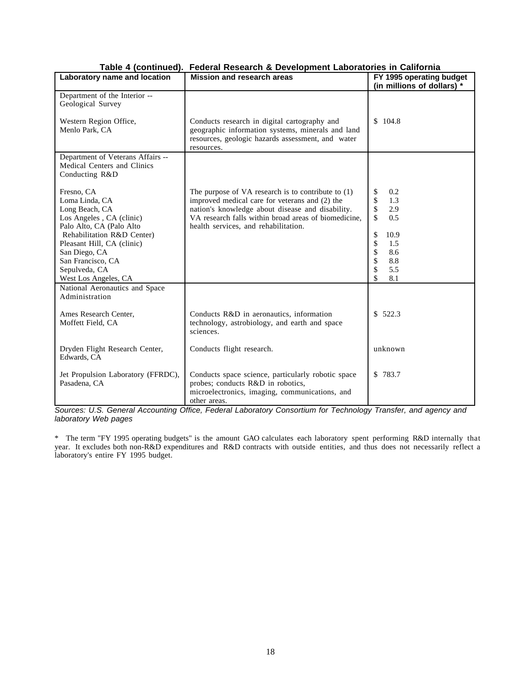| Laboratory name and location                                                                                                                                                                             | Mission and research areas                                                                                                                                                                                                                                 | FY 1995 operating budget<br>(in millions of dollars) *                                                                |
|----------------------------------------------------------------------------------------------------------------------------------------------------------------------------------------------------------|------------------------------------------------------------------------------------------------------------------------------------------------------------------------------------------------------------------------------------------------------------|-----------------------------------------------------------------------------------------------------------------------|
| Department of the Interior --<br>Geological Survey                                                                                                                                                       |                                                                                                                                                                                                                                                            |                                                                                                                       |
| Western Region Office,<br>Menlo Park, CA                                                                                                                                                                 | Conducts research in digital cartography and<br>geographic information systems, minerals and land<br>resources, geologic hazards assessment, and water<br>resources.                                                                                       | \$104.8                                                                                                               |
| Department of Veterans Affairs --<br>Medical Centers and Clinics<br>Conducting R&D                                                                                                                       |                                                                                                                                                                                                                                                            |                                                                                                                       |
| Fresno, CA<br>Loma Linda, CA<br>Long Beach, CA<br>Los Angeles, CA (clinic)<br>Palo Alto, CA (Palo Alto<br>Rehabilitation R&D Center)<br>Pleasant Hill, CA (clinic)<br>San Diego, CA<br>San Francisco, CA | The purpose of VA research is to contribute to $(1)$<br>improved medical care for veterans and (2) the<br>nation's knowledge about disease and disability.<br>VA research falls within broad areas of biomedicine,<br>health services, and rehabilitation. | \$<br>0.2<br>\$<br>1.3<br>\$<br>2.9<br>$\mathbf{\hat{S}}$<br>0.5<br>\$<br>10.9<br>\$<br>1.5<br>\$<br>8.6<br>\$<br>8.8 |
| Sepulveda, CA<br>West Los Angeles, CA                                                                                                                                                                    |                                                                                                                                                                                                                                                            | \$<br>5.5<br>\$<br>8.1                                                                                                |
| National Aeronautics and Space<br>Administration<br>Ames Research Center,<br>Moffett Field, CA                                                                                                           | Conducts R&D in aeronautics, information<br>technology, astrobiology, and earth and space<br>sciences.                                                                                                                                                     | \$522.3                                                                                                               |
| Dryden Flight Research Center,<br>Edwards, CA                                                                                                                                                            | Conducts flight research.                                                                                                                                                                                                                                  | unknown                                                                                                               |
| Jet Propulsion Laboratory (FFRDC),<br>Pasadena, CA                                                                                                                                                       | Conducts space science, particularly robotic space<br>probes; conducts R&D in robotics,<br>microelectronics, imaging, communications, and<br>other areas.                                                                                                  | \$783.7                                                                                                               |

## **Table 4 (continued). Federal Research & Development Laboratories in California**

*Sources: U.S. General Accounting Office, Federal Laboratory Consortium for Technology Transfer, and agency and laboratory Web pages*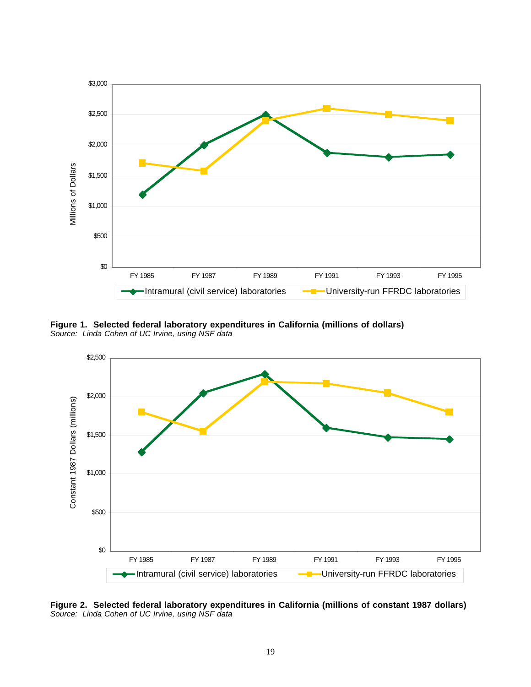

**Figure 1. Selected federal laboratory expenditures in California (millions of dollars)** *Source: Linda Cohen of UC Irvine, using NSF data*



**Figure 2. Selected federal laboratory expenditures in California (millions of constant 1987 dollars)**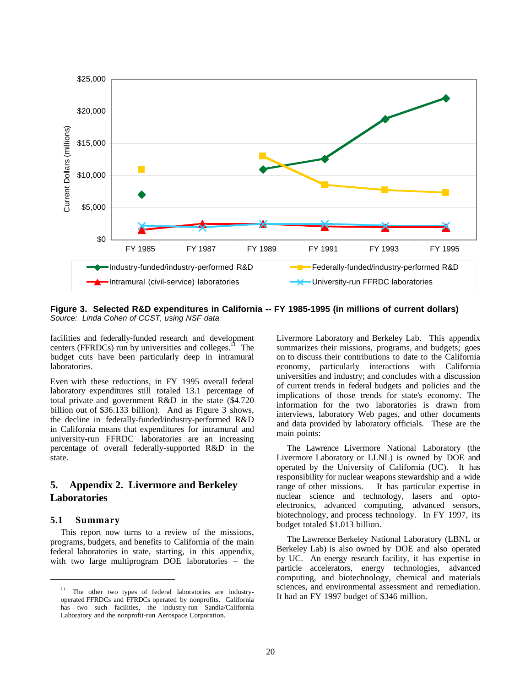

**Figure 3. Selected R&D expenditures in California -- FY 1985-1995 (in millions of current dollars)** *Source: Linda Cohen of CCST, using NSF data*

facilities and federally-funded research and development centers (FFRDCs) run by universities and colleges.<sup>11</sup> The budget cuts have been particularly deep in intramural laboratories.

Even with these reductions, in FY 1995 overall federal laboratory expenditures still totaled 13.1 percentage of total private and government R&D in the state (\$4.720 billion out of \$36.133 billion). And as Figure 3 shows, the decline in federally-funded/industry-performed R&D in California means that expenditures for intramural and university-run FFRDC laboratories are an increasing percentage of overall federally-supported R&D in the state.

## **5. Appendix 2. Livermore and Berkeley Laboratories**

#### **5.1 Summary**

 $\overline{a}$ 

This report now turns to a review of the missions, programs, budgets, and benefits to California of the main federal laboratories in state, starting, in this appendix, with two large multiprogram DOE laboratories – the Livermore Laboratory and Berkeley Lab. This appendix summarizes their missions, programs, and budgets; goes on to discuss their contributions to date to the California economy, particularly interactions with California universities and industry; and concludes with a discussion of current trends in federal budgets and policies and the implications of those trends for state's economy. The information for the two laboratories is drawn from interviews, laboratory Web pages, and other documents and data provided by laboratory officials. These are the main points:

The Lawrence Livermore National Laboratory (the Livermore Laboratory or LLNL) is owned by DOE and operated by the University of California (UC). It has responsibility for nuclear weapons stewardship and a wide range of other missions. It has particular expertise in nuclear science and technology, lasers and optoelectronics, advanced computing, advanced sensors, biotechnology, and process technology. In FY 1997, its budget totaled \$1.013 billion.

The Lawrence Berkeley National Laboratory (LBNL or Berkeley Lab) is also owned by DOE and also operated by UC. An energy research facility, it has expertise in particle accelerators, energy technologies, advanced computing, and biotechnology, chemical and materials sciences, and environmental assessment and remediation. It had an FY 1997 budget of \$346 million.

The other two types of federal laboratories are industryoperated FFRDCs and FFRDCs operated by nonprofits. California has two such facilities, the industry-run Sandia/California Laboratory and the nonprofit-run Aerospace Corporation.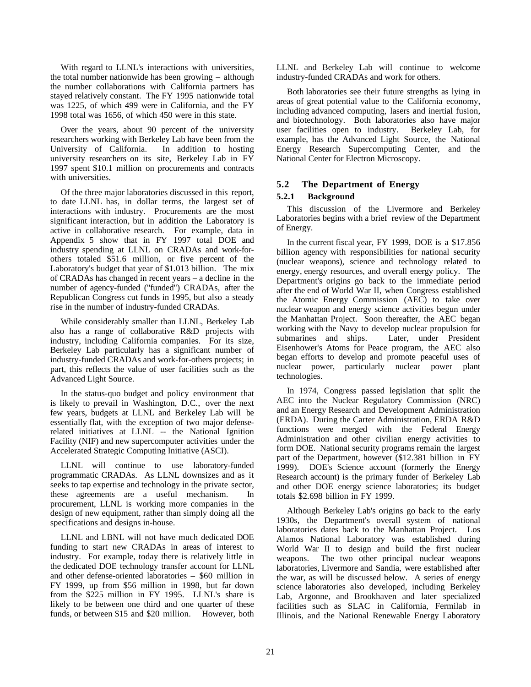With regard to LLNL's interactions with universities, the total number nationwide has been growing – although the number collaborations with California partners has stayed relatively constant. The FY 1995 nationwide total was 1225, of which 499 were in California, and the FY 1998 total was 1656, of which 450 were in this state.

Over the years, about 90 percent of the university researchers working with Berkeley Lab have been from the University of California. In addition to hosting university researchers on its site, Berkeley Lab in FY 1997 spent \$10.1 million on procurements and contracts with universities.

Of the three major laboratories discussed in this report, to date LLNL has, in dollar terms, the largest set of interactions with industry. Procurements are the most significant interaction, but in addition the Laboratory is active in collaborative research. For example, data in Appendix 5 show that in FY 1997 total DOE and industry spending at LLNL on CRADAs and work-forothers totaled \$51.6 million, or five percent of the Laboratory's budget that year of \$1.013 billion. The mix of CRADAs has changed in recent years – a decline in the number of agency-funded ("funded") CRADAs, after the Republican Congress cut funds in 1995, but also a steady rise in the number of industry-funded CRADAs.

While considerably smaller than LLNL, Berkeley Lab also has a range of collaborative R&D projects with industry, including California companies. For its size, Berkeley Lab particularly has a significant number of industry-funded CRADAs and work-for-others projects; in part, this reflects the value of user facilities such as the Advanced Light Source.

In the status-quo budget and policy environment that is likely to prevail in Washington, D.C., over the next few years, budgets at LLNL and Berkeley Lab will be essentially flat, with the exception of two major defenserelated initiatives at LLNL -- the National Ignition Facility (NIF) and new supercomputer activities under the Accelerated Strategic Computing Initiative (ASCI).

LLNL will continue to use laboratory-funded programmatic CRADAs. As LLNL downsizes and as it seeks to tap expertise and technology in the private sector, these agreements are a useful mechanism. In procurement, LLNL is working more companies in the design of new equipment, rather than simply doing all the specifications and designs in-house.

LLNL and LBNL will not have much dedicated DOE funding to start new CRADAs in areas of interest to industry. For example, today there is relatively little in the dedicated DOE technology transfer account for LLNL and other defense-oriented laboratories – \$60 million in FY 1999, up from \$56 million in 1998, but far down from the \$225 million in FY 1995. LLNL's share is likely to be between one third and one quarter of these funds, or between \$15 and \$20 million. However, both LLNL and Berkeley Lab will continue to welcome industry-funded CRADAs and work for others.

Both laboratories see their future strengths as lying in areas of great potential value to the California economy, including advanced computing, lasers and inertial fusion, and biotechnology. Both laboratories also have major user facilities open to industry. Berkeley Lab, for example, has the Advanced Light Source, the National Energy Research Supercomputing Center, and the National Center for Electron Microscopy.

#### **5.2 The Department of Energy**

#### **5.2.1 Background**

This discussion of the Livermore and Berkeley Laboratories begins with a brief review of the Department of Energy.

In the current fiscal year, FY 1999, DOE is a \$17.856 billion agency with responsibilities for national security (nuclear weapons), science and technology related to energy, energy resources, and overall energy policy. The Department's origins go back to the immediate period after the end of World War II, when Congress established the Atomic Energy Commission (AEC) to take over nuclear weapon and energy science activities begun under the Manhattan Project. Soon thereafter, the AEC began working with the Navy to develop nuclear propulsion for submarines and ships. Later, under President Eisenhower's Atoms for Peace program, the AEC also began efforts to develop and promote peaceful uses of nuclear power, particularly nuclear power plant technologies.

In 1974, Congress passed legislation that split the AEC into the Nuclear Regulatory Commission (NRC) and an Energy Research and Development Administration (ERDA). During the Carter Administration, ERDA R&D functions were merged with the Federal Energy Administration and other civilian energy activities to form DOE. National security programs remain the largest part of the Department, however (\$12.381 billion in FY 1999). DOE's Science account (formerly the Energy Research account) is the primary funder of Berkeley Lab and other DOE energy science laboratories; its budget totals \$2.698 billion in FY 1999.

Although Berkeley Lab's origins go back to the early 1930s, the Department's overall system of national laboratories dates back to the Manhattan Project. Los Alamos National Laboratory was established during World War II to design and build the first nuclear weapons. The two other principal nuclear weapons laboratories, Livermore and Sandia, were established after the war, as will be discussed below. A series of energy science laboratories also developed, including Berkeley Lab, Argonne, and Brookhaven and later specialized facilities such as SLAC in California, Fermilab in Illinois, and the National Renewable Energy Laboratory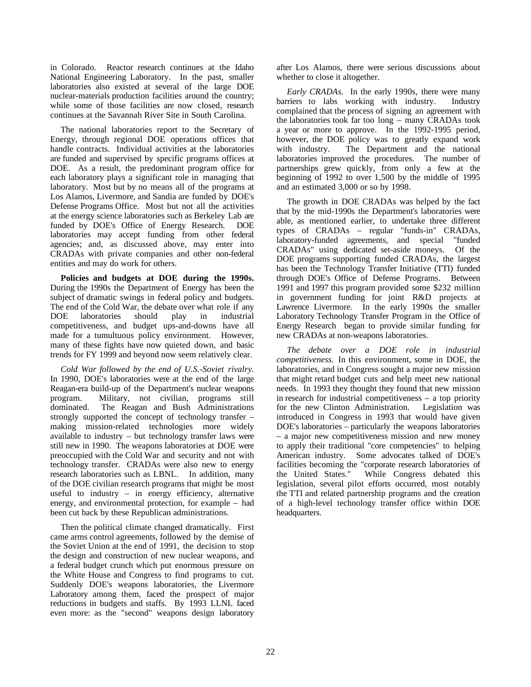in Colorado. Reactor research continues at the Idaho National Engineering Laboratory. In the past, smaller laboratories also existed at several of the large DOE nuclear-materials production facilities around the country; while some of those facilities are now closed, research continues at the Savannah River Site in South Carolina.

The national laboratories report to the Secretary of Energy, through regional DOE operations offices that handle contracts. Individual activities at the laboratories are funded and supervised by specific programs offices at DOE. As a result, the predominant program office for each laboratory plays a significant role in managing that laboratory. Most but by no means all of the programs at Los Alamos, Livermore, and Sandia are funded by DOE's Defense Programs Office. Most but not all the activities at the energy science laboratories such as Berkeley Lab are funded by DOE's Office of Energy Research. DOE laboratories may accept funding from other federal agencies; and, as discussed above, may enter into CRADAs with private companies and other non-federal entities and may do work for others.

**Policies and budgets at DOE during the 1990s.** During the 1990s the Department of Energy has been the subject of dramatic swings in federal policy and budgets. The end of the Cold War, the debate over what role if any DOE laboratories should play in industrial competitiveness, and budget ups-and-downs have all made for a tumultuous policy environment. However, many of these fights have now quieted down, and basic trends for FY 1999 and beyond now seem relatively clear.

*Cold War followed by the end of U.S.-Soviet rivalry.* In 1990, DOE's laboratories were at the end of the large Reagan-era build-up of the Department's nuclear weapons program. Military, not civilian, programs still dominated. The Reagan and Bush Administrations strongly supported the concept of technology transfer – making mission-related technologies more widely available to industry – but technology transfer laws were still new in 1990. The weapons laboratories at DOE were preoccupied with the Cold War and security and not with technology transfer. CRADAs were also new to energy research laboratories such as LBNL. In addition, many of the DOE civilian research programs that might be most useful to industry – in energy efficiency, alternative energy, and environmental protection, for example – had been cut back by these Republican administrations.

Then the political climate changed dramatically. First came arms control agreements, followed by the demise of the Soviet Union at the end of 1991, the decision to stop the design and construction of new nuclear weapons, and a federal budget crunch which put enormous pressure on the White House and Congress to find programs to cut. Suddenly DOE's weapons laboratories, the Livermore Laboratory among them, faced the prospect of major reductions in budgets and staffs. By 1993 LLNL faced even more: as the "second" weapons design laboratory

after Los Alamos, there were serious discussions about whether to close it altogether.

*Early CRADAs.* In the early 1990s, there were many barriers to labs working with industry. Industry complained that the process of signing an agreement with the laboratories took far too long – many CRADAs took a year or more to approve. In the 1992-1995 period, however, the DOE policy was to greatly expand work with industry. The Department and the national laboratories improved the procedures. The number of partnerships grew quickly, from only a few at the beginning of 1992 to over 1,500 by the middle of 1995 and an estimated 3,000 or so by 1998.

The growth in DOE CRADAs was helped by the fact that by the mid-1990s the Department's laboratories were able, as mentioned earlier, to undertake three different types of CRADAs – regular "funds-in" CRADAs, laboratory-funded agreements, and special "funded CRADAs" using dedicated set-aside moneys. Of the DOE programs supporting funded CRADAs, the largest has been the Technology Transfer Initiative (TTI) funded through DOE's Office of Defense Programs. Between 1991 and 1997 this program provided some \$232 million in government funding for joint R&D projects at Lawrence Livermore. In the early 1990s the smaller Laboratory Technology Transfer Program in the Office of Energy Research began to provide similar funding for new CRADAs at non-weapons laboratories.

*The debate over a DOE role in industrial competitiveness.* In this environment, some in DOE, the laboratories, and in Congress sought a major new mission that might retard budget cuts and help meet new national needs. In 1993 they thought they found that new mission in research for industrial competitiveness – a top priority for the new Clinton Administration. Legislation was introduced in Congress in 1993 that would have given DOE's laboratories – particularly the weapons laboratories – a major new competitiveness mission and new money to apply their traditional "core competencies" to helping American industry. Some advocates talked of DOE's facilities becoming the "corporate research laboratories of the United States." While Congress debated this legislation, several pilot efforts occurred, most notably the TTI and related partnership programs and the creation of a high-level technology transfer office within DOE headquarters.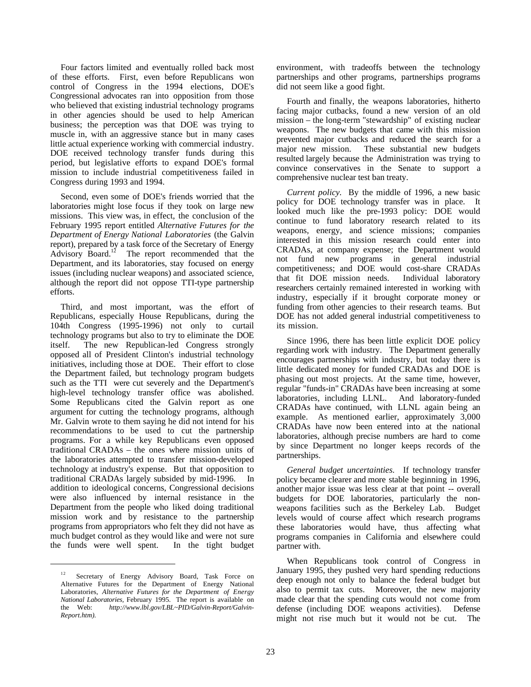Four factors limited and eventually rolled back most of these efforts. First, even before Republicans won control of Congress in the 1994 elections, DOE's Congressional advocates ran into opposition from those who believed that existing industrial technology programs in other agencies should be used to help American business; the perception was that DOE was trying to muscle in, with an aggressive stance but in many cases little actual experience working with commercial industry. DOE received technology transfer funds during this period, but legislative efforts to expand DOE's formal mission to include industrial competitiveness failed in Congress during 1993 and 1994.

Second, even some of DOE's friends worried that the laboratories might lose focus if they took on large new missions. This view was, in effect, the conclusion of the February 1995 report entitled *Alternative Futures for the Department of Energy National Laboratories* (the Galvin report), prepared by a task force of the Secretary of Energy Advisory Board.<sup>12</sup> The report recommended that the Department, and its laboratories, stay focused on energy issues (including nuclear weapons) and associated science, although the report did not oppose TTI-type partnership efforts.

Third, and most important, was the effort of Republicans, especially House Republicans, during the 104th Congress (1995-1996) not only to curtail technology programs but also to try to eliminate the DOE itself. The new Republican-led Congress strongly opposed all of President Clinton's industrial technology initiatives, including those at DOE. Their effort to close the Department failed, but technology program budgets such as the TTI were cut severely and the Department's high-level technology transfer office was abolished. Some Republicans cited the Galvin report as one argument for cutting the technology programs, although Mr. Galvin wrote to them saying he did not intend for his recommendations to be used to cut the partnership programs. For a while key Republicans even opposed traditional CRADAs – the ones where mission units of the laboratories attempted to transfer mission-developed technology at industry's expense. But that opposition to traditional CRADAs largely subsided by mid-1996. In addition to ideological concerns, Congressional decisions were also influenced by internal resistance in the Department from the people who liked doing traditional mission work and by resistance to the partnership programs from appropriators who felt they did not have as much budget control as they would like and were not sure the funds were well spent. In the tight budget

 $\overline{a}$ 

environment, with tradeoffs between the technology partnerships and other programs, partnerships programs did not seem like a good fight.

Fourth and finally, the weapons laboratories, hitherto facing major cutbacks, found a new version of an old mission – the long-term "stewardship" of existing nuclear weapons. The new budgets that came with this mission prevented major cutbacks and reduced the search for a major new mission. These substantial new budgets resulted largely because the Administration was trying to convince conservatives in the Senate to support a comprehensive nuclear test ban treaty.

*Current policy.* By the middle of 1996, a new basic policy for DOE technology transfer was in place. It looked much like the pre-1993 policy: DOE would continue to fund laboratory research related to its weapons, energy, and science missions; companies interested in this mission research could enter into CRADAs, at company expense; the Department would not fund new programs in general industrial competitiveness; and DOE would cost-share CRADAs that fit DOE mission needs. Individual laboratory researchers certainly remained interested in working with industry, especially if it brought corporate money or funding from other agencies to their research teams. But DOE has not added general industrial competitiveness to its mission.

Since 1996, there has been little explicit DOE policy regarding work with industry. The Department generally encourages partnerships with industry, but today there is little dedicated money for funded CRADAs and DOE is phasing out most projects. At the same time, however, regular "funds-in" CRADAs have been increasing at some laboratories, including LLNL. And laboratory-funded CRADAs have continued, with LLNL again being an example. As mentioned earlier, approximately 3,000 CRADAs have now been entered into at the national laboratories, although precise numbers are hard to come by since Department no longer keeps records of the partnerships.

*General budget uncertainties.* If technology transfer policy became clearer and more stable beginning in 1996, another major issue was less clear at that point -- overall budgets for DOE laboratories, particularly the nonweapons facilities such as the Berkeley Lab. Budget levels would of course affect which research programs these laboratories would have, thus affecting what programs companies in California and elsewhere could partner with.

When Republicans took control of Congress in January 1995, they pushed very hard spending reductions deep enough not only to balance the federal budget but also to permit tax cuts. Moreover, the new majority made clear that the spending cuts would not come from defense (including DOE weapons activities). Defense might not rise much but it would not be cut. The

<sup>&</sup>lt;sup>12</sup> Secretary of Energy Advisory Board, Task Force on Alternative Futures for the Department of Energy National Laboratories, *Alternative Futures for the Department of Energy National Laboratories,* February 1995. The report is available on the Web: http://www.lbl.gov/LBL~PID/Galvin-Report/Galvinhttp://www.lbl.gov/LBL~PID/Galvin-Report/Galvin-*Report.htm).*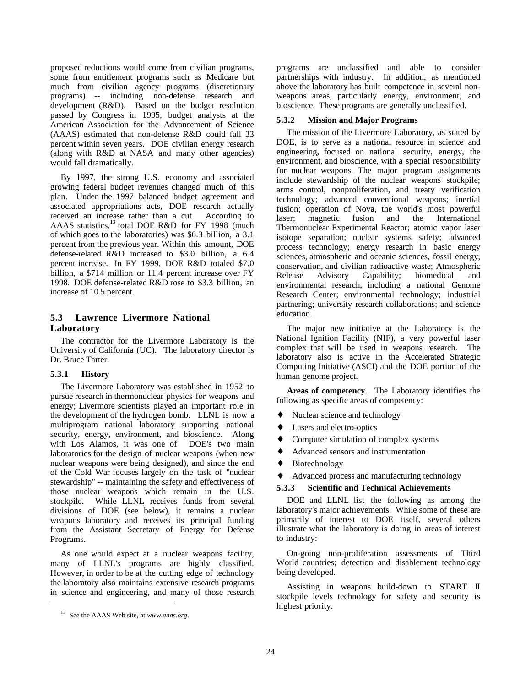proposed reductions would come from civilian programs, some from entitlement programs such as Medicare but much from civilian agency programs (discretionary programs) -- including non-defense research and development (R&D). Based on the budget resolution passed by Congress in 1995, budget analysts at the American Association for the Advancement of Science (AAAS) estimated that non-defense R&D could fall 33 percent within seven years. DOE civilian energy research (along with R&D at NASA and many other agencies) would fall dramatically.

By 1997, the strong U.S. economy and associated growing federal budget revenues changed much of this plan. Under the 1997 balanced budget agreement and associated appropriations acts, DOE research actually received an increase rather than a cut. According to AAAS statistics,<sup>13</sup> total DOE R&D for FY 1998 (much of which goes to the laboratories) was \$6.3 billion, a 3.1 percent from the previous year. Within this amount, DOE defense-related R&D increased to \$3.0 billion, a 6.4 percent increase. In FY 1999, DOE R&D totaled \$7.0 billion, a \$714 million or 11.4 percent increase over FY 1998. DOE defense-related R&D rose to \$3.3 billion, an increase of 10.5 percent.

## **5.3 Lawrence Livermore National Laboratory**

The contractor for the Livermore Laboratory is the University of California (UC). The laboratory director is Dr. Bruce Tarter.

## **5.3.1 History**

 $\overline{a}$ 

The Livermore Laboratory was established in 1952 to pursue research in thermonuclear physics for weapons and energy; Livermore scientists played an important role in the development of the hydrogen bomb. LLNL is now a multiprogram national laboratory supporting national security, energy, environment, and bioscience. Along with Los Alamos, it was one of DOE's two main laboratories for the design of nuclear weapons (when new nuclear weapons were being designed), and since the end of the Cold War focuses largely on the task of "nuclear stewardship" -- maintaining the safety and effectiveness of those nuclear weapons which remain in the U.S. stockpile. While LLNL receives funds from several divisions of DOE (see below), it remains a nuclear weapons laboratory and receives its principal funding from the Assistant Secretary of Energy for Defense Programs.

As one would expect at a nuclear weapons facility, many of LLNL's programs are highly classified. However, in order to be at the cutting edge of technology the laboratory also maintains extensive research programs in science and engineering, and many of those research programs are unclassified and able to consider partnerships with industry. In addition, as mentioned above the laboratory has built competence in several nonweapons areas, particularly energy, environment, and bioscience. These programs are generally unclassified.

#### **5.3.2 Mission and Major Programs**

The mission of the Livermore Laboratory, as stated by DOE, is to serve as a national resource in science and engineering, focused on national security, energy, the environment, and bioscience, with a special responsibility for nuclear weapons. The major program assignments include stewardship of the nuclear weapons stockpile; arms control, nonproliferation, and treaty verification technology; advanced conventional weapons; inertial fusion; operation of Nova, the world's most powerful laser; magnetic fusion and the International Thermonuclear Experimental Reactor; atomic vapor laser isotope separation; nuclear systems safety; advanced process technology; energy research in basic energy sciences, atmospheric and oceanic sciences, fossil energy, conservation, and civilian radioactive waste; Atmospheric Release Advisory Capability; biomedical and environmental research, including a national Genome Research Center; environmental technology; industrial partnering; university research collaborations; and science education.

The major new initiative at the Laboratory is the National Ignition Facility (NIF), a very powerful laser complex that will be used in weapons research. The laboratory also is active in the Accelerated Strategic Computing Initiative (ASCI) and the DOE portion of the human genome project.

**Areas of competency**. The Laboratory identifies the following as specific areas of competency:

- ♦ Nuclear science and technology
- ♦ Lasers and electro-optics
- Computer simulation of complex systems
- ♦ Advanced sensors and instrumentation
- ♦ Biotechnology
- Advanced process and manufacturing technology

#### **5.3.3 Scientific and Technical Achievements**

DOE and LLNL list the following as among the laboratory's major achievements. While some of these are primarily of interest to DOE itself, several others illustrate what the laboratory is doing in areas of interest to industry:

On-going non-proliferation assessments of Third World countries; detection and disablement technology being developed.

Assisting in weapons build-down to START II stockpile levels technology for safety and security is highest priority.

<sup>13</sup> See the AAAS Web site, at *www.aaas.org*.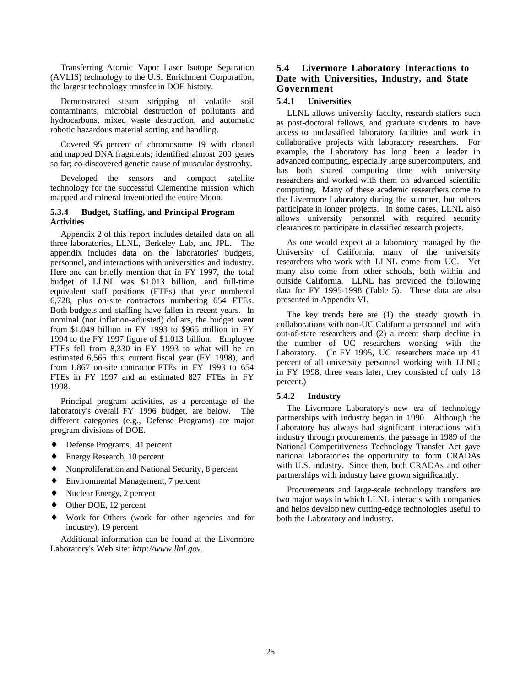Transferring Atomic Vapor Laser Isotope Separation (AVLIS) technology to the U.S. Enrichment Corporation, the largest technology transfer in DOE history.

Demonstrated steam stripping of volatile soil contaminants, microbial destruction of pollutants and hydrocarbons, mixed waste destruction, and automatic robotic hazardous material sorting and handling.

Covered 95 percent of chromosome 19 with cloned and mapped DNA fragments; identified almost 200 genes so far; co-discovered genetic cause of muscular dystrophy.

Developed the sensors and compact satellite technology for the successful Clementine mission which mapped and mineral inventoried the entire Moon.

#### **5.3.4 Budget, Staffing, and Principal Program Activities**

Appendix 2 of this report includes detailed data on all three laboratories, LLNL, Berkeley Lab, and JPL. The appendix includes data on the laboratories' budgets, personnel, and interactions with universities and industry. Here one can briefly mention that in FY 1997, the total budget of LLNL was \$1.013 billion, and full-time equivalent staff positions (FTEs) that year numbered 6,728, plus on-site contractors numbering 654 FTEs. Both budgets and staffing have fallen in recent years. In nominal (not inflation-adjusted) dollars, the budget went from \$1.049 billion in FY 1993 to \$965 million in FY 1994 to the FY 1997 figure of \$1.013 billion. Employee FTEs fell from 8,330 in FY 1993 to what will be an estimated 6,565 this current fiscal year (FY 1998), and from 1,867 on-site contractor FTEs in FY 1993 to 654 FTEs in FY 1997 and an estimated 827 FTEs in FY 1998.

Principal program activities, as a percentage of the laboratory's overall FY 1996 budget, are below. The different categories (e.g., Defense Programs) are major program divisions of DOE.

- ♦ Defense Programs, 41 percent
- Energy Research, 10 percent
- ♦ Nonproliferation and National Security, 8 percent
- ♦ Environmental Management, 7 percent
- Nuclear Energy, 2 percent
- Other DOE, 12 percent
- ♦ Work for Others (work for other agencies and for industry), 19 percent

Additional information can be found at the Livermore Laboratory's Web site: *http://www.llnl.gov.*

## **5.4 Livermore Laboratory Interactions to Date with Universities, Industry, and State Government**

#### **5.4.1 Universities**

LLNL allows university faculty, research staffers such as post-doctoral fellows, and graduate students to have access to unclassified laboratory facilities and work in collaborative projects with laboratory researchers. For example, the Laboratory has long been a leader in advanced computing, especially large supercomputers, and has both shared computing time with university researchers and worked with them on advanced scientific computing. Many of these academic researchers come to the Livermore Laboratory during the summer, but others participate in longer projects. In some cases, LLNL also allows university personnel with required security clearances to participate in classified research projects.

As one would expect at a laboratory managed by the University of California, many of the university researchers who work with LLNL come from UC. Yet many also come from other schools, both within and outside California. LLNL has provided the following data for FY 1995-1998 (Table 5). These data are also presented in Appendix VI.

The key trends here are (1) the steady growth in collaborations with non-UC California personnel and with out-of-state researchers and (2) a recent sharp decline in the number of UC researchers working with the Laboratory. (In FY 1995, UC researchers made up 41 percent of all university personnel working with LLNL; in FY 1998, three years later, they consisted of only 18 percent.)

#### **5.4.2 Industry**

The Livermore Laboratory's new era of technology partnerships with industry began in 1990. Although the Laboratory has always had significant interactions with industry through procurements, the passage in 1989 of the National Competitiveness Technology Transfer Act gave national laboratories the opportunity to form CRADAs with U.S. industry. Since then, both CRADAs and other partnerships with industry have grown significantly.

Procurements and large-scale technology transfers are two major ways in which LLNL interacts with companies and helps develop new cutting-edge technologies useful to both the Laboratory and industry.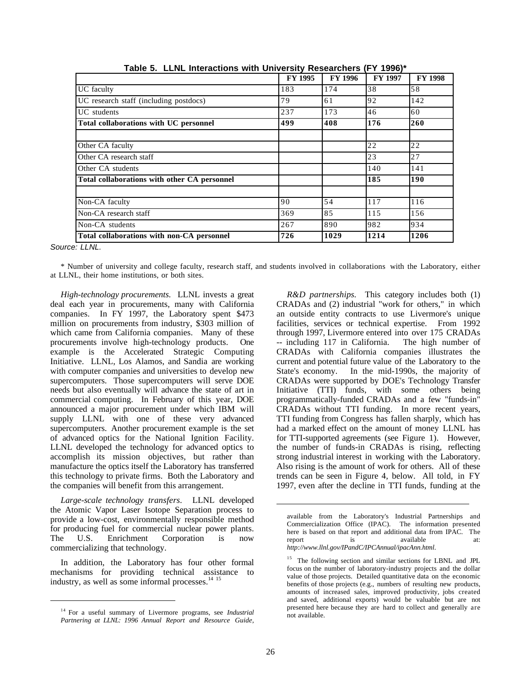|                                              | FY 1995 | <b>FY 1996</b> | <b>FY 1997</b> | <b>FY 1998</b> |
|----------------------------------------------|---------|----------------|----------------|----------------|
| UC faculty                                   | 183     | 174            | 38             | 58             |
| UC research staff (including postdocs)       | 79      | 61             | 92             | 142            |
| UC students                                  | 237     | 173            | 46             | 60             |
| Total collaborations with UC personnel       | 499     | 408            | 176            | 260            |
|                                              |         |                |                |                |
| Other CA faculty                             |         |                | 22             | 22             |
| Other CA research staff                      |         |                | 23             | 27             |
| Other CA students                            |         |                | 140            | 141            |
| Total collaborations with other CA personnel |         |                | 185            | 190            |
| Non-CA faculty                               | 90      | 54             | 117            | 116            |
| Non-CA research staff                        | 369     | 85             | 115            | 156            |
| Non-CA students                              | 267     | 890            | 982            | 934            |
| Total collaborations with non-CA personnel   | 726     | 1029           | 1214           | 1206           |

**Table 5. LLNL Interactions with University Researchers (FY 1996)\***

*Source: LLNL.*

 $\overline{a}$ 

\* Number of university and college faculty, research staff, and students involved in collaborations with the Laboratory, either at LLNL, their home institutions, or both sites.

*High-technology procurements.* LLNL invests a great deal each year in procurements, many with California companies. In FY 1997, the Laboratory spent \$473 million on procurements from industry, \$303 million of which came from California companies. Many of these procurements involve high-technology products. One example is the Accelerated Strategic Computing Initiative. LLNL, Los Alamos, and Sandia are working with computer companies and universities to develop new supercomputers. Those supercomputers will serve DOE needs but also eventually will advance the state of art in commercial computing. In February of this year, DOE announced a major procurement under which IBM will supply LLNL with one of these very advanced supercomputers. Another procurement example is the set of advanced optics for the National Ignition Facility. LLNL developed the technology for advanced optics to accomplish its mission objectives, but rather than manufacture the optics itself the Laboratory has transferred this technology to private firms. Both the Laboratory and the companies will benefit from this arrangement.

*Large-scale technology transfers.* LLNL developed the Atomic Vapor Laser Isotope Separation process to provide a low-cost, environmentally responsible method for producing fuel for commercial nuclear power plants. The U.S. Enrichment Corporation is now commercializing that technology.

In addition, the Laboratory has four other formal mechanisms for providing technical assistance to industry, as well as some informal processes.<sup>14 15</sup>

*R&D partnerships.* This category includes both (1) CRADAs and (2) industrial "work for others," in which an outside entity contracts to use Livermore's unique facilities, services or technical expertise. From 1992 through 1997, Livermore entered into over 175 CRADAs -- including 117 in California. The high number of CRADAs with California companies illustrates the current and potential future value of the Laboratory to the State's economy. In the mid-1990s, the majority of CRADAs were supported by DOE's Technology Transfer Initiative (TTI) funds, with some others being programmatically-funded CRADAs and a few "funds-in" CRADAs without TTI funding. In more recent years, TTI funding from Congress has fallen sharply, which has had a marked effect on the amount of money LLNL has for TTI-supported agreements (see Figure 1). However, the number of funds-in CRADAs is rising, reflecting strong industrial interest in working with the Laboratory. Also rising is the amount of work for others. All of these trends can be seen in Figure 4, below. All told, in FY 1997, even after the decline in TTI funds, funding at the

<sup>14</sup> For a useful summary of Livermore programs, see *Industrial Partnering at LLNL: 1996 Annual Report and Resource Guide,*

available from the Laboratory's Industrial Partnerships and Commercialization Office (IPAC). The information presented here is based on that report and additional data from IPAC. The report is available at: *http://www.llnl.gov/IPandC/IPCAnnual/ipacAnn.html*.

<sup>&</sup>lt;sup>15</sup> The following section and similar sections for LBNL and JPL focus on the number of laboratory-industry projects and the dollar value of those projects. Detailed quantitative data on the economic benefits of those projects (e.g., numbers of resulting new products, amounts of increased sales, improved productivity, jobs created and saved, additional exports) would be valuable but are not presented here because they are hard to collect and generally are not available.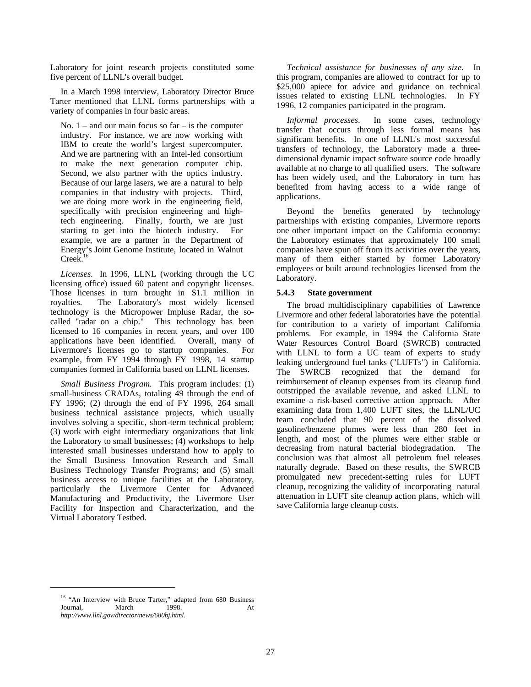Laboratory for joint research projects constituted some five percent of LLNL's overall budget.

In a March 1998 interview, Laboratory Director Bruce Tarter mentioned that LLNL forms partnerships with a variety of companies in four basic areas.

No.  $1 -$  and our main focus so far  $-$  is the computer industry. For instance, we are now working with IBM to create the world's largest supercomputer. And we are partnering with an Intel-led consortium to make the next generation computer chip. Second, we also partner with the optics industry. Because of our large lasers, we are a natural to help companies in that industry with projects. Third, we are doing more work in the engineering field, specifically with precision engineering and hightech engineering. Finally, fourth, we are just starting to get into the biotech industry. For example, we are a partner in the Department of Energy's Joint Genome Institute, located in Walnut  $Creek<sup>1</sup>$ 

*Licenses.* In 1996, LLNL (working through the UC licensing office) issued 60 patent and copyright licenses. Those licenses in turn brought in \$1.1 million in royalties. The Laboratory's most widely licensed technology is the Micropower Impluse Radar, the socalled "radar on a chip." This technology has been licensed to 16 companies in recent years, and over 100 applications have been identified. Overall, many of Livermore's licenses go to startup companies. For example, from FY 1994 through FY 1998, 14 startup companies formed in California based on LLNL licenses.

*Small Business Program.* This program includes: (1) small-business CRADAs, totaling 49 through the end of FY 1996; (2) through the end of FY 1996, 264 small business technical assistance projects, which usually involves solving a specific, short-term technical problem; (3) work with eight intermediary organizations that link the Laboratory to small businesses; (4) workshops to help interested small businesses understand how to apply to the Small Business Innovation Research and Small Business Technology Transfer Programs; and (5) small business access to unique facilities at the Laboratory, particularly the Livermore Center for Advanced Manufacturing and Productivity, the Livermore User Facility for Inspection and Characterization, and the Virtual Laboratory Testbed.

*Technical assistance for businesses of any size.* In this program, companies are allowed to contract for up to \$25,000 apiece for advice and guidance on technical issues related to existing LLNL technologies. In FY 1996, 12 companies participated in the program.

*Informal processes*. In some cases, technology transfer that occurs through less formal means has significant benefits. In one of LLNL's most successful transfers of technology, the Laboratory made a threedimensional dynamic impact software source code broadly available at no charge to all qualified users. The software has been widely used, and the Laboratory in turn has benefited from having access to a wide range of applications.

Beyond the benefits generated by technology partnerships with existing companies, Livermore reports one other important impact on the California economy: the Laboratory estimates that approximately 100 small companies have spun off from its activities over the years, many of them either started by former Laboratory employees or built around technologies licensed from the Laboratory.

#### **5.4.3 State government**

The broad multidisciplinary capabilities of Lawrence Livermore and other federal laboratories have the potential for contribution to a variety of important California problems. For example, in 1994 the California State Water Resources Control Board (SWRCB) contracted with LLNL to form a UC team of experts to study leaking underground fuel tanks ("LUFTs") in California. The SWRCB recognized that the demand for reimbursement of cleanup expenses from its cleanup fund outstripped the available revenue, and asked LLNL to examine a risk-based corrective action approach. After examining data from 1,400 LUFT sites, the LLNL/UC team concluded that 90 percent of the dissolved gasoline/benzene plumes were less than 280 feet in length, and most of the plumes were either stable or decreasing from natural bacterial biodegradation. The conclusion was that almost all petroleum fuel releases naturally degrade. Based on these results, the SWRCB promulgated new precedent-setting rules for LUFT cleanup, recognizing the validity of incorporating natural attenuation in LUFT site cleanup action plans, which will save California large cleanup costs.

<sup>&</sup>lt;sup>16</sup> "An Interview with Bruce Tarter," adapted from 680 Business<br>Journal, March 1998. At March 1998. At *http://www.llnl.gov/director/news/680bj.html.*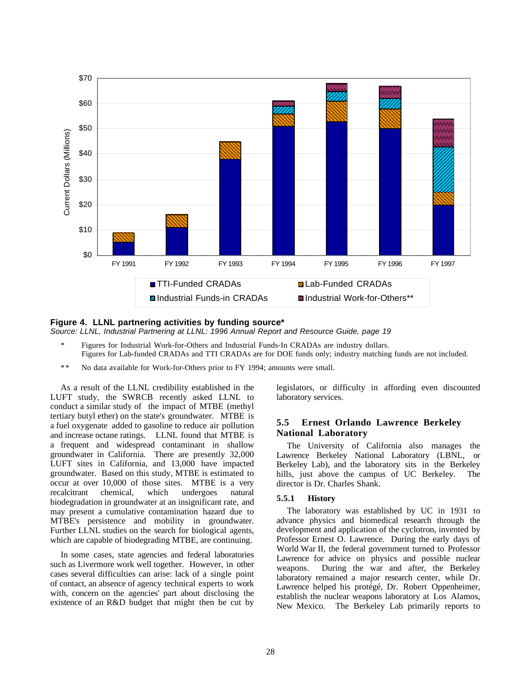

#### **Figure 4. LLNL partnering activities by funding source\*** *Source: LLNL, Industrial Partnering at LLNL: 1996 Annual Report and Resource Guide, page 19*

- Figures for Industrial Work-for-Others and Industrial Funds-In CRADAs are industry dollars. Figures for Lab-funded CRADAs and TTI CRADAs are for DOE funds only; industry matching funds are not included.
- \*\* No data available for Work-for-Others prior to FY 1994; amounts were small.

As a result of the LLNL credibility established in the LUFT study, the SWRCB recently asked LLNL to conduct a similar study of the impact of MTBE (methyl tertiary butyl ether) on the state's groundwater. MTBE is a fuel oxygenate added to gasoline to reduce air pollution and increase octane ratings. LLNL found that MTBE is a frequent and widespread contaminant in shallow groundwater in California. There are presently 32,000 LUFT sites in California, and 13,000 have impacted groundwater. Based on this study, MTBE is estimated to occur at over 10,000 of those sites. MTBE is a very recalcitrant chemical, which undergoes natural biodegradation in groundwater at an insignificant rate, and may present a cumulative contamination hazard due to MTBE's persistence and mobility in groundwater. Further LLNL studies on the search for biological agents, which are capable of biodegrading MTBE, are continuing.

In some cases, state agencies and federal laboratories such as Livermore work well together. However, in other cases several difficulties can arise: lack of a single point of contact, an absence of agency technical experts to work with, concern on the agencies' part about disclosing the existence of an R&D budget that might then be cut by legislators, or difficulty in affording even discounted laboratory services.

#### **5.5 Ernest Orlando Lawrence Berkeley National Laboratory**

The University of California also manages the Lawrence Berkeley National Laboratory (LBNL, or Berkeley Lab), and the laboratory sits in the Berkeley hills, just above the campus of UC Berkeley. The director is Dr. Charles Shank.

#### **5.5.1 History**

The laboratory was established by UC in 1931 to advance physics and biomedical research through the development and application of the cyclotron, invented by Professor Ernest O. Lawrence. During the early days of World War II, the federal government turned to Professor Lawrence for advice on physics and possible nuclear weapons. During the war and after, the Berkeley laboratory remained a major research center, while Dr. Lawrence helped his protégé, Dr. Robert Oppenheimer, establish the nuclear weapons laboratory at Los Alamos, New Mexico. The Berkeley Lab primarily reports to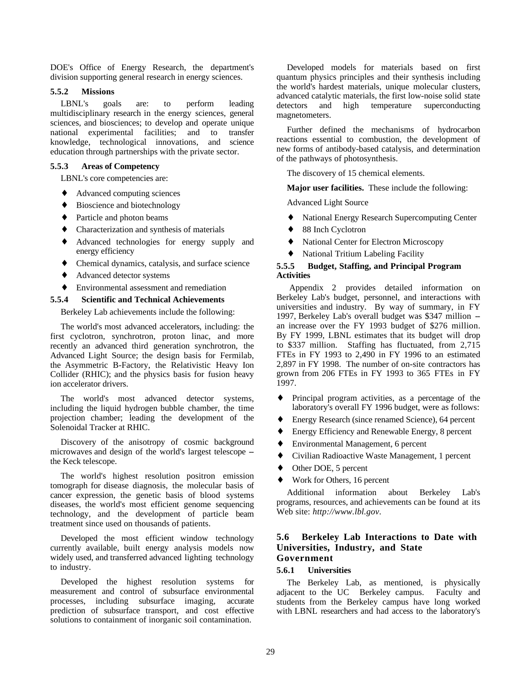DOE's Office of Energy Research, the department's division supporting general research in energy sciences.

#### **5.5.2 Missions**

LBNL's goals are: to perform leading multidisciplinary research in the energy sciences, general sciences, and biosciences; to develop and operate unique national experimental facilities; and to transfer knowledge, technological innovations, and science education through partnerships with the private sector.

#### **5.5.3 Areas of Competency**

LBNL's core competencies are:

- ♦ Advanced computing sciences
- ♦ Bioscience and biotechnology
- Particle and photon beams
- Characterization and synthesis of materials
- ♦ Advanced technologies for energy supply and energy efficiency
- Chemical dynamics, catalysis, and surface science
- Advanced detector systems
- Environmental assessment and remediation

#### **5.5.4 Scientific and Technical Achievements**

Berkeley Lab achievements include the following:

The world's most advanced accelerators, including: the first cyclotron, synchrotron, proton linac, and more recently an advanced third generation synchrotron, the Advanced Light Source; the design basis for Fermilab, the Asymmetric B-Factory, the Relativistic Heavy Ion Collider (RHIC); and the physics basis for fusion heavy ion accelerator drivers.

The world's most advanced detector systems, including the liquid hydrogen bubble chamber, the time projection chamber; leading the development of the Solenoidal Tracker at RHIC.

Discovery of the anisotropy of cosmic background microwaves and design of the world's largest telescope – the Keck telescope.

The world's highest resolution positron emission tomograph for disease diagnosis, the molecular basis of cancer expression, the genetic basis of blood systems diseases, the world's most efficient genome sequencing technology, and the development of particle beam treatment since used on thousands of patients.

Developed the most efficient window technology currently available, built energy analysis models now widely used, and transferred advanced lighting technology to industry.

Developed the highest resolution systems for measurement and control of subsurface environmental processes, including subsurface imaging, accurate prediction of subsurface transport, and cost effective solutions to containment of inorganic soil contamination.

Developed models for materials based on first quantum physics principles and their synthesis including the world's hardest materials, unique molecular clusters, advanced catalytic materials, the first low-noise solid state detectors and high temperature superconducting magnetometers.

Further defined the mechanisms of hydrocarbon reactions essential to combustion, the development of new forms of antibody-based catalysis, and determination of the pathways of photosynthesis.

The discovery of 15 chemical elements.

**Major user facilities.** These include the following:

Advanced Light Source

- ♦ National Energy Research Supercomputing Center
- 88 Inch Cyclotron
- National Center for Electron Microscopy
- National Tritium Labeling Facility

#### **5.5.5 Budget, Staffing, and Principal Program Activities**

 Appendix 2 provides detailed information on Berkeley Lab's budget, personnel, and interactions with universities and industry. By way of summary, in FY 1997, Berkeley Lab's overall budget was \$347 million - an increase over the FY 1993 budget of \$276 million. By FY 1999, LBNL estimates that its budget will drop to \$337 million. Staffing has fluctuated, from 2,715 FTEs in FY 1993 to 2,490 in FY 1996 to an estimated 2,897 in FY 1998. The number of on-site contractors has grown from 206 FTEs in FY 1993 to 365 FTEs in FY 1997.

- ♦ Principal program activities, as a percentage of the laboratory's overall FY 1996 budget, were as follows:
- ♦ Energy Research (since renamed Science), 64 percent
- ♦ Energy Efficiency and Renewable Energy, 8 percent
- Environmental Management, 6 percent
- Civilian Radioactive Waste Management, 1 percent
- ◆ Other DOE, 5 percent
- Work for Others, 16 percent

Additional information about Berkeley Lab's programs, resources, and achievements can be found at its Web site: *http://www.lbl.gov*.

### **5.6 Berkeley Lab Interactions to Date with Universities, Industry, and State Government**

#### **5.6.1 Universities**

The Berkeley Lab, as mentioned, is physically adjacent to the UC Berkeley campus. Faculty and students from the Berkeley campus have long worked with LBNL researchers and had access to the laboratory's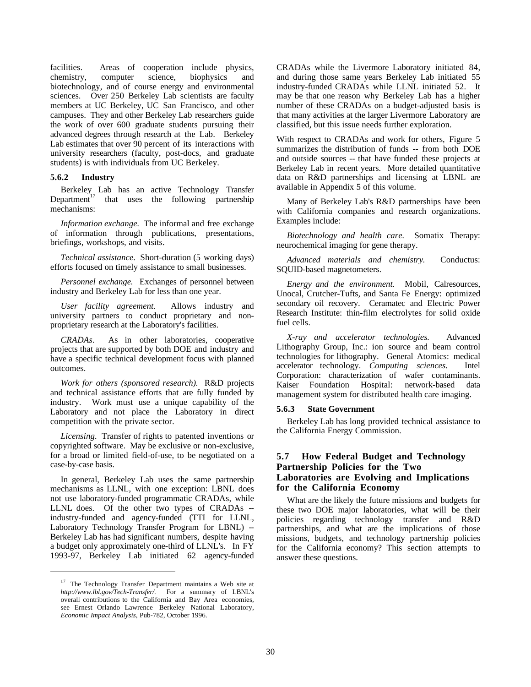facilities. Areas of cooperation include physics, chemistry, computer science, biophysics and biotechnology, and of course energy and environmental sciences. Over 250 Berkeley Lab scientists are faculty members at UC Berkeley, UC San Francisco, and other campuses. They and other Berkeley Lab researchers guide the work of over 600 graduate students pursuing their advanced degrees through research at the Lab. Berkeley Lab estimates that over 90 percent of its interactions with university researchers (faculty, post-docs, and graduate students) is with individuals from UC Berkeley.

#### **5.6.2 Industry**

 $\overline{a}$ 

Berkeley Lab has an active Technology Transfer<br>Department<sup>17</sup> that uses the following partnership that uses the following partnership mechanisms:

*Information exchange.* The informal and free exchange of information through publications, presentations, briefings, workshops, and visits.

*Technical assistance.* Short-duration (5 working days) efforts focused on timely assistance to small businesses.

*Personnel exchange.* Exchanges of personnel between industry and Berkeley Lab for less than one year.

*User facility agreement.* Allows industry and university partners to conduct proprietary and nonproprietary research at the Laboratory's facilities.

*CRADAs.* As in other laboratories, cooperative projects that are supported by both DOE and industry and have a specific technical development focus with planned outcomes.

*Work for others (sponsored research).* R&D projects and technical assistance efforts that are fully funded by industry. Work must use a unique capability of the Laboratory and not place the Laboratory in direct competition with the private sector.

*Licensing.* Transfer of rights to patented inventions or copyrighted software. May be exclusive or non-exclusive, for a broad or limited field-of-use, to be negotiated on a case-by-case basis.

In general, Berkeley Lab uses the same partnership mechanisms as LLNL, with one exception: LBNL does not use laboratory-funded programmatic CRADAs, while LLNL does. Of the other two types of CRADAs -industry-funded and agency-funded (TTI for LLNL, Laboratory Technology Transfer Program for LBNL) --Berkeley Lab has had significant numbers, despite having a budget only approximately one-third of LLNL's. In FY 1993-97, Berkeley Lab initiated 62 agency-funded CRADAs while the Livermore Laboratory initiated 84, and during those same years Berkeley Lab initiated 55 industry-funded CRADAs while LLNL initiated 52. It may be that one reason why Berkeley Lab has a higher number of these CRADAs on a budget-adjusted basis is that many activities at the larger Livermore Laboratory are classified, but this issue needs further exploration.

With respect to CRADAs and work for others, Figure 5 summarizes the distribution of funds -- from both DOE and outside sources -- that have funded these projects at Berkeley Lab in recent years. More detailed quantitative data on R&D partnerships and licensing at LBNL are available in Appendix 5 of this volume.

Many of Berkeley Lab's R&D partnerships have been with California companies and research organizations. Examples include:

*Biotechnology and health care.* Somatix Therapy: neurochemical imaging for gene therapy.

*Advanced materials and chemistry.* Conductus: SQUID-based magnetometers.

*Energy and the environment.* Mobil, Calresources, Unocal, Crutcher-Tufts, and Santa Fe Energy: optimized secondary oil recovery. Ceramatec and Electric Power Research Institute: thin-film electrolytes for solid oxide fuel cells.

*X-ray and accelerator technologies.* Advanced Lithography Group, Inc.: ion source and beam control technologies for lithography. General Atomics: medical accelerator technology. *Computing sciences.* Intel Corporation: characterization of wafer contaminants. Kaiser Foundation Hospital: network-based data management system for distributed health care imaging.

#### **5.6.3 State Government**

Berkeley Lab has long provided technical assistance to the California Energy Commission.

## **5.7 How Federal Budget and Technology Partnership Policies for the Two Laboratories are Evolving and Implications for the California Economy**

What are the likely the future missions and budgets for these two DOE major laboratories, what will be their policies regarding technology transfer and R&D partnerships, and what are the implications of those missions, budgets, and technology partnership policies for the California economy? This section attempts to answer these questions.

<sup>&</sup>lt;sup>17</sup> The Technology Transfer Department maintains a Web site at *http://www.lbl.gov/Tech-Transfer/.* For a summary of LBNL's overall contributions to the California and Bay Area economies, see Ernest Orlando Lawrence Berkeley National Laboratory, *Economic Impact Analysis,* Pub-782, October 1996.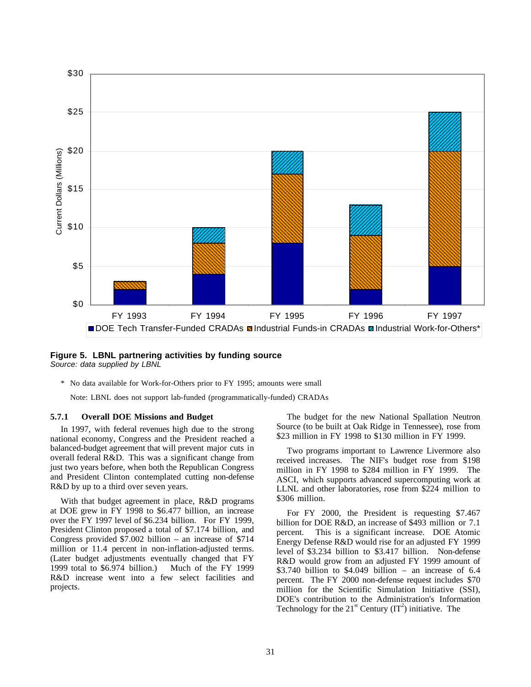

#### **Figure 5. LBNL partnering activities by funding source** *Source: data supplied by LBNL*

\* No data available for Work-for-Others prior to FY 1995; amounts were small

Note: LBNL does not support lab-funded (programmatically-funded) CRADAs

#### **5.7.1 Overall DOE Missions and Budget**

In 1997, with federal revenues high due to the strong national economy, Congress and the President reached a balanced-budget agreement that will prevent major cuts in overall federal R&D. This was a significant change from just two years before, when both the Republican Congress and President Clinton contemplated cutting non-defense R&D by up to a third over seven years.

With that budget agreement in place, R&D programs at DOE grew in FY 1998 to \$6.477 billion, an increase over the FY 1997 level of \$6.234 billion. For FY 1999, President Clinton proposed a total of \$7.174 billion, and Congress provided \$7.002 billion – an increase of \$714 million or 11.4 percent in non-inflation-adjusted terms. (Later budget adjustments eventually changed that FY 1999 total to \$6.974 billion.) Much of the FY 1999 R&D increase went into a few select facilities and projects.

The budget for the new National Spallation Neutron Source (to be built at Oak Ridge in Tennessee), rose from \$23 million in FY 1998 to \$130 million in FY 1999.

Two programs important to Lawrence Livermore also received increases. The NIF's budget rose from \$198 million in FY 1998 to \$284 million in FY 1999. The ASCI, which supports advanced supercomputing work at LLNL and other laboratories, rose from \$224 million to \$306 million.

For FY 2000, the President is requesting \$7.467 billion for DOE R&D, an increase of \$493 million or 7.1 percent. This is a significant increase. DOE Atomic Energy Defense R&D would rise for an adjusted FY 1999 level of \$3.234 billion to \$3.417 billion. Non-defense R&D would grow from an adjusted FY 1999 amount of \$3.740 billion to  $$4.049$  billion – an increase of 6.4 percent. The FY 2000 non-defense request includes \$70 million for the Scientific Simulation Initiative (SSI), DOE's contribution to the Administration's Information Technology for the  $21^{st}$  Century  $(IT^2)$  initiative. The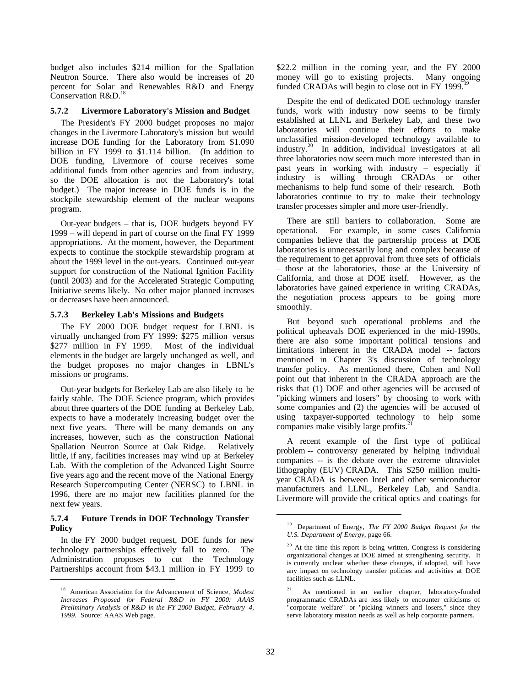budget also includes \$214 million for the Spallation Neutron Source. There also would be increases of 20 percent for Solar and Renewables R&D and Energy Conservation R&D.<sup>18</sup>

#### **5.7.2 Livermore Laboratory's Mission and Budget**

The President's FY 2000 budget proposes no major changes in the Livermore Laboratory's mission but would increase DOE funding for the Laboratory from \$1.090 billion in FY 1999 to \$1.114 billion. (In addition to DOE funding, Livermore of course receives some additional funds from other agencies and from industry, so the DOE allocation is not the Laboratory's total budget.) The major increase in DOE funds is in the stockpile stewardship element of the nuclear weapons program.

Out-year budgets – that is, DOE budgets beyond FY 1999 – will depend in part of course on the final FY 1999 appropriations. At the moment, however, the Department expects to continue the stockpile stewardship program at about the 1999 level in the out-years. Continued out-year support for construction of the National Ignition Facility (until 2003) and for the Accelerated Strategic Computing Initiative seems likely. No other major planned increases or decreases have been announced.

#### **5.7.3 Berkeley Lab's Missions and Budgets**

The FY 2000 DOE budget request for LBNL is virtually unchanged from FY 1999: \$275 million versus \$277 million in FY 1999. Most of the individual elements in the budget are largely unchanged as well, and the budget proposes no major changes in LBNL's missions or programs.

Out-year budgets for Berkeley Lab are also likely to be fairly stable. The DOE Science program, which provides about three quarters of the DOE funding at Berkeley Lab, expects to have a moderately increasing budget over the next five years. There will be many demands on any increases, however, such as the construction National Spallation Neutron Source at Oak Ridge. Relatively little, if any, facilities increases may wind up at Berkeley Lab. With the completion of the Advanced Light Source five years ago and the recent move of the National Energy Research Supercomputing Center (NERSC) to LBNL in 1996, there are no major new facilities planned for the next few years.

#### **5.7.4 Future Trends in DOE Technology Transfer Policy**

In the FY 2000 budget request, DOE funds for new technology partnerships effectively fall to zero. The Administration proposes to cut the Technology Partnerships account from \$43.1 million in FY 1999 to

 $\overline{a}$ 

\$22.2 million in the coming year, and the FY 2000 money will go to existing projects. Many ongoing funded CRADAs will begin to close out in FY 1999.<sup>19</sup>

Despite the end of dedicated DOE technology transfer funds, work with industry now seems to be firmly established at LLNL and Berkeley Lab, and these two laboratories will continue their efforts to make unclassified mission-developed technology available to industry.20 In addition, individual investigators at all three laboratories now seem much more interested than in past years in working with industry – especially if industry is willing through CRADAs or other mechanisms to help fund some of their research. Both laboratories continue to try to make their technology transfer processes simpler and more user-friendly.

There are still barriers to collaboration. Some are operational. For example, in some cases California companies believe that the partnership process at DOE laboratories is unnecessarily long and complex because of the requirement to get approval from three sets of officials – those at the laboratories, those at the University of California, and those at DOE itself. However, as the laboratories have gained experience in writing CRADAs, the negotiation process appears to be going more smoothly.

But beyond such operational problems and the political upheavals DOE experienced in the mid-1990s, there are also some important political tensions and limitations inherent in the CRADA model -- factors mentioned in Chapter 3's discussion of technology transfer policy. As mentioned there, Cohen and Noll point out that inherent in the CRADA approach are the risks that (1) DOE and other agencies will be accused of "picking winners and losers" by choosing to work with some companies and (2) the agencies will be accused of using taxpayer-supported technology to help some companies make visibly large profits.<sup>2</sup>

A recent example of the first type of political problem -- controversy generated by helping individual companies -- is the debate over the extreme ultraviolet lithography (EUV) CRADA. This \$250 million multiyear CRADA is between Intel and other semiconductor manufacturers and LLNL, Berkeley Lab, and Sandia. Livermore will provide the critical optics and coatings for

<sup>18</sup> American Association for the Advancement of Science, *Modest Increases Proposed for Federal R&D in FY 2000: AAAS Preliminary Analysis of R&D in the FY 2000 Budget, February 4, 1999.* Source: AAAS Web page.

<sup>19</sup> Department of Energy, *The FY 2000 Budget Request for the U.S. Department of Energy*, page 66.

 $20$  At the time this report is being written, Congress is considering organizational changes at DOE aimed at strengthening security. It is currently unclear whether these changes, if adopted, will have any impact on technology transfer policies and activities at DOE facilities such as LLNL.

<sup>21</sup> As mentioned in an earlier chapter, laboratory-funded programmatic CRADAs are less likely to encounter criticisms of "corporate welfare" or "picking winners and losers," since they serve laboratory mission needs as well as help corporate partners.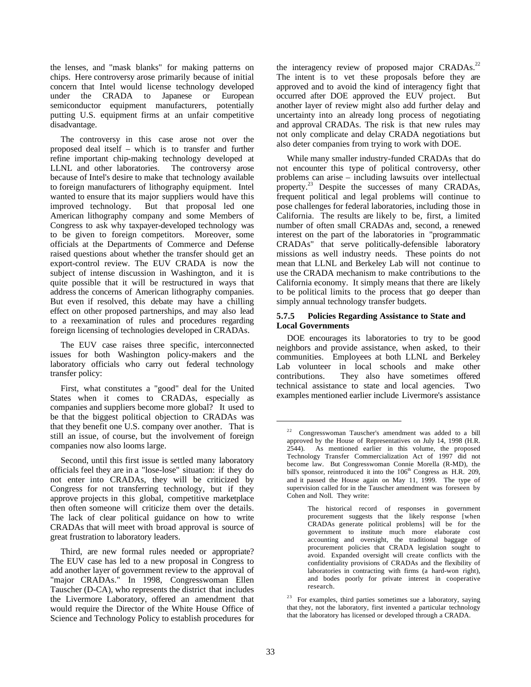the lenses, and "mask blanks" for making patterns on chips. Here controversy arose primarily because of initial concern that Intel would license technology developed under the CRADA to Japanese or European semiconductor equipment manufacturers, potentially putting U.S. equipment firms at an unfair competitive disadvantage.

The controversy in this case arose not over the proposed deal itself – which is to transfer and further refine important chip-making technology developed at LLNL and other laboratories. The controversy arose because of Intel's desire to make that technology available to foreign manufacturers of lithography equipment. Intel wanted to ensure that its major suppliers would have this improved technology. But that proposal led one American lithography company and some Members of Congress to ask why taxpayer-developed technology was to be given to foreign competitors. Moreover, some officials at the Departments of Commerce and Defense raised questions about whether the transfer should get an export-control review. The EUV CRADA is now the subject of intense discussion in Washington, and it is quite possible that it will be restructured in ways that address the concerns of American lithography companies. But even if resolved, this debate may have a chilling effect on other proposed partnerships, and may also lead to a reexamination of rules and procedures regarding foreign licensing of technologies developed in CRADAs.

The EUV case raises three specific, interconnected issues for both Washington policy-makers and the laboratory officials who carry out federal technology transfer policy:

First, what constitutes a "good" deal for the United States when it comes to CRADAs, especially as companies and suppliers become more global? It used to be that the biggest political objection to CRADAs was that they benefit one U.S. company over another. That is still an issue, of course, but the involvement of foreign companies now also looms large.

Second, until this first issue is settled many laboratory officials feel they are in a "lose-lose" situation: if they do not enter into CRADAs, they will be criticized by Congress for not transferring technology, but if they approve projects in this global, competitive marketplace then often someone will criticize them over the details. The lack of clear political guidance on how to write CRADAs that will meet with broad approval is source of great frustration to laboratory leaders.

Third, are new formal rules needed or appropriate? The EUV case has led to a new proposal in Congress to add another layer of government review to the approval of "major CRADAs." In 1998, Congresswoman Ellen Tauscher (D-CA), who represents the district that includes the Livermore Laboratory, offered an amendment that would require the Director of the White House Office of Science and Technology Policy to establish procedures for the interagency review of proposed major CRADAs.<sup>22</sup> The intent is to vet these proposals before they are approved and to avoid the kind of interagency fight that occurred after DOE approved the EUV project. But another layer of review might also add further delay and uncertainty into an already long process of negotiating and approval CRADAs. The risk is that new rules may not only complicate and delay CRADA negotiations but also deter companies from trying to work with DOE.

While many smaller industry-funded CRADAs that do not encounter this type of political controversy, other problems can arise – including lawsuits over intellectual processes of many CRADAs, frequent political and legal problems will continue to pose challenges for federal laboratories, including those in California. The results are likely to be, first, a limited number of often small CRADAs and, second, a renewed interest on the part of the laboratories in "programmatic CRADAs" that serve politically-defensible laboratory missions as well industry needs. These points do not mean that LLNL and Berkeley Lab will not continue to use the CRADA mechanism to make contributions to the California economy. It simply means that there are likely to be political limits to the process that go deeper than simply annual technology transfer budgets.

#### **5.7.5 Policies Regarding Assistance to State and Local Governments**

DOE encourages its laboratories to try to be good neighbors and provide assistance, when asked, to their communities. Employees at both LLNL and Berkeley Lab volunteer in local schools and make other contributions. They also have sometimes offered technical assistance to state and local agencies. Two examples mentioned earlier include Livermore's assistance

<sup>22</sup> Congresswoman Tauscher's amendment was added to a bill approved by the House of Representatives on July 14, 1998 (H.R. 2544). As mentioned earlier in this volume, the proposed Technology Transfer Commercialization Act of 1997 did not become law. But Congresswoman Connie Morella (R-MD), the bill's sponsor, reintroduced it into the  $106<sup>th</sup>$  Congress as H.R. 209, and it passed the House again on May 11, 1999. The type of supervision called for in the Tauscher amendment was foreseen by Cohen and Noll*.* They write:

The historical record of responses in government procurement suggests that the likely response [when CRADAs generate political problems] will be for the government to institute much more elaborate cost accounting and oversight, the traditional baggage of procurement policies that CRADA legislation sought to avoid. Expanded oversight will create conflicts with the confidentiality provisions of CRADAs and the flexibility of laboratories in contracting with firms (a hard-won right). and bodes poorly for private interest in cooperative research.

<sup>&</sup>lt;sup>23</sup> For examples, third parties sometimes sue a laboratory, saying that they, not the laboratory, first invented a particular technology that the laboratory has licensed or developed through a CRADA.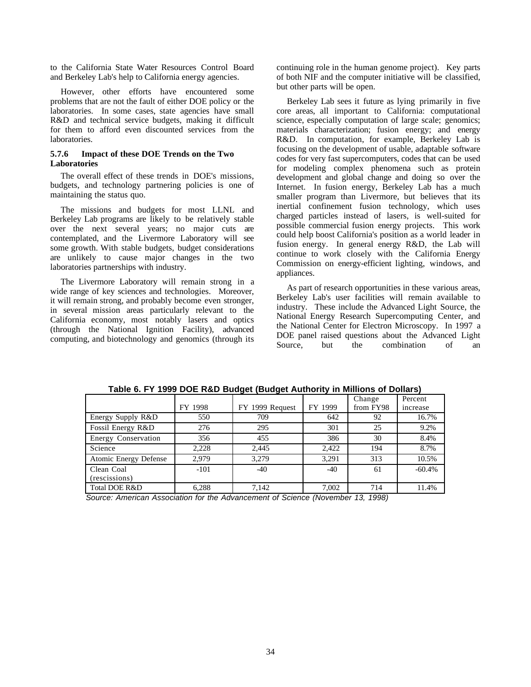to the California State Water Resources Control Board and Berkeley Lab's help to California energy agencies.

However, other efforts have encountered some problems that are not the fault of either DOE policy or the laboratories. In some cases, state agencies have small R&D and technical service budgets, making it difficult for them to afford even discounted services from the laboratories.

#### **5.7.6 Impact of these DOE Trends on the Two Laboratories**

The overall effect of these trends in DOE's missions, budgets, and technology partnering policies is one of maintaining the status quo.

The missions and budgets for most LLNL and Berkeley Lab programs are likely to be relatively stable over the next several years; no major cuts are contemplated, and the Livermore Laboratory will see some growth. With stable budgets, budget considerations are unlikely to cause major changes in the two laboratories partnerships with industry.

The Livermore Laboratory will remain strong in a wide range of key sciences and technologies. Moreover, it will remain strong, and probably become even stronger, in several mission areas particularly relevant to the California economy, most notably lasers and optics (through the National Ignition Facility), advanced computing, and biotechnology and genomics (through its continuing role in the human genome project). Key parts of both NIF and the computer initiative will be classified, but other parts will be open.

Berkeley Lab sees it future as lying primarily in five core areas, all important to California: computational science, especially computation of large scale; genomics; materials characterization; fusion energy; and energy R&D. In computation, for example, Berkeley Lab is focusing on the development of usable, adaptable software codes for very fast supercomputers, codes that can be used for modeling complex phenomena such as protein development and global change and doing so over the Internet. In fusion energy, Berkeley Lab has a much smaller program than Livermore, but believes that its inertial confinement fusion technology, which uses charged particles instead of lasers, is well-suited for possible commercial fusion energy projects. This work could help boost California's position as a world leader in fusion energy. In general energy R&D, the Lab will continue to work closely with the California Energy Commission on energy-efficient lighting, windows, and appliances.

As part of research opportunities in these various areas, Berkeley Lab's user facilities will remain available to industry. These include the Advanced Light Source, the National Energy Research Supercomputing Center, and the National Center for Electron Microscopy. In 1997 a DOE panel raised questions about the Advanced Light Source, but the combination of an

|                             | FY 1998 | FY 1999 Request | FY 1999 | Change<br>from FY98 | Percent<br>increase |
|-----------------------------|---------|-----------------|---------|---------------------|---------------------|
| Energy Supply R&D           | 550     | 709             | 642     | 92                  | 16.7%               |
| Fossil Energy R&D           | 276     | 295             | 301     | 25                  | 9.2%                |
| Energy Conservation         | 356     | 455             | 386     | 30                  | 8.4%                |
| Science                     | 2.228   | 2.445           | 2,422   | 194                 | 8.7%                |
| Atomic Energy Defense       | 2.979   | 3.279           | 3,291   | 313                 | 10.5%               |
| Clean Coal<br>(rescissions) | $-101$  | $-40$           | $-40$   | 61                  | $-60.4%$            |
| <b>Total DOE R&amp;D</b>    | 6,288   | 7,142           | 7,002   | 714                 | 11.4%               |

**Table 6. FY 1999 DOE R&D Budget (Budget Authority in Millions of Dollars)**

*Source: American Association for the Advancement of Science (November 13, 1998)*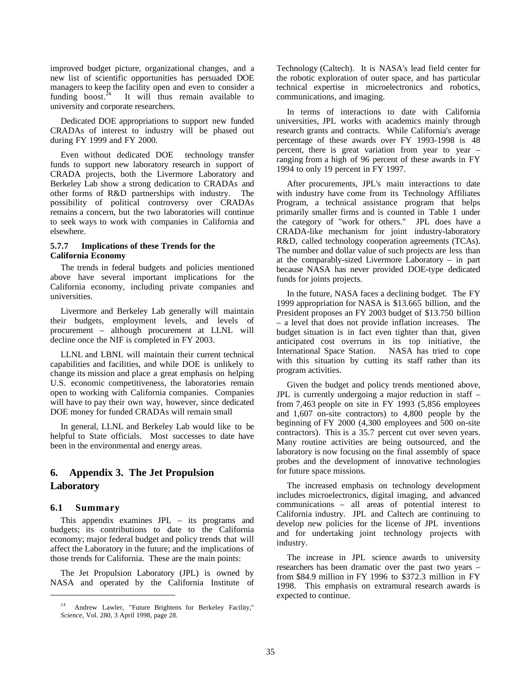improved budget picture, organizational changes, and a new list of scientific opportunities has persuaded DOE managers to keep the facility open and even to consider a funding boost. $^{24}$  It will thus remain available to university and corporate researchers.

Dedicated DOE appropriations to support new funded CRADAs of interest to industry will be phased out during FY 1999 and FY 2000.

Even without dedicated DOE technology transfer funds to support new laboratory research in support of CRADA projects, both the Livermore Laboratory and Berkeley Lab show a strong dedication to CRADAs and other forms of R&D partnerships with industry. The possibility of political controversy over CRADAs remains a concern, but the two laboratories will continue to seek ways to work with companies in California and elsewhere.

#### **5.7.7 Implications of these Trends for the California Economy**

The trends in federal budgets and policies mentioned above have several important implications for the California economy, including private companies and universities.

Livermore and Berkeley Lab generally will maintain their budgets, employment levels, and levels of procurement – although procurement at LLNL will decline once the NIF is completed in FY 2003.

LLNL and LBNL will maintain their current technical capabilities and facilities, and while DOE is unlikely to change its mission and place a great emphasis on helping U.S. economic competitiveness, the laboratories remain open to working with California companies. Companies will have to pay their own way, however, since dedicated DOE money for funded CRADAs will remain small

In general, LLNL and Berkeley Lab would like to be helpful to State officials. Most successes to date have been in the environmental and energy areas.

## **6. Appendix 3. The Jet Propulsion Laboratory**

#### **6.1 Summary**

 $\overline{a}$ 

This appendix examines JPL – its programs and budgets; its contributions to date to the California economy; major federal budget and policy trends that will affect the Laboratory in the future; and the implications of those trends for California. These are the main points:

The Jet Propulsion Laboratory (JPL) is owned by NASA and operated by the California Institute of Technology (Caltech). It is NASA's lead field center for the robotic exploration of outer space, and has particular technical expertise in microelectronics and robotics, communications, and imaging.

In terms of interactions to date with California universities, JPL works with academics mainly through research grants and contracts. While California's average percentage of these awards over FY 1993-1998 is 48 percent, there is great variation from year to year – ranging from a high of 96 percent of these awards in FY 1994 to only 19 percent in FY 1997.

After procurements, JPL's main interactions to date with industry have come from its Technology Affiliates Program, a technical assistance program that helps primarily smaller firms and is counted in Table 1 under the category of "work for others." JPL does have a CRADA-like mechanism for joint industry-laboratory R&D, called technology cooperation agreements (TCAs). The number and dollar value of such projects are less than at the comparably-sized Livermore Laboratory – in part because NASA has never provided DOE-type dedicated funds for joints projects.

In the future, NASA faces a declining budget. The FY 1999 appropriation for NASA is \$13.665 billion, and the President proposes an FY 2003 budget of \$13.750 billion – a level that does not provide inflation increases. The budget situation is in fact even tighter than that, given anticipated cost overruns in its top initiative, the International Space Station. NASA has tried to cope with this situation by cutting its staff rather than its program activities.

Given the budget and policy trends mentioned above, JPL is currently undergoing a major reduction in staff – from 7,463 people on site in FY 1993 (5,856 employees and 1,607 on-site contractors) to 4,800 people by the beginning of FY 2000 (4,300 employees and 500 on-site contractors). This is a 35.7 percent cut over seven years. Many routine activities are being outsourced, and the laboratory is now focusing on the final assembly of space probes and the development of innovative technologies for future space missions.

The increased emphasis on technology development includes microelectronics, digital imaging, and advanced communications – all areas of potential interest to California industry. JPL and Caltech are continuing to develop new policies for the license of JPL inventions and for undertaking joint technology projects with industry.

The increase in JPL science awards to university researchers has been dramatic over the past two years – from \$84.9 million in FY 1996 to \$372.3 million in FY 1998. This emphasis on extramural research awards is expected to continue.

Andrew Lawler, "Future Brightens for Berkeley Facility," *Science,* Vol. 280, 3 April 1998, page 28.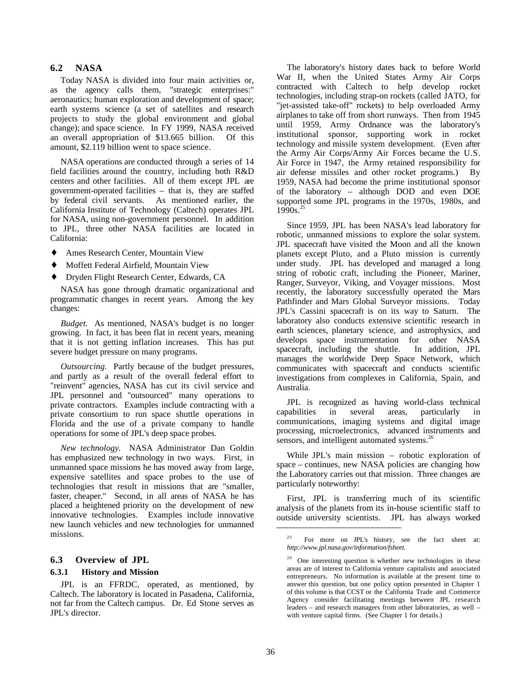## **6.2 NASA**

Today NASA is divided into four main activities or, as the agency calls them, "strategic enterprises:" aeronautics; human exploration and development of space; earth systems science (a set of satellites and research projects to study the global environment and global change); and space science. In FY 1999, NASA received an overall appropriation of \$13.665 billion. Of this amount, \$2.119 billion went to space science.

NASA operations are conducted through a series of 14 field facilities around the country, including both R&D centers and other facilities. All of them except JPL are government-operated facilities – that is, they are staffed by federal civil servants. As mentioned earlier, the California Institute of Technology (Caltech) operates JPL for NASA, using non-government personnel. In addition to JPL, three other NASA facilities are located in California:

- ♦ Ames Research Center, Mountain View
- Moffett Federal Airfield, Mountain View
- ♦ Dryden Flight Research Center, Edwards, CA

NASA has gone through dramatic organizational and programmatic changes in recent years. Among the key changes:

*Budget.* As mentioned, NASA's budget is no longer growing. In fact, it has been flat in recent years, meaning that it is not getting inflation increases. This has put severe budget pressure on many programs.

*Outsourcing.* Partly because of the budget pressures, and partly as a result of the overall federal effort to "reinvent" agencies, NASA has cut its civil service and JPL personnel and "outsourced" many operations to private contractors. Examples include contracting with a private consortium to run space shuttle operations in Florida and the use of a private company to handle operations for some of JPL's deep space probes.

*New technology.* NASA Administrator Dan Goldin has emphasized new technology in two ways. First, in unmanned space missions he has moved away from large, expensive satellites and space probes to the use of technologies that result in missions that are "smaller, faster, cheaper." Second, in all areas of NASA he has placed a heightened priority on the development of new innovative technologies. Examples include innovative new launch vehicles and new technologies for unmanned missions.

#### **6.3 Overview of JPL**

#### **6.3.1 History and Mission**

JPL is an FFRDC, operated, as mentioned, by Caltech. The laboratory is located in Pasadena, California, not far from the Caltech campus. Dr. Ed Stone serves as JPL's director.

The laboratory's history dates back to before World War II, when the United States Army Air Corps contracted with Caltech to help develop rocket technologies, including strap-on rockets (called JATO, for "jet-assisted take-off" rockets) to help overloaded Army airplanes to take off from short runways. Then from 1945 until 1959, Army Ordnance was the laboratory's institutional sponsor, supporting work in rocket technology and missile system development. (Even after the Army Air Corps/Army Air Forces became the U.S. Air Force in 1947, the Army retained responsibility for air defense missiles and other rocket programs.) By 1959, NASA had become the prime institutional sponsor of the laboratory – although DOD and even DOE supported some JPL programs in the 1970s, 1980s, and  $1990s.<sup>25</sup>$ 

Since 1959, JPL has been NASA's lead laboratory for robotic, unmanned missions to explore the solar system. JPL spacecraft have visited the Moon and all the known planets except Pluto, and a Pluto mission is currently under study. JPL has developed and managed a long string of robotic craft, including the Pioneer, Mariner, Ranger, Surveyor, Viking, and Voyager missions. Most recently, the laboratory successfully operated the Mars Pathfinder and Mars Global Surveyor missions. Today JPL's Cassini spacecraft is on its way to Saturn. The laboratory also conducts extensive scientific research in earth sciences, planetary science, and astrophysics, and develops space instrumentation for other NASA spacecraft, including the shuttle. In addition, JPL manages the worldwide Deep Space Network, which communicates with spacecraft and conducts scientific investigations from complexes in California, Spain, and Australia.

JPL is recognized as having world-class technical capabilities in several areas, particularly in communications, imaging systems and digital image processing, microelectronics, advanced instruments and sensors, and intelligent automated systems.<sup>26</sup>

While JPL's main mission – robotic exploration of space – continues, new NASA policies are changing how the Laboratory carries out that mission. Three changes are particularly noteworthy:

First, JPL is transferring much of its scientific analysis of the planets from its in-house scientific staff to outside university scientists. JPL has always worked

<sup>&</sup>lt;sup>25</sup> For more on JPL's history, see the fact sheet at: *http://www.jpl.nasa.gov/information/fsheet.*

<sup>&</sup>lt;sup>26</sup> One interesting question is whether new technologies in these areas are of interest to California venture capitalists and associated entrepreneurs. No information is available at the present time to answer this question, but one policy option presented in Chapter 1 of this volume is that CCST or the California Trade and Commerce Agency consider facilitating meetings between JPL research leaders – and research managers from other laboratories, as well – with venture capital firms. (See Chapter 1 for details.)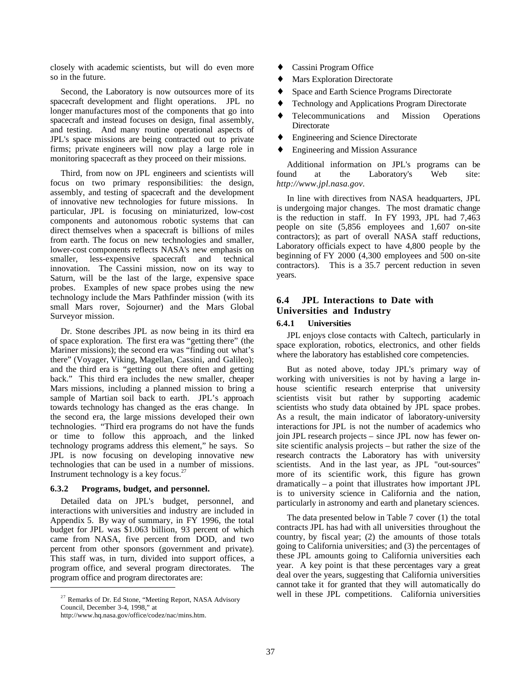closely with academic scientists, but will do even more so in the future.

Second, the Laboratory is now outsources more of its spacecraft development and flight operations. JPL no longer manufactures most of the components that go into spacecraft and instead focuses on design, final assembly, and testing. And many routine operational aspects of JPL's space missions are being contracted out to private firms; private engineers will now play a large role in monitoring spacecraft as they proceed on their missions.

Third, from now on JPL engineers and scientists will focus on two primary responsibilities: the design, assembly, and testing of spacecraft and the development of innovative new technologies for future missions. In particular, JPL is focusing on miniaturized, low-cost components and autonomous robotic systems that can direct themselves when a spacecraft is billions of miles from earth. The focus on new technologies and smaller, lower-cost components reflects NASA's new emphasis on smaller, less-expensive spacecraft and technical innovation. The Cassini mission, now on its way to Saturn, will be the last of the large, expensive space probes. Examples of new space probes using the new technology include the Mars Pathfinder mission (with its small Mars rover, Sojourner) and the Mars Global Surveyor mission.

Dr. Stone describes JPL as now being in its third era of space exploration. The first era was "getting there" (the Mariner missions); the second era was "finding out what's there" (Voyager, Viking, Magellan, Cassini, and Galileo); and the third era is "getting out there often and getting back." This third era includes the new smaller, cheaper Mars missions, including a planned mission to bring a sample of Martian soil back to earth. JPL's approach towards technology has changed as the eras change. In the second era, the large missions developed their own technologies. "Third era programs do not have the funds or time to follow this approach, and the linked technology programs address this element," he says. So JPL is now focusing on developing innovative new technologies that can be used in a number of missions. Instrument technology is a key focus.<sup>27</sup>

#### **6.3.2 Programs, budget, and personnel.**

Detailed data on JPL's budget, personnel, and interactions with universities and industry are included in Appendix 5. By way of summary, in FY 1996, the total budget for JPL was \$1.063 billion, 93 percent of which came from NASA, five percent from DOD, and two percent from other sponsors (government and private). This staff was, in turn, divided into support offices, a program office, and several program directorates. The program office and program directorates are:

 $\overline{a}$ 

- Cassini Program Office
- Mars Exploration Directorate
- Space and Earth Science Programs Directorate
- ♦ Technology and Applications Program Directorate
- Telecommunications and Mission Operations **Directorate**
- **Engineering and Science Directorate**
- Engineering and Mission Assurance

Additional information on JPL's programs can be found at the Laboratory's Web site: *http://www.jpl.nasa.gov.*

In line with directives from NASA headquarters, JPL is undergoing major changes. The most dramatic change is the reduction in staff. In FY 1993, JPL had 7,463 people on site (5,856 employees and 1,607 on-site contractors); as part of overall NASA staff reductions, Laboratory officials expect to have 4,800 people by the beginning of FY 2000 (4,300 employees and 500 on-site contractors). This is a 35.7 percent reduction in seven years.

## **6.4 JPL Interactions to Date with Universities and Industry**

#### **6.4.1 Universities**

JPL enjoys close contacts with Caltech, particularly in space exploration, robotics, electronics, and other fields where the laboratory has established core competencies.

But as noted above, today JPL's primary way of working with universities is not by having a large inhouse scientific research enterprise that university scientists visit but rather by supporting academic scientists who study data obtained by JPL space probes. As a result, the main indicator of laboratory-university interactions for JPL is not the number of academics who join JPL research projects – since JPL now has fewer onsite scientific analysis projects – but rather the size of the research contracts the Laboratory has with university scientists. And in the last year, as JPL "out-sources" more of its scientific work, this figure has grown dramatically – a point that illustrates how important JPL is to university science in California and the nation, particularly in astronomy and earth and planetary sciences.

The data presented below in Table 7 cover (1) the total contracts JPL has had with all universities throughout the country, by fiscal year; (2) the amounts of those totals going to California universities; and (3) the percentages of these JPL amounts going to California universities each year. A key point is that these percentages vary a great deal over the years, suggesting that California universities cannot take it for granted that they will automatically do well in these JPL competitions. California universities

<sup>&</sup>lt;sup>27</sup> Remarks of Dr. Ed Stone, "Meeting Report, NASA Advisory Council, December 3-4, 1998," at

http://www.hq.nasa.gov/office/codez/nac/mins.htm.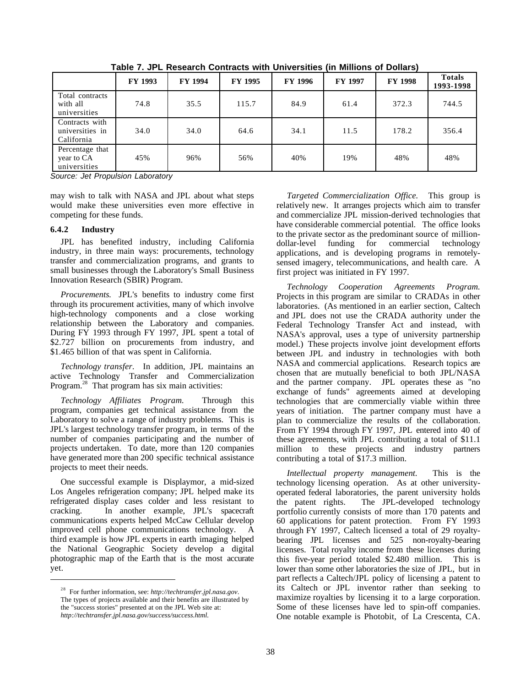|                                                 | FY 1993 | <b>FY 1994</b> | FY 1995 | <b>FY 1996</b> | <b>FY 1997</b> | <b>FY 1998</b> | <b>Totals</b><br>1993-1998 |
|-------------------------------------------------|---------|----------------|---------|----------------|----------------|----------------|----------------------------|
| Total contracts<br>with all<br>universities     | 74.8    | 35.5           | 115.7   | 84.9           | 61.4           | 372.3          | 744.5                      |
| Contracts with<br>universities in<br>California | 34.0    | 34.0           | 64.6    | 34.1           | 11.5           | 178.2          | 356.4                      |
| Percentage that<br>year to CA<br>universities   | 45%     | 96%            | 56%     | 40%            | 19%            | 48%            | 48%                        |

**Table 7. JPL Research Contracts with Universities (in Millions of Dollars)**

*Source: Jet Propulsion Laboratory*

may wish to talk with NASA and JPL about what steps would make these universities even more effective in competing for these funds.

#### **6.4.2 Industry**

 $\overline{a}$ 

JPL has benefited industry, including California industry, in three main ways: procurements, technology transfer and commercialization programs, and grants to small businesses through the Laboratory's Small Business Innovation Research (SBIR) Program.

*Procurements.* JPL's benefits to industry come first through its procurement activities, many of which involve high-technology components and a close working relationship between the Laboratory and companies. During FY 1993 through FY 1997, JPL spent a total of \$2.727 billion on procurements from industry, and \$1.465 billion of that was spent in California.

*Technology transfer.* In addition, JPL maintains an active Technology Transfer and Commercialization Program.<sup>28</sup> That program has six main activities:

*Technology Affiliates Program.* Through this program, companies get technical assistance from the Laboratory to solve a range of industry problems. This is JPL's largest technology transfer program, in terms of the number of companies participating and the number of projects undertaken. To date, more than 120 companies have generated more than 200 specific technical assistance projects to meet their needs.

One successful example is Displaymor, a mid-sized Los Angeles refrigeration company; JPL helped make its refrigerated display cases colder and less resistant to cracking. In another example, JPL's spacecraft communications experts helped McCaw Cellular develop improved cell phone communications technology. A third example is how JPL experts in earth imaging helped the National Geographic Society develop a digital photographic map of the Earth that is the most accurate yet.

*Targeted Commercialization Office.* This group is relatively new. It arranges projects which aim to transfer and commercialize JPL mission-derived technologies that have considerable commercial potential. The office looks to the private sector as the predominant source of milliondollar-level funding for commercial technology applications, and is developing programs in remotelysensed imagery, telecommunications, and health care. A first project was initiated in FY 1997.

*Technology Cooperation Agreements Program.* Projects in this program are similar to CRADAs in other laboratories. (As mentioned in an earlier section, Caltech and JPL does not use the CRADA authority under the Federal Technology Transfer Act and instead, with NASA's approval, uses a type of university partnership model.) These projects involve joint development efforts between JPL and industry in technologies with both NASA and commercial applications. Research topics are chosen that are mutually beneficial to both JPL/NASA and the partner company. JPL operates these as "no exchange of funds" agreements aimed at developing technologies that are commercially viable within three years of initiation. The partner company must have a plan to commercialize the results of the collaboration. From FY 1994 through FY 1997, JPL entered into 40 of these agreements, with JPL contributing a total of \$11.1 million to these projects and industry partners contributing a total of \$17.3 million.

*Intellectual property management.* This is the technology licensing operation. As at other universityoperated federal laboratories, the parent university holds the patent rights. The JPL-developed technology portfolio currently consists of more than 170 patents and 60 applications for patent protection. From FY 1993 through FY 1997, Caltech licensed a total of 29 royaltybearing JPL licenses and 525 non-royalty-bearing licenses. Total royalty income from these licenses during this five-year period totaled \$2.480 million. This is lower than some other laboratories the size of JPL, but in part reflects a Caltech/JPL policy of licensing a patent to its Caltech or JPL inventor rather than seeking to maximize royalties by licensing it to a large corporation. Some of these licenses have led to spin-off companies. One notable example is Photobit, of La Crescenta, CA.

<sup>28</sup> For further information, see: *http://techtransfer.jpl.nasa.gov*. The types of projects available and their benefits are illustrated by the "success stories" presented at on the JPL Web site at: *http://techtransfer.jpl.nasa.gov/success/success.html.*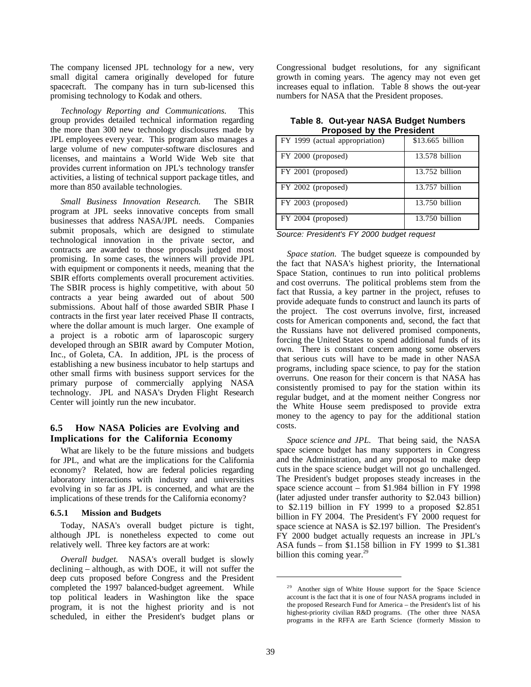The company licensed JPL technology for a new, very small digital camera originally developed for future spacecraft. The company has in turn sub-licensed this promising technology to Kodak and others.

*Technology Reporting and Communications.* This group provides detailed technical information regarding the more than 300 new technology disclosures made by JPL employees every year. This program also manages a large volume of new computer-software disclosures and licenses, and maintains a World Wide Web site that provides current information on JPL's technology transfer activities, a listing of technical support package titles, and more than 850 available technologies.

*Small Business Innovation Research.* The SBIR program at JPL seeks innovative concepts from small businesses that address NASA/JPL needs. Companies submit proposals, which are designed to stimulate technological innovation in the private sector, and contracts are awarded to those proposals judged most promising. In some cases, the winners will provide JPL with equipment or components it needs, meaning that the SBIR efforts complements overall procurement activities. The SBIR process is highly competitive, with about 50 contracts a year being awarded out of about 500 submissions. About half of those awarded SBIR Phase I contracts in the first year later received Phase II contracts, where the dollar amount is much larger. One example of a project is a robotic arm of laparoscopic surgery developed through an SBIR award by Computer Motion, Inc., of Goleta, CA. In addition, JPL is the process of establishing a new business incubator to help startups and other small firms with business support services for the primary purpose of commercially applying NASA technology. JPL and NASA's Dryden Flight Research Center will jointly run the new incubator.

## **6.5 How NASA Policies are Evolving and Implications for the California Economy**

What are likely to be the future missions and budgets for JPL, and what are the implications for the California economy? Related, how are federal policies regarding laboratory interactions with industry and universities evolving in so far as JPL is concerned, and what are the implications of these trends for the California economy?

#### **6.5.1 Mission and Budgets**

Today, NASA's overall budget picture is tight, although JPL is nonetheless expected to come out relatively well. Three key factors are at work:

*Overall budget.* NASA's overall budget is slowly declining – although, as with DOE, it will not suffer the deep cuts proposed before Congress and the President completed the 1997 balanced-budget agreement. While top political leaders in Washington like the space program, it is not the highest priority and is not scheduled, in either the President's budget plans or Congressional budget resolutions, for any significant growth in coming years. The agency may not even get increases equal to inflation. Table 8 shows the out-year numbers for NASA that the President proposes.

| Table 8. Out-year NASA Budget Numbers |                                  |  |
|---------------------------------------|----------------------------------|--|
|                                       | <b>Proposed by the President</b> |  |

| FY 1999 (actual appropriation) | \$13.665 billion |
|--------------------------------|------------------|
| FY 2000 (proposed)             | 13.578 billion   |
| FY 2001 (proposed)             | $13.752$ billion |
| FY 2002 (proposed)             | $13.757$ billion |
| FY 2003 (proposed)             | 13.750 billion   |
| FY 2004 (proposed)             | $13.750$ billion |

*Source: President's FY 2000 budget request*

*Space station.* The budget squeeze is compounded by the fact that NASA's highest priority, the International Space Station, continues to run into political problems and cost overruns. The political problems stem from the fact that Russia, a key partner in the project, refuses to provide adequate funds to construct and launch its parts of the project. The cost overruns involve, first, increased costs for American components and, second, the fact that the Russians have not delivered promised components, forcing the United States to spend additional funds of its own. There is constant concern among some observers that serious cuts will have to be made in other NASA programs, including space science, to pay for the station overruns. One reason for their concern is that NASA has consistently promised to pay for the station within its regular budget, and at the moment neither Congress nor the White House seem predisposed to provide extra money to the agency to pay for the additional station costs.

*Space science and JPL.* That being said, the NASA space science budget has many supporters in Congress and the Administration, and any proposal to make deep cuts in the space science budget will not go unchallenged. The President's budget proposes steady increases in the space science account – from \$1.984 billion in FY 1998 (later adjusted under transfer authority to \$2.043 billion) to \$2.119 billion in FY 1999 to a proposed \$2.851 billion in FY 2004. The President's FY 2000 request for space science at NASA is \$2.197 billion. The President's FY 2000 budget actually requests an increase in JPL's ASA funds – from \$1.158 billion in FY 1999 to \$1.381 billion this coming year. $<sup>2</sup>$ </sup>

<sup>&</sup>lt;sup>29</sup> Another sign of White House support for the Space Science account is the fact that it is one of four NASA programs included in the proposed Research Fund for America – the President's list of his highest-priority civilian R&D programs. (The other three NASA programs in the RFFA are Earth Science (formerly Mission to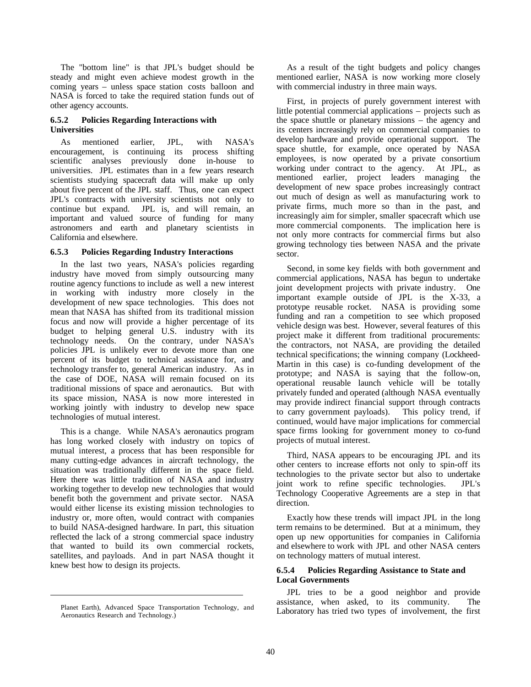The "bottom line" is that JPL's budget should be steady and might even achieve modest growth in the coming years – unless space station costs balloon and NASA is forced to take the required station funds out of other agency accounts.

#### **6.5.2 Policies Regarding Interactions with Universities**

As mentioned earlier, JPL, with NASA's encouragement, is continuing its process shifting scientific analyses previously done in-house to universities. JPL estimates than in a few years research scientists studying spacecraft data will make up only about five percent of the JPL staff. Thus, one can expect JPL's contracts with university scientists not only to continue but expand. JPL is, and will remain, an important and valued source of funding for many astronomers and earth and planetary scientists in California and elsewhere.

#### **6.5.3 Policies Regarding Industry Interactions**

In the last two years, NASA's policies regarding industry have moved from simply outsourcing many routine agency functions to include as well a new interest in working with industry more closely in the development of new space technologies. This does not mean that NASA has shifted from its traditional mission focus and now will provide a higher percentage of its budget to helping general U.S. industry with its technology needs. On the contrary, under NASA's policies JPL is unlikely ever to devote more than one percent of its budget to technical assistance for, and technology transfer to, general American industry. As in the case of DOE, NASA will remain focused on its traditional missions of space and aeronautics. But with its space mission, NASA is now more interested in working jointly with industry to develop new space technologies of mutual interest.

This is a change. While NASA's aeronautics program has long worked closely with industry on topics of mutual interest, a process that has been responsible for many cutting-edge advances in aircraft technology, the situation was traditionally different in the space field. Here there was little tradition of NASA and industry working together to develop new technologies that would benefit both the government and private sector. NASA would either license its existing mission technologies to industry or, more often, would contract with companies to build NASA-designed hardware. In part, this situation reflected the lack of a strong commercial space industry that wanted to build its own commercial rockets, satellites, and payloads. And in part NASA thought it knew best how to design its projects.

 $\overline{a}$ 

As a result of the tight budgets and policy changes mentioned earlier, NASA is now working more closely with commercial industry in three main ways.

First, in projects of purely government interest with little potential commercial applications – projects such as the space shuttle or planetary missions – the agency and its centers increasingly rely on commercial companies to develop hardware and provide operational support. The space shuttle, for example, once operated by NASA employees, is now operated by a private consortium working under contract to the agency. At JPL, as mentioned earlier, project leaders managing the development of new space probes increasingly contract out much of design as well as manufacturing work to private firms, much more so than in the past, and increasingly aim for simpler, smaller spacecraft which use more commercial components. The implication here is not only more contracts for commercial firms but also growing technology ties between NASA and the private sector.

Second, in some key fields with both government and commercial applications, NASA has begun to undertake joint development projects with private industry. One important example outside of JPL is the X-33, a prototype reusable rocket. NASA is providing some funding and ran a competition to see which proposed vehicle design was best. However, several features of this project make it different from traditional procurements: the contractors, not NASA, are providing the detailed technical specifications; the winning company (Lockheed-Martin in this case) is co-funding development of the prototype; and NASA is saying that the follow-on, operational reusable launch vehicle will be totally privately funded and operated (although NASA eventually may provide indirect financial support through contracts to carry government payloads). This policy trend, if continued, would have major implications for commercial space firms looking for government money to co-fund projects of mutual interest.

Third, NASA appears to be encouraging JPL and its other centers to increase efforts not only to spin-off its technologies to the private sector but also to undertake joint work to refine specific technologies. JPL's Technology Cooperative Agreements are a step in that direction.

Exactly how these trends will impact JPL in the long term remains to be determined. But at a minimum, they open up new opportunities for companies in California and elsewhere to work with JPL and other NASA centers on technology matters of mutual interest.

#### **6.5.4 Policies Regarding Assistance to State and Local Governments**

JPL tries to be a good neighbor and provide assistance, when asked, to its community. The Laboratory has tried two types of involvement, the first

Planet Earth), Advanced Space Transportation Technology, and Aeronautics Research and Technology.)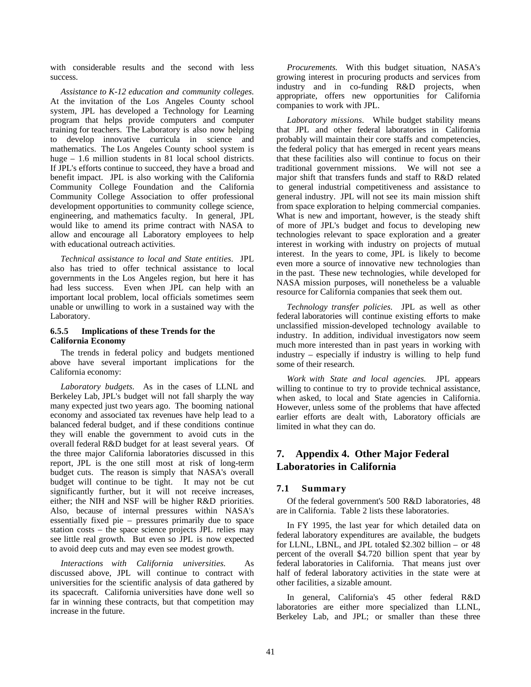with considerable results and the second with less success.

*Assistance to K-12 education and community colleges.* At the invitation of the Los Angeles County school system, JPL has developed a Technology for Learning program that helps provide computers and computer training for teachers. The Laboratory is also now helping to develop innovative curricula in science and mathematics. The Los Angeles County school system is huge – 1.6 million students in 81 local school districts. If JPL's efforts continue to succeed, they have a broad and benefit impact. JPL is also working with the California Community College Foundation and the California Community College Association to offer professional development opportunities to community college science, engineering, and mathematics faculty. In general, JPL would like to amend its prime contract with NASA to allow and encourage all Laboratory employees to help with educational outreach activities.

*Technical assistance to local and State entities.* JPL also has tried to offer technical assistance to local governments in the Los Angeles region, but here it has had less success. Even when JPL can help with an important local problem, local officials sometimes seem unable or unwilling to work in a sustained way with the Laboratory.

#### **6.5.5 Implications of these Trends for the California Economy**

The trends in federal policy and budgets mentioned above have several important implications for the California economy:

*Laboratory budgets.* As in the cases of LLNL and Berkeley Lab, JPL's budget will not fall sharply the way many expected just two years ago. The booming national economy and associated tax revenues have help lead to a balanced federal budget, and if these conditions continue they will enable the government to avoid cuts in the overall federal R&D budget for at least several years. Of the three major California laboratories discussed in this report, JPL is the one still most at risk of long-term budget cuts. The reason is simply that NASA's overall budget will continue to be tight. It may not be cut significantly further, but it will not receive increases, either; the NIH and NSF will be higher R&D priorities. Also, because of internal pressures within NASA's essentially fixed pie – pressures primarily due to space station costs – the space science projects JPL relies may see little real growth. But even so JPL is now expected to avoid deep cuts and may even see modest growth.

*Interactions with California universities.* As discussed above, JPL will continue to contract with universities for the scientific analysis of data gathered by its spacecraft. California universities have done well so far in winning these contracts, but that competition may increase in the future.

*Procurements.* With this budget situation, NASA's growing interest in procuring products and services from industry and in co-funding R&D projects, when appropriate, offers new opportunities for California companies to work with JPL.

*Laboratory missions.* While budget stability means that JPL and other federal laboratories in California probably will maintain their core staffs and competencies, the federal policy that has emerged in recent years means that these facilities also will continue to focus on their traditional government missions. We will not see a major shift that transfers funds and staff to R&D related to general industrial competitiveness and assistance to general industry. JPL will not see its main mission shift from space exploration to helping commercial companies. What is new and important, however, is the steady shift of more of JPL's budget and focus to developing new technologies relevant to space exploration and a greater interest in working with industry on projects of mutual interest. In the years to come, JPL is likely to become even more a source of innovative new technologies than in the past. These new technologies, while developed for NASA mission purposes, will nonetheless be a valuable resource for California companies that seek them out.

*Technology transfer policies.* JPL as well as other federal laboratories will continue existing efforts to make unclassified mission-developed technology available to industry. In addition, individual investigators now seem much more interested than in past years in working with industry – especially if industry is willing to help fund some of their research.

*Work with State and local agencies.* JPL appears willing to continue to try to provide technical assistance, when asked, to local and State agencies in California. However, unless some of the problems that have affected earlier efforts are dealt with, Laboratory officials are limited in what they can do.

## **7. Appendix 4. Other Major Federal Laboratories in California**

## **7.1 Summary**

Of the federal government's 500 R&D laboratories, 48 are in California. Table 2 lists these laboratories.

In FY 1995, the last year for which detailed data on federal laboratory expenditures are available, the budgets for LLNL, LBNL, and JPL totaled \$2.302 billion – or 48 percent of the overall \$4.720 billion spent that year by federal laboratories in California. That means just over half of federal laboratory activities in the state were at other facilities, a sizable amount.

In general, California's 45 other federal R&D laboratories are either more specialized than LLNL, Berkeley Lab, and JPL; or smaller than these three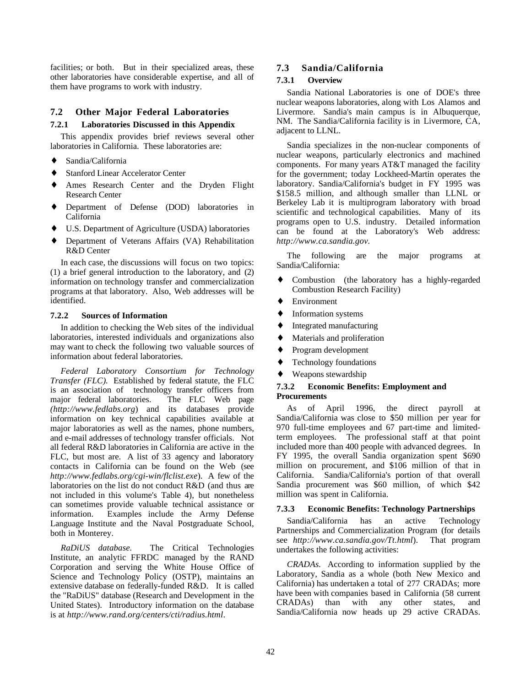facilities; or both. But in their specialized areas, these other laboratories have considerable expertise, and all of them have programs to work with industry.

### **7.2 Other Major Federal Laboratories**

## **7.2.1 Laboratories Discussed in this Appendix**

This appendix provides brief reviews several other laboratories in California. These laboratories are:

- ♦ Sandia/California
- **Stanford Linear Accelerator Center**
- Ames Research Center and the Dryden Flight Research Center
- ♦ Department of Defense (DOD) laboratories in California
- U.S. Department of Agriculture (USDA) laboratories
- ♦ Department of Veterans Affairs (VA) Rehabilitation R&D Center

In each case, the discussions will focus on two topics: (1) a brief general introduction to the laboratory, and (2) information on technology transfer and commercialization programs at that laboratory. Also, Web addresses will be identified.

#### **7.2.2 Sources of Information**

In addition to checking the Web sites of the individual laboratories, interested individuals and organizations also may want to check the following two valuable sources of information about federal laboratories.

*Federal Laboratory Consortium for Technology Transfer (FLC).* Established by federal statute, the FLC is an association of technology transfer officers from major federal laboratories. The FLC Web page *(http://www.fedlabs.org*) and its databases provide information on key technical capabilities available at major laboratories as well as the names, phone numbers, and e-mail addresses of technology transfer officials. Not all federal R&D laboratories in California are active in the FLC, but most are. A list of 33 agency and laboratory contacts in California can be found on the Web (see *http://www.fedlabs.org/cgi-win/flclist.exe*). A few of the laboratories on the list do not conduct R&D (and thus are not included in this volume's Table 4), but nonetheless can sometimes provide valuable technical assistance or information. Examples include the Army Defense Language Institute and the Naval Postgraduate School, both in Monterey.

*RaDiUS database.* The Critical Technologies Institute, an analytic FFRDC managed by the RAND Corporation and serving the White House Office of Science and Technology Policy (OSTP), maintains an extensive database on federally-funded R&D. It is called the "RaDiUS" database (Research and Development in the United States). Introductory information on the database is at *http://www.rand.org/centers/cti/radius.html*.

## **7.3 Sandia/California**

#### **7.3.1 Overview**

Sandia National Laboratories is one of DOE's three nuclear weapons laboratories, along with Los Alamos and Livermore. Sandia's main campus is in Albuquerque, NM. The Sandia/California facility is in Livermore, CA, adjacent to LLNL.

Sandia specializes in the non-nuclear components of nuclear weapons, particularly electronics and machined components. For many years AT&T managed the facility for the government; today Lockheed-Martin operates the laboratory. Sandia/California's budget in FY 1995 was \$158.5 million, and although smaller than LLNL or Berkeley Lab it is multiprogram laboratory with broad scientific and technological capabilities. Many of its programs open to U.S. industry. Detailed information can be found at the Laboratory's Web address: *http://www.ca.sandia.gov.* 

The following are the major programs at Sandia/California:

- ♦ Combustion (the laboratory has a highly-regarded Combustion Research Facility)
- ♦ Environment
- ♦ Information systems
- ♦ Integrated manufacturing
- Materials and proliferation
- Program development
- Technology foundations
- Weapons stewardship

#### **7.3.2 Economic Benefits: Employment and Procurements**

As of April 1996, the direct payroll at Sandia/California was close to \$50 million per year for 970 full-time employees and 67 part-time and limitedterm employees. The professional staff at that point included more than 400 people with advanced degrees. In FY 1995, the overall Sandia organization spent \$690 million on procurement, and \$106 million of that in California. Sandia/California's portion of that overall Sandia procurement was \$60 million, of which \$42 million was spent in California.

#### **7.3.3 Economic Benefits: Technology Partnerships**

Sandia/California has an active Technology Partnerships and Commercialization Program (for details see *http://www.ca.sandia.gov/Tt.html*). That program undertakes the following activities:

*CRADAs.* According to information supplied by the Laboratory, Sandia as a whole (both New Mexico and California) has undertaken a total of 277 CRADAs; more have been with companies based in California (58 current CRADAs) than with any other states, and Sandia/California now heads up 29 active CRADAs.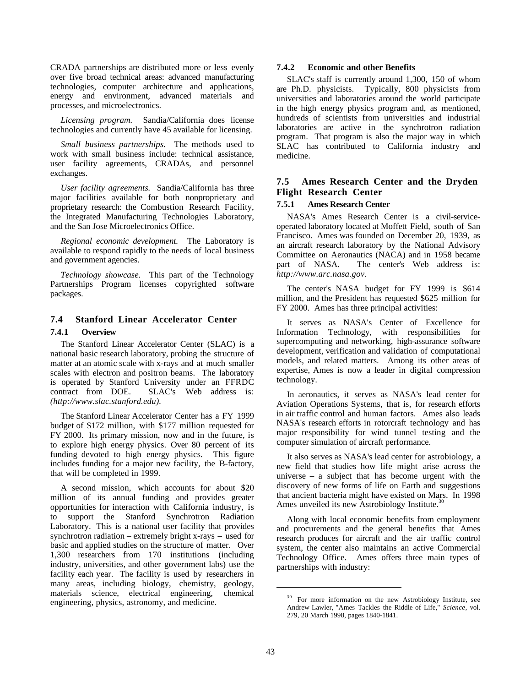CRADA partnerships are distributed more or less evenly over five broad technical areas: advanced manufacturing technologies, computer architecture and applications, energy and environment, advanced materials and processes, and microelectronics.

*Licensing program.* Sandia/California does license technologies and currently have 45 available for licensing.

*Small business partnerships.* The methods used to work with small business include: technical assistance, user facility agreements, CRADAs, and personnel exchanges.

*User facility agreements.* Sandia/California has three major facilities available for both nonproprietary and proprietary research: the Combustion Research Facility, the Integrated Manufacturing Technologies Laboratory, and the San Jose Microelectronics Office.

*Regional economic development.* The Laboratory is available to respond rapidly to the needs of local business and government agencies.

*Technology showcase.* This part of the Technology Partnerships Program licenses copyrighted software packages.

## **7.4 Stanford Linear Accelerator Center**

#### **7.4.1 Overview**

The Stanford Linear Accelerator Center (SLAC) is a national basic research laboratory, probing the structure of matter at an atomic scale with x-rays and at much smaller scales with electron and positron beams. The laboratory is operated by Stanford University under an FFRDC contract from DOE. SLAC's Web address is: *(http://www.slac.stanford.edu).*

The Stanford Linear Accelerator Center has a FY 1999 budget of \$172 million, with \$177 million requested for FY 2000. Its primary mission, now and in the future, is to explore high energy physics. Over 80 percent of its funding devoted to high energy physics. This figure includes funding for a major new facility, the B-factory, that will be completed in 1999.

A second mission, which accounts for about \$20 million of its annual funding and provides greater opportunities for interaction with California industry, is to support the Stanford Synchrotron Radiation Laboratory. This is a national user facility that provides synchrotron radiation – extremely bright x-rays – used for basic and applied studies on the structure of matter. Over 1,300 researchers from 170 institutions (including industry, universities, and other government labs) use the facility each year. The facility is used by researchers in many areas, including biology, chemistry, geology, materials science, electrical engineering, chemical engineering, physics, astronomy, and medicine.

#### **7.4.2 Economic and other Benefits**

SLAC's staff is currently around 1,300, 150 of whom are Ph.D. physicists. Typically, 800 physicists from universities and laboratories around the world participate in the high energy physics program and, as mentioned, hundreds of scientists from universities and industrial laboratories are active in the synchrotron radiation program. That program is also the major way in which SLAC has contributed to California industry and medicine.

### **7.5 Ames Research Center and the Dryden Flight Research Center**

### **7.5.1 Ames Research Center**

NASA's Ames Research Center is a civil-serviceoperated laboratory located at Moffett Field, south of San Francisco. Ames was founded on December 20, 1939, as an aircraft research laboratory by the National Advisory Committee on Aeronautics (NACA) and in 1958 became part of NASA. The center's Web address is: *http://www.arc.nasa.gov.*

The center's NASA budget for FY 1999 is \$614 million, and the President has requested \$625 million for FY 2000. Ames has three principal activities:

It serves as NASA's Center of Excellence for Information Technology, with responsibilities for supercomputing and networking, high-assurance software development, verification and validation of computational models, and related matters. Among its other areas of expertise, Ames is now a leader in digital compression technology.

In aeronautics, it serves as NASA's lead center for Aviation Operations Systems, that is, for research efforts in air traffic control and human factors. Ames also leads NASA's research efforts in rotorcraft technology and has major responsibility for wind tunnel testing and the computer simulation of aircraft performance.

It also serves as NASA's lead center for astrobiology, a new field that studies how life might arise across the universe – a subject that has become urgent with the discovery of new forms of life on Earth and suggestions that ancient bacteria might have existed on Mars. In 1998 Ames unveiled its new Astrobiology Institute.<sup>3</sup>

Along with local economic benefits from employment and procurements and the general benefits that Ames research produces for aircraft and the air traffic control system, the center also maintains an active Commercial Technology Office. Ames offers three main types of partnerships with industry:

<sup>&</sup>lt;sup>30</sup> For more information on the new Astrobiology Institute, see Andrew Lawler, "Ames Tackles the Riddle of Life," *Science,* vol. 279, 20 March 1998, pages 1840-1841.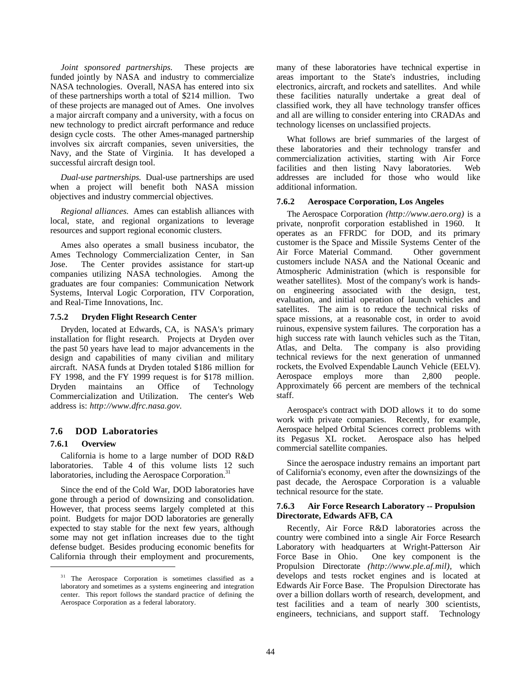*Joint sponsored partnerships.* These projects are funded jointly by NASA and industry to commercialize NASA technologies. Overall, NASA has entered into six of these partnerships worth a total of \$214 million. Two of these projects are managed out of Ames. One involves a major aircraft company and a university, with a focus on new technology to predict aircraft performance and reduce design cycle costs. The other Ames-managed partnership involves six aircraft companies, seven universities, the Navy, and the State of Virginia. It has developed a successful aircraft design tool.

*Dual-use partnerships.* Dual-use partnerships are used when a project will benefit both NASA mission objectives and industry commercial objectives.

*Regional alliances.* Ames can establish alliances with local, state, and regional organizations to leverage resources and support regional economic clusters.

Ames also operates a small business incubator, the Ames Technology Commercialization Center, in San Jose. The Center provides assistance for start-up companies utilizing NASA technologies. Among the graduates are four companies: Communication Network Systems, Interval Logic Corporation, ITV Corporation, and Real-Time Innovations, Inc.

#### **7.5.2 Dryden Flight Research Center**

Dryden, located at Edwards, CA, is NASA's primary installation for flight research. Projects at Dryden over the past 50 years have lead to major advancements in the design and capabilities of many civilian and military aircraft. NASA funds at Dryden totaled \$186 million for FY 1998, and the FY 1999 request is for \$178 million. Dryden maintains an Office of Technology Commercialization and Utilization. The center's Web address is: *http://www.dfrc.nasa.gov.*

#### **7.6 DOD Laboratories**

#### **7.6.1 Overview**

 $\overline{a}$ 

California is home to a large number of DOD R&D laboratories. Table 4 of this volume lists 12 such laboratories, including the Aerospace Corporation.<sup>31</sup>

Since the end of the Cold War, DOD laboratories have gone through a period of downsizing and consolidation. However, that process seems largely completed at this point. Budgets for major DOD laboratories are generally expected to stay stable for the next few years, although some may not get inflation increases due to the tight defense budget. Besides producing economic benefits for California through their employment and procurements, many of these laboratories have technical expertise in areas important to the State's industries, including electronics, aircraft, and rockets and satellites. And while these facilities naturally undertake a great deal of classified work, they all have technology transfer offices and all are willing to consider entering into CRADAs and technology licenses on unclassified projects.

What follows are brief summaries of the largest of these laboratories and their technology transfer and commercialization activities, starting with Air Force facilities and then listing Navy laboratories. Web addresses are included for those who would like additional information.

#### **7.6.2 Aerospace Corporation, Los Angeles**

The Aerospace Corporation *(http://www.aero.org)* is a private, nonprofit corporation established in 1960. It operates as an FFRDC for DOD, and its primary customer is the Space and Missile Systems Center of the Air Force Material Command. Other government customers include NASA and the National Oceanic and Atmospheric Administration (which is responsible for weather satellites). Most of the company's work is handson engineering associated with the design, test, evaluation, and initial operation of launch vehicles and satellites. The aim is to reduce the technical risks of space missions, at a reasonable cost, in order to avoid ruinous, expensive system failures. The corporation has a high success rate with launch vehicles such as the Titan, Atlas, and Delta. The company is also providing technical reviews for the next generation of unmanned rockets, the Evolved Expendable Launch Vehicle (EELV). Aerospace employs more than 2,800 people. Approximately 66 percent are members of the technical staff.

Aerospace's contract with DOD allows it to do some work with private companies. Recently, for example, Aerospace helped Orbital Sciences correct problems with its Pegasus XL rocket. Aerospace also has helped commercial satellite companies.

Since the aerospace industry remains an important part of California's economy, even after the downsizings of the past decade, the Aerospace Corporation is a valuable technical resource for the state.

#### **7.6.3 Air Force Research Laboratory -- Propulsion Directorate, Edwards AFB, CA**

Recently, Air Force R&D laboratories across the country were combined into a single Air Force Research Laboratory with headquarters at Wright-Patterson Air Force Base in Ohio. One key component is the Propulsion Directorate *(http://www.ple.af.mil),* which develops and tests rocket engines and is located at Edwards Air Force Base. The Propulsion Directorate has over a billion dollars worth of research, development, and test facilities and a team of nearly 300 scientists, engineers, technicians, and support staff. Technology

<sup>&</sup>lt;sup>31</sup> The Aerospace Corporation is sometimes classified as a laboratory and sometimes as a systems engineering and integration center. This report follows the standard practice of defining the Aerospace Corporation as a federal laboratory.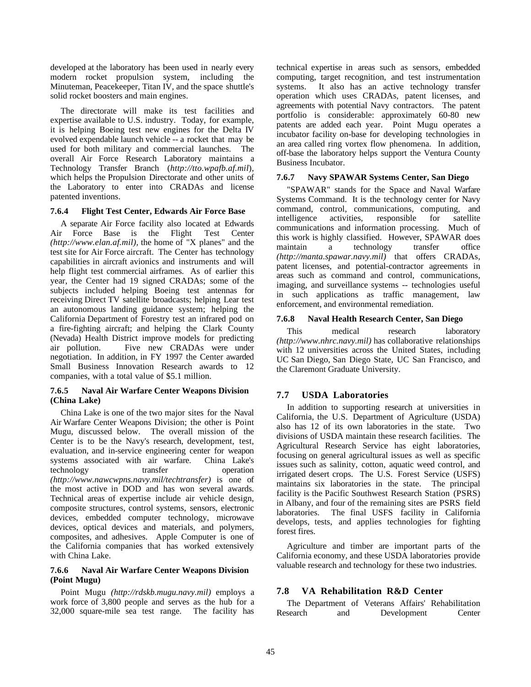developed at the laboratory has been used in nearly every modern rocket propulsion system, including the Minuteman, Peacekeeper, Titan IV, and the space shuttle's solid rocket boosters and main engines.

The directorate will make its test facilities and expertise available to U.S. industry. Today, for example, it is helping Boeing test new engines for the Delta IV evolved expendable launch vehicle -- a rocket that may be used for both military and commercial launches. The overall Air Force Research Laboratory maintains a Technology Transfer Branch (*http://tto.wpafb.af.mil*), which helps the Propulsion Directorate and other units of the Laboratory to enter into CRADAs and license patented inventions.

#### **7.6.4 Flight Test Center, Edwards Air Force Base**

A separate Air Force facility also located at Edwards Air Force Base is the Flight Test Center *(http://www.elan.af.mil),* the home of "X planes" and the test site for Air Force aircraft. The Center has technology capabilities in aircraft avionics and instruments and will help flight test commercial airframes. As of earlier this year, the Center had 19 signed CRADAs; some of the subjects included helping Boeing test antennas for receiving Direct TV satellite broadcasts; helping Lear test an autonomous landing guidance system; helping the California Department of Forestry test an infrared pod on a fire-fighting aircraft; and helping the Clark County (Nevada) Health District improve models for predicting air pollution. Five new CRADAs were under negotiation. In addition, in FY 1997 the Center awarded Small Business Innovation Research awards to 12 companies, with a total value of \$5.1 million.

#### **7.6.5 Naval Air Warfare Center Weapons Division (China Lake)**

China Lake is one of the two major sites for the Naval Air Warfare Center Weapons Division; the other is Point Mugu, discussed below. The overall mission of the Center is to be the Navy's research, development, test, evaluation, and in-service engineering center for weapon systems associated with air warfare. China Lake's technology transfer operation *(http://www.nawcwpns.navy.mil/techtransfer)* is one of the most active in DOD and has won several awards. Technical areas of expertise include air vehicle design, composite structures, control systems, sensors, electronic devices, embedded computer technology, microwave devices, optical devices and materials, and polymers, composites, and adhesives. Apple Computer is one of the California companies that has worked extensively with China Lake.

#### **7.6.6 Naval Air Warfare Center Weapons Division (Point Mugu)**

Point Mugu *(http://rdskb.mugu.navy.mil)* employs a work force of 3,800 people and serves as the hub for a 32,000 square-mile sea test range. The facility has technical expertise in areas such as sensors, embedded computing, target recognition, and test instrumentation systems. It also has an active technology transfer operation which uses CRADAs, patent licenses, and agreements with potential Navy contractors. The patent portfolio is considerable: approximately 60-80 new patents are added each year. Point Mugu operates a incubator facility on-base for developing technologies in an area called ring vortex flow phenomena. In addition, off-base the laboratory helps support the Ventura County Business Incubator.

#### **7.6.7 Navy SPAWAR Systems Center, San Diego**

"SPAWAR" stands for the Space and Naval Warfare Systems Command. It is the technology center for Navy command, control, communications, computing, and intelligence activities, responsible for satellite communications and information processing. Much of this work is highly classified. However, SPAWAR does maintain a technology transfer office *(http://manta.spawar.navy.mil)* that offers CRADAs, patent licenses, and potential-contractor agreements in areas such as command and control, communications, imaging, and surveillance systems -- technologies useful in such applications as traffic management, law enforcement, and environmental remediation.

#### **7.6.8 Naval Health Research Center, San Diego**

This medical research laboratory *(http://www.nhrc.navy.mil)* has collaborative relationships with 12 universities across the United States, including UC San Diego, San Diego State, UC San Francisco, and the Claremont Graduate University.

#### **7.7 USDA Laboratories**

In addition to supporting research at universities in California, the U.S. Department of Agriculture (USDA) also has 12 of its own laboratories in the state. Two divisions of USDA maintain these research facilities. The Agricultural Research Service has eight laboratories, focusing on general agricultural issues as well as specific issues such as salinity, cotton, aquatic weed control, and irrigated desert crops. The U.S. Forest Service (USFS) maintains six laboratories in the state. The principal facility is the Pacific Southwest Research Station (PSRS) in Albany, and four of the remaining sites are PSRS field laboratories. The final USFS facility in California develops, tests, and applies technologies for fighting forest fires.

Agriculture and timber are important parts of the California economy, and these USDA laboratories provide valuable research and technology for these two industries.

#### **7.8 VA Rehabilitation R&D Center**

The Department of Veterans Affairs' Rehabilitation Research and Development Center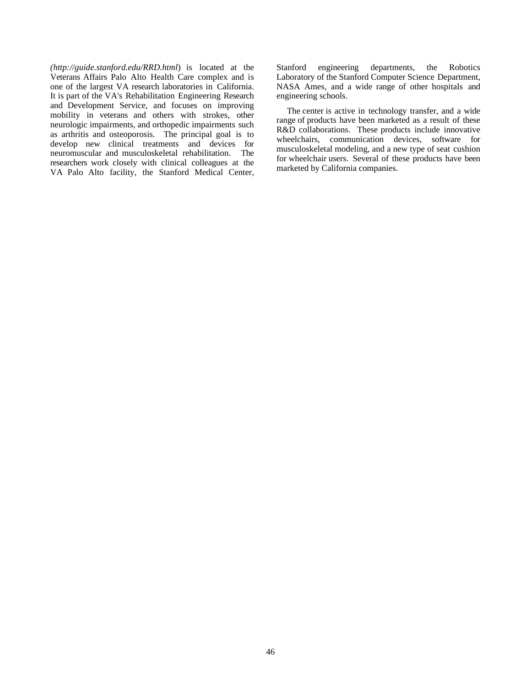*(http://guide.stanford.edu/RRD.html*) is located at the Veterans Affairs Palo Alto Health Care complex and is one of the largest VA research laboratories in California. It is part of the VA's Rehabilitation Engineering Research and Development Service, and focuses on improving mobility in veterans and others with strokes, other neurologic impairments, and orthopedic impairments such as arthritis and osteoporosis. The principal goal is to develop new clinical treatments and devices for neuromuscular and musculoskeletal rehabilitation. The researchers work closely with clinical colleagues at the VA Palo Alto facility, the Stanford Medical Center, Stanford engineering departments, the Robotics Laboratory of the Stanford Computer Science Department, NASA Ames, and a wide range of other hospitals and engineering schools.

The center is active in technology transfer, and a wide range of products have been marketed as a result of these R&D collaborations. These products include innovative wheelchairs, communication devices, software for musculoskeletal modeling, and a new type of seat cushion for wheelchair users. Several of these products have been marketed by California companies.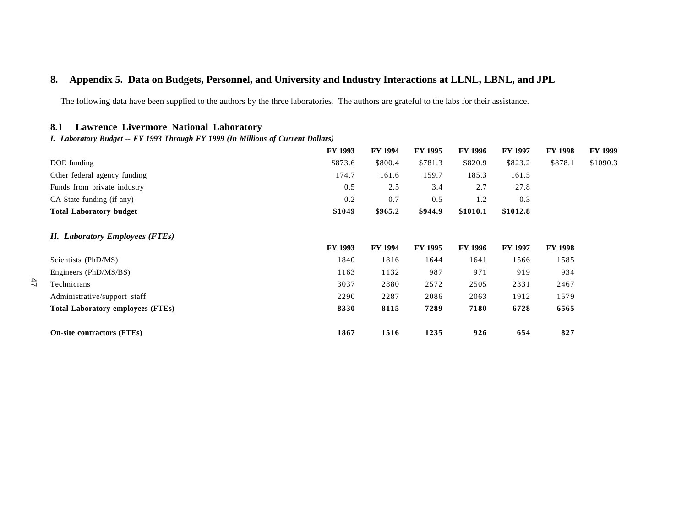## **8. Appendix 5. Data on Budgets, Personnel, and University and Industry Interactions at LLNL, LBNL, and JPL**

The following data have been supplied to the authors by the three laboratories. The authors are grateful to the labs for their assistance.

## **8.1 Lawrence Livermore National Laboratory**

 $47$ 

*I. Laboratory Budget -- FY 1993 Through FY 1999 (In Millions of Current Dollars)*

|                                          | FY 1993        | FY 1994        | <b>FY 1995</b> | <b>FY 1996</b> | <b>FY 1997</b> | <b>FY 1998</b> | <b>FY 1999</b> |
|------------------------------------------|----------------|----------------|----------------|----------------|----------------|----------------|----------------|
| DOE funding                              | \$873.6        | \$800.4        | \$781.3        | \$820.9        | \$823.2        | \$878.1        | \$1090.3       |
| Other federal agency funding             | 174.7          | 161.6          | 159.7          | 185.3          | 161.5          |                |                |
| Funds from private industry              | 0.5            | 2.5            | 3.4            | 2.7            | 27.8           |                |                |
| CA State funding (if any)                | 0.2            | 0.7            | 0.5            | 1.2            | 0.3            |                |                |
| <b>Total Laboratory budget</b>           | \$1049         | \$965.2        | \$944.9        | \$1010.1       | \$1012.8       |                |                |
| <b>II.</b> Laboratory Employees (FTEs)   |                |                |                |                |                |                |                |
|                                          | <b>FY 1993</b> | <b>FY 1994</b> | <b>FY 1995</b> | <b>FY 1996</b> | <b>FY 1997</b> | <b>FY 1998</b> |                |
| Scientists (PhD/MS)                      | 1840           | 1816           | 1644           | 1641           | 1566           | 1585           |                |
| Engineers (PhD/MS/BS)                    | 1163           | 1132           | 987            | 971            | 919            | 934            |                |
| Technicians                              | 3037           | 2880           | 2572           | 2505           | 2331           | 2467           |                |
| Administrative/support staff             | 2290           | 2287           | 2086           | 2063           | 1912           | 1579           |                |
| <b>Total Laboratory employees (FTEs)</b> | 8330           | 8115           | 7289           | 7180           | 6728           | 6565           |                |
| <b>On-site contractors (FTEs)</b>        | 1867           | 1516           | 1235           | 926            | 654            | 827            |                |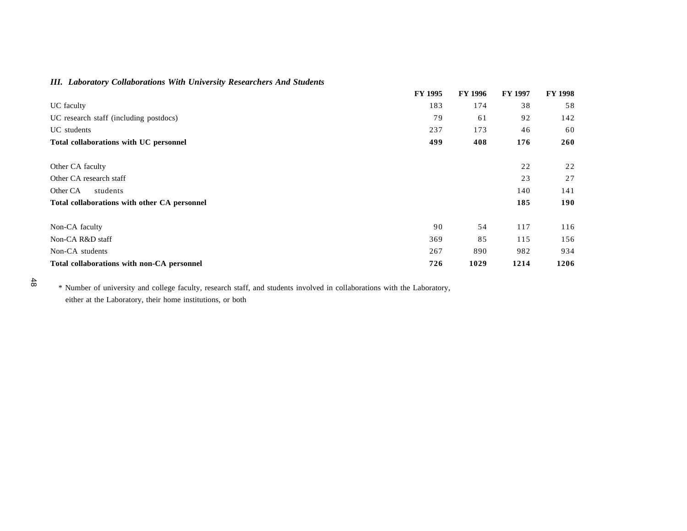## *III. Laboratory Collaborations With University Researchers And Students*

|                                              | <b>FY 1995</b> | <b>FY 1996</b> | <b>FY 1997</b> | <b>FY 1998</b> |
|----------------------------------------------|----------------|----------------|----------------|----------------|
| UC faculty                                   | 183            | 174            | 38             | 58             |
| UC research staff (including postdocs)       | 79             | 61             | 92             | 142            |
| UC students                                  | 237            | 173            | 46             | 60             |
| Total collaborations with UC personnel       | 499            | 408            | 176            | 260            |
| Other CA faculty                             |                |                | 22             | 22             |
| Other CA research staff                      |                |                | 23             | 27             |
| Other CA<br>students                         |                |                | 140            | 141            |
| Total collaborations with other CA personnel |                |                | 185            | 190            |
| Non-CA faculty                               | 90             | 54             | 117            | 116            |
| Non-CA R&D staff                             | 369            | 85             | 115            | 156            |
| Non-CA students                              | 267            | 890            | 982            | 934            |
| Total collaborations with non-CA personnel   | 726            | 1029           | 1214           | 1206           |

<sup>48</sup>

 \* Number of university and college faculty, research staff, and students involved in collaborations with the Laboratory, either at the Laboratory, their home institutions, or both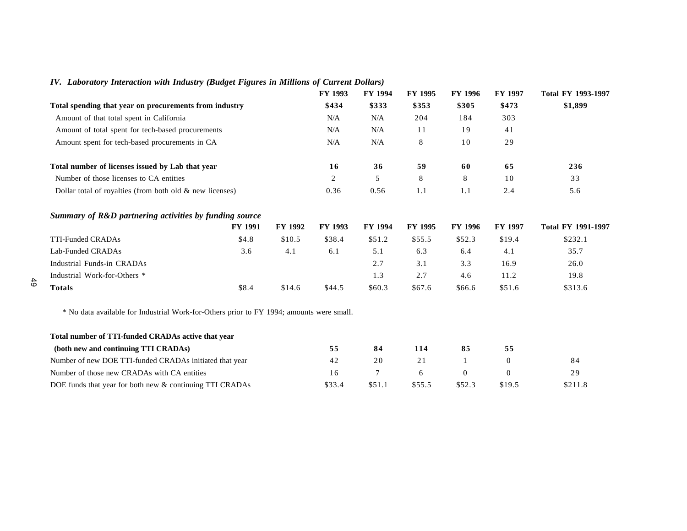|  | IV. Laboratory Interaction with Industry (Budget Figures in Millions of Current Dollars) |  |  |  |  |  |  |  |  |  |  |  |
|--|------------------------------------------------------------------------------------------|--|--|--|--|--|--|--|--|--|--|--|
|--|------------------------------------------------------------------------------------------|--|--|--|--|--|--|--|--|--|--|--|

|                                                             |                |                | FY 1993        | FY 1994        | FY 1995        | FY 1996        | FY 1997        | Total FY 1993-1997        |
|-------------------------------------------------------------|----------------|----------------|----------------|----------------|----------------|----------------|----------------|---------------------------|
| Total spending that year on procurements from industry      |                |                | \$434          | \$333          | \$353          | \$305          | \$473          | \$1,899                   |
| Amount of that total spent in California                    |                |                | N/A            | N/A            | 204            | 184            | 303            |                           |
| Amount of total spent for tech-based procurements           |                |                | N/A            | N/A            | 11             | 19             | 41             |                           |
| Amount spent for tech-based procurements in CA              |                |                | N/A            | N/A            | 8              | 10             | 29             |                           |
| Total number of licenses issued by Lab that year            |                |                | 16             | 36             | 59             | 60             | 65             | 236                       |
| Number of those licenses to CA entities                     |                |                | 2              | 5              | 8              | 8              | 10             | 33                        |
| Dollar total of royalties (from both old $\&$ new licenses) |                |                | 0.36           | 0.56           | 1.1            | 1.1            | 2.4            | 5.6                       |
|                                                             |                |                |                |                |                |                |                |                           |
| Summary of R&D partnering activities by funding source      |                |                |                |                |                |                |                |                           |
|                                                             | <b>FY 1991</b> | <b>FY 1992</b> | <b>FY 1993</b> | <b>FY 1994</b> | <b>FY 1995</b> | <b>FY 1996</b> | <b>FY 1997</b> | <b>Total FY 1991-1997</b> |
| TTI-Funded CRADAs                                           | \$4.8          | \$10.5         | \$38.4         | \$51.2         | \$55.5         | \$52.3         | \$19.4         | \$232.1                   |
| Lab-Funded CRADAs                                           | 3.6            | 4.1            | 6.1            | 5.1            | 6.3            | 6.4            | 4.1            | 35.7                      |
| Industrial Funds-in CRADAs                                  |                |                |                | 2.7            | 3.1            | 3.3            | 16.9           | 26.0                      |
| Industrial Work-for-Others *                                |                |                |                | 1.3            | 2.7            | 4.6            | 11.2           | 19.8                      |

| Total number of TTI-funded CRADAs active that year       |        |        |        |        |        |         |  |
|----------------------------------------------------------|--------|--------|--------|--------|--------|---------|--|
| (both new and continuing TTI CRADAs)                     | 55     | 84     | 114    | 85     | 55     |         |  |
| Number of new DOE TTI-funded CRADAs initiated that year  | 42     | 20     | 21     |        |        | 84      |  |
| Number of those new CRADAs with CA entities              | 16     |        | 6      |        |        | 29      |  |
| DOE funds that year for both new & continuing TTI CRADAs | \$33.4 | \$51.1 | \$55.5 | \$52.3 | \$19.5 | \$211.8 |  |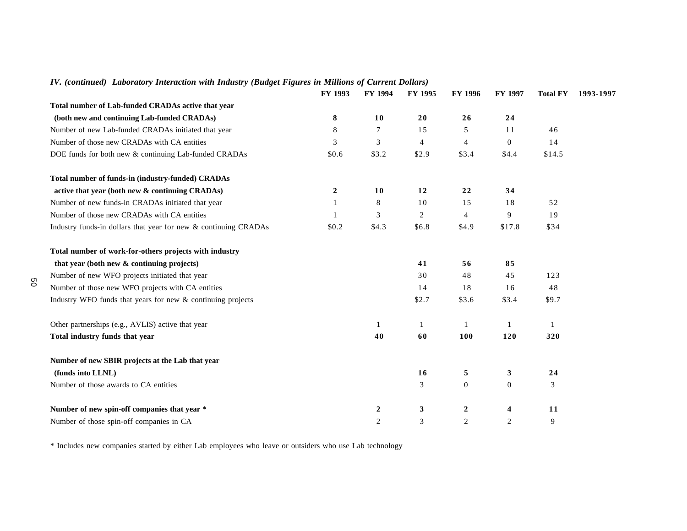|                                                                 | FY 1993      | <b>FY 1994</b>   | <b>FY 1995</b> | <b>FY 1996</b>   | <b>FY 1997</b>   | <b>Total FY</b> | 1993-1997 |
|-----------------------------------------------------------------|--------------|------------------|----------------|------------------|------------------|-----------------|-----------|
| Total number of Lab-funded CRADAs active that year              |              |                  |                |                  |                  |                 |           |
| (both new and continuing Lab-funded CRADAs)                     | 8            | 10               | 20             | 26               | 24               |                 |           |
| Number of new Lab-funded CRADAs initiated that year             | 8            | 7                | 15             | 5                | 11               | 46              |           |
| Number of those new CRADAs with CA entities                     | 3            | 3                | $\overline{4}$ | 4                | $\overline{0}$   | 14              |           |
| DOE funds for both new & continuing Lab-funded CRADAs           | \$0.6        | \$3.2            | \$2.9          | \$3.4            | \$4.4            | \$14.5          |           |
| Total number of funds-in (industry-funded) CRADAs               |              |                  |                |                  |                  |                 |           |
| active that year (both new & continuing CRADAs)                 | $\mathbf{2}$ | <b>10</b>        | 12             | 22               | 34               |                 |           |
| Number of new funds-in CRADAs initiated that year               |              | 8                | 10             | 15               | 18               | 52              |           |
| Number of those new CRADAs with CA entities                     |              | 3                | 2              | 4                | 9                | 19              |           |
| Industry funds-in dollars that year for new & continuing CRADAs | \$0.2        | \$4.3            | \$6.8          | \$4.9            | \$17.8           | \$34            |           |
| Total number of work-for-others projects with industry          |              |                  |                |                  |                  |                 |           |
| that year (both new & continuing projects)                      |              |                  | 41             | 56               | 85               |                 |           |
| Number of new WFO projects initiated that year                  |              |                  | 30             | 48               | 45               | 123             |           |
| Number of those new WFO projects with CA entities               |              |                  | 14             | 18               | 16               | 48              |           |
| Industry WFO funds that years for new & continuing projects     |              |                  | \$2.7          | \$3.6            | \$3.4            | \$9.7           |           |
| Other partnerships (e.g., AVLIS) active that year               |              | 1                | 1              |                  |                  | $\mathbf{1}$    |           |
| Total industry funds that year                                  |              | 40               | 60             | 100              | 120              | 320             |           |
| Number of new SBIR projects at the Lab that year                |              |                  |                |                  |                  |                 |           |
| (funds into LLNL)                                               |              |                  | 16             | 5                | $\mathbf{3}$     | 24              |           |
| Number of those awards to CA entities                           |              |                  | 3              | $\mathbf{0}$     | $\boldsymbol{0}$ | 3               |           |
| Number of new spin-off companies that year *                    |              | $\boldsymbol{2}$ | 3              | $\boldsymbol{2}$ | 4                | 11              |           |
| Number of those spin-off companies in CA                        |              | $\overline{2}$   | $\mathfrak{Z}$ | $\mathbf{2}$     | 2                | 9               |           |

## *IV. (continued) Laboratory Interaction with Industry (Budget Figures in Millions of Current Dollars)*

\* Includes new companies started by either Lab employees who leave or outsiders who use Lab technology

50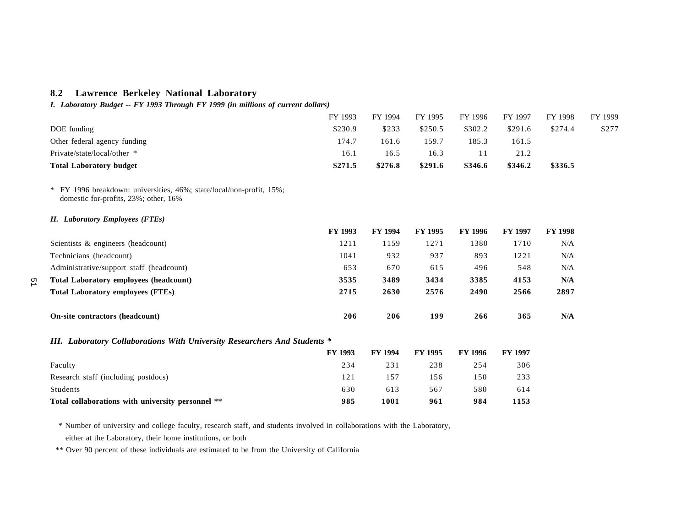## **8.2 Lawrence Berkeley National Laboratory**

51

*I. Laboratory Budget -- FY 1993 Through FY 1999 (in millions of current dollars)*

|                                                                                                               | FY 1993 | FY 1994        | FY 1995        | FY 1996        | FY 1997        | FY 1998        | FY 1999 |
|---------------------------------------------------------------------------------------------------------------|---------|----------------|----------------|----------------|----------------|----------------|---------|
| DOE funding                                                                                                   | \$230.9 | \$233          | \$250.5        | \$302.2        | \$291.6        | \$274.4        | \$277   |
| Other federal agency funding                                                                                  | 174.7   | 161.6          | 159.7          | 185.3          | 161.5          |                |         |
| Private/state/local/other *                                                                                   | 16.1    | 16.5           | 16.3           | 11             | 21.2           |                |         |
| <b>Total Laboratory budget</b>                                                                                | \$271.5 | \$276.8        | \$291.6        | \$346.6        | \$346.2        | \$336.5        |         |
| * FY 1996 breakdown: universities, 46%; state/local/non-profit, 15%;<br>domestic for-profits, 23%; other, 16% |         |                |                |                |                |                |         |
| <b>II.</b> Laboratory Employees (FTEs)                                                                        |         |                |                |                |                |                |         |
|                                                                                                               | FY 1993 | <b>FY 1994</b> | FY 1995        | FY 1996        | FY 1997        | <b>FY 1998</b> |         |
| Scientists & engineers (headcount)                                                                            | 1211    | 1159           | 1271           | 1380           | 1710           | N/A            |         |
| Technicians (headcount)                                                                                       | 1041    | 932            | 937            | 893            | 1221           | N/A            |         |
| Administrative/support staff (headcount)                                                                      | 653     | 670            | 615            | 496            | 548            | N/A            |         |
| <b>Total Laboratory employees (headcount)</b>                                                                 | 3535    | 3489           | 3434           | 3385           | 4153           | N/A            |         |
| <b>Total Laboratory employees (FTEs)</b>                                                                      | 2715    | 2630           | 2576           | 2490           | 2566           | 2897           |         |
| On-site contractors (headcount)                                                                               | 206     | 206            | 199            | 266            | 365            | N/A            |         |
| III. Laboratory Collaborations With University Researchers And Students *                                     |         |                |                |                |                |                |         |
|                                                                                                               | FY 1993 | <b>FY 1994</b> | <b>FY 1995</b> | <b>FY 1996</b> | <b>FY 1997</b> |                |         |
| Faculty                                                                                                       | 234     | 231            | 238            | 254            | 306            |                |         |
| Research staff (including postdocs)                                                                           | 121     | 157            | 156            | 150            | 233            |                |         |
| Students                                                                                                      | 630     | 613            | 567            | 580            | 614            |                |         |
| Total collaborations with university personnel **                                                             | 985     | 1001           | 961            | 984            | 1153           |                |         |

 \* Number of university and college faculty, research staff, and students involved in collaborations with the Laboratory, either at the Laboratory, their home institutions, or both

\*\* Over 90 percent of these individuals are estimated to be from the University of California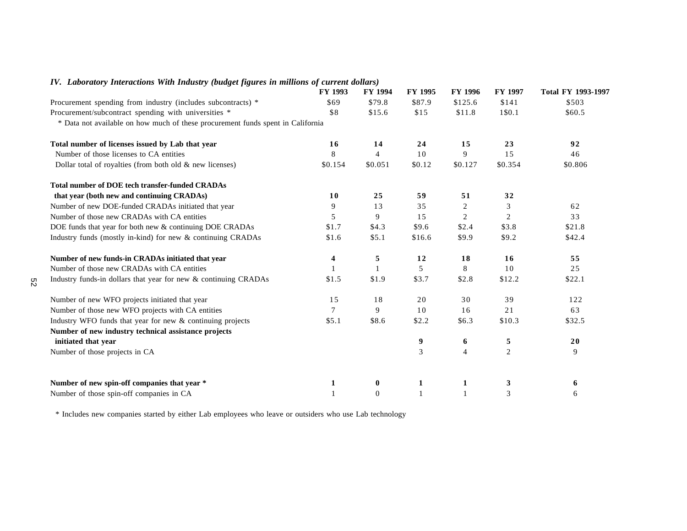|                                                                                 | <b>FY 1993</b> | <b>FY 1994</b> | FY 1995 | <b>FY 1996</b> | <b>FY 1997</b> | <b>Total FY 1993-1997</b> |
|---------------------------------------------------------------------------------|----------------|----------------|---------|----------------|----------------|---------------------------|
| Procurement spending from industry (includes subcontracts) *                    | \$69           | \$79.8         | \$87.9  | \$125.6        | \$141          | \$503                     |
| Procurement/subcontract spending with universities *                            | \$8            | \$15.6         | \$15    | \$11.8         | 1\$0.1         | \$60.5                    |
| * Data not available on how much of these procurement funds spent in California |                |                |         |                |                |                           |
| Total number of licenses issued by Lab that year                                | 16             | 14             | 24      | 15             | 23             | 92                        |
| Number of those licenses to CA entities                                         | 8              | $\overline{4}$ | 10      | 9              | 15             | 46                        |
| Dollar total of royalties (from both old $\&$ new licenses)                     | \$0.154        | \$0.051        | \$0.12  | \$0.127        | \$0.354        | \$0.806                   |
| <b>Total number of DOE tech transfer-funded CRADAs</b>                          |                |                |         |                |                |                           |
| that year (both new and continuing CRADAs)                                      | 10             | 25             | 59      | 51             | 32             |                           |
| Number of new DOE-funded CRADAs initiated that year                             | 9              | 13             | 35      | 2              | 3              | 62                        |
| Number of those new CRADAs with CA entities                                     | 5              | 9              | 15      | 2              | $\overline{2}$ | 33                        |
| DOE funds that year for both new & continuing DOE CRADAs                        | \$1.7          | \$4.3          | \$9.6   | \$2.4          | \$3.8          | \$21.8                    |
| Industry funds (mostly in-kind) for new & continuing CRADAs                     | \$1.6          | \$5.1          | \$16.6  | \$9.9          | \$9.2          | \$42.4                    |
| Number of new funds-in CRADAs initiated that year                               | 4              | 5              | 12      | 18             | 16             | 55                        |
| Number of those new CRADAs with CA entities                                     |                |                | 5       | 8              | 10             | 25                        |
| Industry funds-in dollars that year for new & continuing CRADAs                 | \$1.5          | \$1.9          | \$3.7   | \$2.8          | \$12.2         | \$22.1                    |
| Number of new WFO projects initiated that year                                  | 15             | 18             | 20      | 30             | 39             | 122                       |
| Number of those new WFO projects with CA entities                               | $\tau$         | 9              | 10      | 16             | 21             | 63                        |
| Industry WFO funds that year for new $&$ continuing projects                    | \$5.1          | \$8.6          | \$2.2   | \$6.3          | \$10.3         | \$32.5                    |
| Number of new industry technical assistance projects                            |                |                |         |                |                |                           |
| initiated that year                                                             |                |                | 9       | 6              | 5              | 20                        |
| Number of those projects in CA                                                  |                |                | 3       | $\overline{4}$ | $\overline{c}$ | 9                         |
| Number of new spin-off companies that year *                                    | 1              | $\bf{0}$       | 1       | 1              | 3              | 6                         |
| Number of those spin-off companies in CA                                        |                | $\Omega$       |         |                | 3              | 6                         |

## *IV. Laboratory Interactions With Industry (budget figures in millions of current dollars)*

\* Includes new companies started by either Lab employees who leave or outsiders who use Lab technology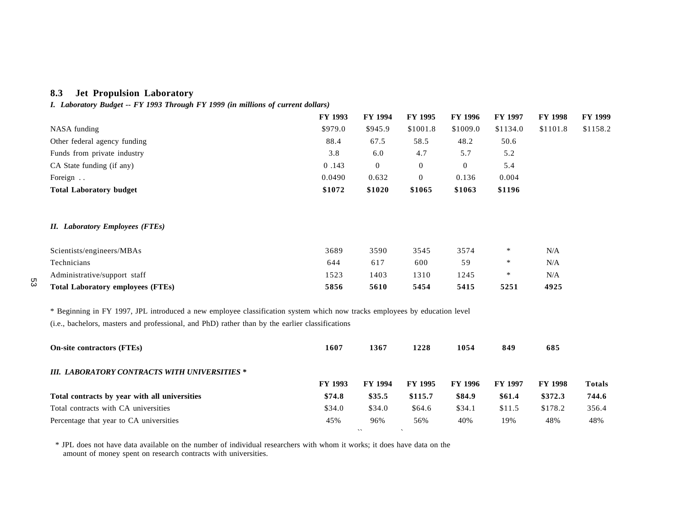## **8.3 Jet Propulsion Laboratory**

*I. Laboratory Budget -- FY 1993 Through FY 1999 (in millions of current dollars)*

|                                                                                                                           | FY 1993 | <b>FY 1994</b> | FY 1995        | <b>FY 1996</b> | <b>FY 1997</b> | <b>FY 1998</b> | <b>FY 1999</b> |
|---------------------------------------------------------------------------------------------------------------------------|---------|----------------|----------------|----------------|----------------|----------------|----------------|
| NASA funding                                                                                                              | \$979.0 | \$945.9        | \$1001.8       | \$1009.0       | \$1134.0       | \$1101.8       | \$1158.2       |
| Other federal agency funding                                                                                              | 88.4    | 67.5           | 58.5           | 48.2           | 50.6           |                |                |
| Funds from private industry                                                                                               | 3.8     | 6.0            | 4.7            | 5.7            | 5.2            |                |                |
| CA State funding (if any)                                                                                                 | 0.143   | $\mathbf{0}$   | $\overline{0}$ | $\mathbf{0}$   | 5.4            |                |                |
| Foreign                                                                                                                   | 0.0490  | 0.632          | $\overline{0}$ | 0.136          | 0.004          |                |                |
| <b>Total Laboratory budget</b>                                                                                            | \$1072  | \$1020         | \$1065         | \$1063         | \$1196         |                |                |
| <b>II.</b> Laboratory Employees (FTEs)                                                                                    |         |                |                |                |                |                |                |
| Scientists/engineers/MBAs                                                                                                 | 3689    | 3590           | 3545           | 3574           | $\ast$         | N/A            |                |
| Technicians                                                                                                               | 644     | 617            | 600            | 59             | $\ast$         | N/A            |                |
| Administrative/support staff                                                                                              | 1523    | 1403           | 1310           | 1245           | $\ast$         | N/A            |                |
| <b>Total Laboratory employees (FTEs)</b>                                                                                  | 5856    | 5610           | 5454           | 5415           | 5251           | 4925           |                |
| * Beginning in FY 1997, JPL introduced a new employee classification system which now tracks employees by education level |         |                |                |                |                |                |                |
| (i.e., bachelors, masters and professional, and PhD) rather than by the earlier classifications                           |         |                |                |                |                |                |                |
| <b>On-site contractors (FTEs)</b>                                                                                         | 1607    | 1367           | 1228           | 1054           | 849            | 685            |                |
| <b>III. LABORATORY CONTRACTS WITH UNIVERSITIES *</b>                                                                      |         |                |                |                |                |                |                |
|                                                                                                                           | FY 1993 | FY 1994        | FY 1995        | <b>FY 1996</b> | <b>FY 1997</b> | <b>FY 1998</b> | <b>Totals</b>  |
| Total contracts by year with all universities                                                                             | \$74.8  | \$35.5         | \$115.7        | \$84.9         | \$61.4         | \$372.3        | 744.6          |
| Total contracts with CA universities                                                                                      | \$34.0  | \$34.0         | \$64.6         | \$34.1         | \$11.5         | \$178.2        | 356.4          |
| Percentage that year to CA universities                                                                                   | 45%     | 96%            | 56%            | 40%            | 19%            | 48%            | 48%            |

 $\mathbf{v}$ 

 $\sim$ 

 \* JPL does not have data available on the number of individual researchers with whom it works; it does have data on the amount of money spent on research contracts with universities.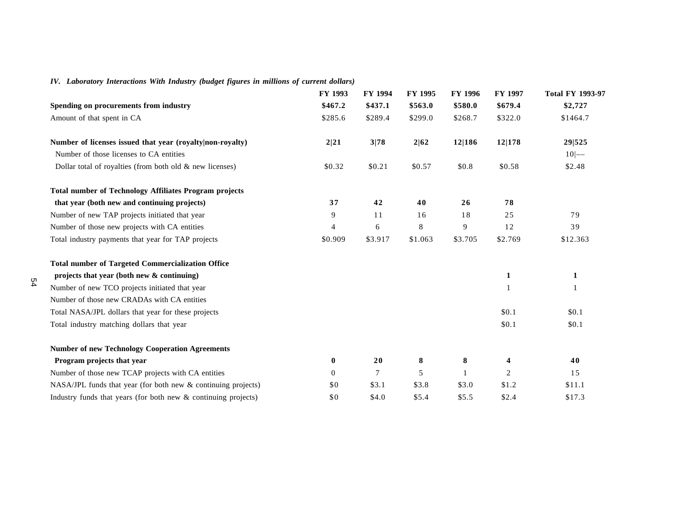## *IV. Laboratory Interactions With Industry (budget figures in millions of current dollars)*

|                                                                    | FY 1993        | FY 1994 | <b>FY 1995</b> | FY 1996 | <b>FY 1997</b> | <b>Total FY 1993-97</b> |
|--------------------------------------------------------------------|----------------|---------|----------------|---------|----------------|-------------------------|
| Spending on procurements from industry                             | \$467.2        | \$437.1 | \$563.0        | \$580.0 | \$679.4        | \$2,727                 |
| Amount of that spent in CA                                         | \$285.6        | \$289.4 | \$299.0        | \$268.7 | \$322.0        | \$1464.7                |
| Number of licenses issued that year (royalty non-royalty)          | 2 21           | 3 78    | 2 62           | 12 186  | 12 178         | 29 525                  |
| Number of those licenses to CA entities                            |                |         |                |         |                | $10$ -                  |
| Dollar total of royalties (from both old $\&$ new licenses)        | \$0.32         | \$0.21  | \$0.57         | \$0.8   | \$0.58         | \$2.48                  |
| <b>Total number of Technology Affiliates Program projects</b>      |                |         |                |         |                |                         |
| that year (both new and continuing projects)                       | 37             | 42      | 40             | 26      | 78             |                         |
| Number of new TAP projects initiated that year                     | 9              | 11      | 16             | 18      | 25             | 79                      |
| Number of those new projects with CA entities                      | 4              | 6       | $\,$ 8 $\,$    | 9       | 12             | 39                      |
| Total industry payments that year for TAP projects                 | \$0.909        | \$3.917 | \$1.063        | \$3.705 | \$2.769        | \$12.363                |
| <b>Total number of Targeted Commercialization Office</b>           |                |         |                |         |                |                         |
| projects that year (both new & continuing)                         |                |         |                |         | 1              | 1                       |
| Number of new TCO projects initiated that year                     |                |         |                |         |                | $\mathbf{1}$            |
| Number of those new CRADAs with CA entities                        |                |         |                |         |                |                         |
| Total NASA/JPL dollars that year for these projects                |                |         |                |         | \$0.1          | \$0.1                   |
| Total industry matching dollars that year                          |                |         |                |         | \$0.1          | \$0.1                   |
| <b>Number of new Technology Cooperation Agreements</b>             |                |         |                |         |                |                         |
| Program projects that year                                         | $\bf{0}$       | 20      | 8              | 8       | 4              | 40                      |
| Number of those new TCAP projects with CA entities                 | $\overline{0}$ | 7       | 5              |         | 2              | 15                      |
| $NASA/JPL$ funds that year (for both new $\&$ continuing projects) | \$0            | \$3.1   | \$3.8          | \$3.0   | \$1.2          | \$11.1                  |
| Industry funds that years (for both new & continuing projects)     | \$0            | \$4.0   | \$5.4          | \$5.5   | \$2.4          | \$17.3                  |